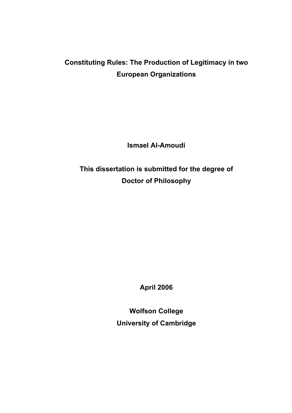# **Constituting Rules: The Production of Legitimacy in two European Organizations**

**Ismael Al-Amoudi** 

**This dissertation is submitted for the degree of Doctor of Philosophy** 

**April 2006** 

**Wolfson College University of Cambridge**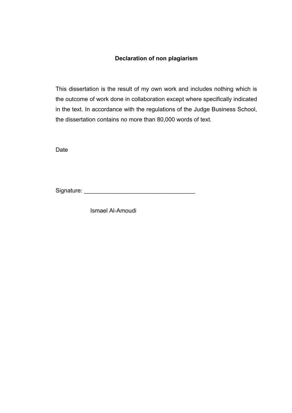### **Declaration of non plagiarism**

This dissertation is the result of my own work and includes nothing which is the outcome of work done in collaboration except where specifically indicated in the text. In accordance with the regulations of the Judge Business School, the dissertation contains no more than 80,000 words of text.

Date

Signature: \_\_\_\_\_\_\_\_\_\_\_\_\_\_\_\_\_\_\_\_\_\_\_\_\_\_\_\_\_\_\_\_\_\_

Ismael Al-Amoudi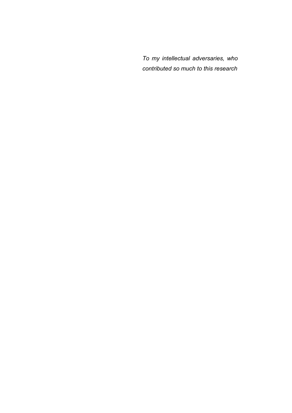*To my intellectual adversaries, who contributed so much to this research*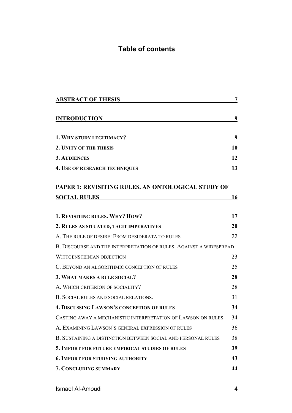## **Table of contents**

| <b>ABSTRACT OF THESIS</b>                                          | 7         |
|--------------------------------------------------------------------|-----------|
| <b>INTRODUCTION</b>                                                | 9         |
| 1. WHY STUDY LEGITIMACY?                                           | 9         |
| 2. UNITY OF THE THESIS                                             | 10        |
| <b>3. AUDIENCES</b>                                                | 12        |
| <b>4. USE OF RESEARCH TECHNIQUES</b>                               | 13        |
| <b>PAPER 1: REVISITING RULES. AN ONTOLOGICAL STUDY OF</b>          |           |
| <b>SOCIAL RULES</b>                                                | <u>16</u> |
| 1. REVISITING RULES. WHY? HOW?                                     | 17        |
| 2. RULES AS SITUATED, TACIT IMPERATIVES                            | 20        |
| A. THE RULE OF DESIRE: FROM DESIDERATA TO RULES                    | 22        |
| B. DISCOURSE AND THE INTERPRETATION OF RULES: AGAINST A WIDESPREAD |           |
| <b>WITTGENSTEINIAN OBJECTION</b>                                   | 23        |
| C. BEYOND AN ALGORITHMIC CONCEPTION OF RULES                       | 25        |
| 3. WHAT MAKES A RULE SOCIAL?                                       | 28        |
| A. WHICH CRITERION OF SOCIALITY?                                   | 28        |
| B. SOCIAL RULES AND SOCIAL RELATIONS.                              | 31        |
| <b>4. DISCUSSING LAWSON'S CONCEPTION OF RULES</b>                  | 34        |
| CASTING AWAY A MECHANISTIC INTERPRETATION OF LAWSON ON RULES       | 34        |
| A. EXAMINING LAWSON'S GENERAL EXPRESSION OF RULES                  | 36        |
| B. SUSTAINING A DISTINCTION BETWEEN SOCIAL AND PERSONAL RULES      | 38        |
| <b>5. IMPORT FOR FUTURE EMPIRICAL STUDIES OF RULES</b>             | 39        |
| <b>6. IMPORT FOR STUDYING AUTHORITY</b>                            | 43        |
| 7. CONCLUDING SUMMARY                                              | 44        |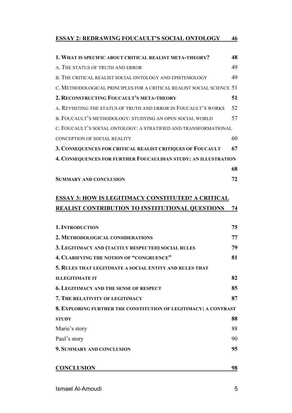### **ESSAY 2: REDRAWING FOUCAULT'S SOCIAL ONTOLOGY 46**

| 1. WHAT IS SPECIFIC ABOUT CRITICAL REALIST META-THEORY?               | 48 |
|-----------------------------------------------------------------------|----|
| A. THE STATUS OF TRUTH AND ERROR                                      | 49 |
| B. THE CRITICAL REALIST SOCIAL ONTOLOGY AND EPISTEMOLOGY              | 49 |
| C. METHODOLOGICAL PRINCIPLES FOR A CRITICAL REALIST SOCIAL SCIENCE 51 |    |
| 2. RECONSTRUCTING FOUCAULT'S META-THEORY                              | 51 |
| A. REVISITING THE STATUS OF TRUTH AND ERROR IN FOUCAULT'S WORKS       | 52 |
| B. FOUCAULT'S METHODOLOGY: STUDYING AN OPEN SOCIAL WORLD              | 57 |
| C. FOUCAULT'S SOCIAL ONTOLOGY: A STRATIFIED AND TRANSFORMATIONAL      |    |
| CONCEPTION OF SOCIAL REALITY                                          | 60 |
| 3. CONSEQUENCES FOR CRITICAL REALIST CRITIQUES OF FOUCAULT            | 67 |
| <b>4. CONSEQUENCES FOR FURTHER FOUCAULDIAN STUDY: AN ILLUSTRATION</b> |    |
|                                                                       | 68 |
| <b>SUMMARY AND CONCLUSION</b>                                         | 72 |

## **ESSAY 3: HOW IS LEGITIMACY CONSTITUTED? A CRITICAL REALIST CONTRIBUTION TO INSTITUTIONAL QUESTIONS 74**

| 1. INTRODUCTION                                                        | 75 |
|------------------------------------------------------------------------|----|
| 2. METHODOLOGICAL CONSIDERATIONS                                       | 77 |
| 3. LEGITIMACY AND (TACITLY RESPECTED) SOCIAL RULES                     | 79 |
| 4. CLARIFYING THE NOTION OF "CONGRUENCE"                               | 81 |
| <b>5. RULES THAT LEGITIMATE A SOCIAL ENTITY AND RULES THAT</b>         |    |
| <b>ILLEGITIMATE IT</b>                                                 | 82 |
| <b>6. LEGITIMACY AND THE SENSE OF RESPECT</b>                          | 85 |
| 7. THE RELATIVITY OF LEGITIMACY                                        | 87 |
| <b>8. EXPLORING FURTHER THE CONSTITUTION OF LEGITIMACY: A CONTRAST</b> |    |
| <b>STUDY</b>                                                           | 88 |
| Marie's story                                                          | 88 |
| Paul's story                                                           | 90 |
| <b>9. SUMMARY AND CONCLUSION</b>                                       | 95 |
| <b>CONCLUSION</b>                                                      | 98 |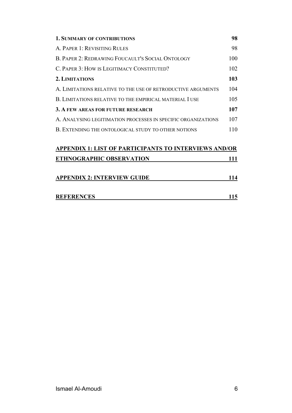| <b>1. SUMMARY OF CONTRIBUTIONS</b>                            | 98  |  |
|---------------------------------------------------------------|-----|--|
| A. PAPER 1: REVISITING RULES                                  | 98  |  |
| B. PAPER 2: REDRAWING FOUCAULT'S SOCIAL ONTOLOGY              |     |  |
| C. PAPER 3: HOW IS LEGITIMACY CONSTITUTED?                    |     |  |
| 2. LIMITATIONS                                                | 103 |  |
| A. LIMITATIONS RELATIVE TO THE USE OF RETRODUCTIVE ARGUMENTS  | 104 |  |
| B. LIMITATIONS RELATIVE TO THE EMPIRICAL MATERIAL I USE       | 105 |  |
| 3. A FEW AREAS FOR FUTURE RESEARCH                            | 107 |  |
| A. ANALYSING LEGITIMATION PROCESSES IN SPECIFIC ORGANIZATIONS | 107 |  |
| B. EXTENDING THE ONTOLOGICAL STUDY TO OTHER NOTIONS           | 110 |  |
| APPENDIX 1: LIST OF PARTICIPANTS TO INTERVIEWS AND/OR         |     |  |
| <b>ETHNOGRAPHIC OBSERVATION</b>                               | 111 |  |
|                                                               |     |  |

| <b>APPENDIX 2: INTERVIEW GUIDE</b> |  |
|------------------------------------|--|
|                                    |  |

| <b>REFERENCES</b> |  |
|-------------------|--|
|                   |  |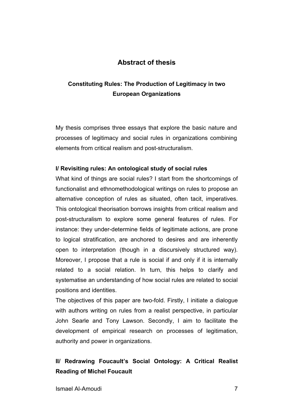### **Abstract of thesis**

## **Constituting Rules: The Production of Legitimacy in two European Organizations**

My thesis comprises three essays that explore the basic nature and processes of legitimacy and social rules in organizations combining elements from critical realism and post-structuralism.

#### **I/ Revisiting rules: An ontological study of social rules**

What kind of things are social rules? I start from the shortcomings of functionalist and ethnomethodological writings on rules to propose an alternative conception of rules as situated, often tacit, imperatives. This ontological theorisation borrows insights from critical realism and post-structuralism to explore some general features of rules. For instance: they under-determine fields of legitimate actions, are prone to logical stratification, are anchored to desires and are inherently open to interpretation (though in a discursively structured way). Moreover, I propose that a rule is social if and only if it is internally related to a social relation. In turn, this helps to clarify and systematise an understanding of how social rules are related to social positions and identities.

The objectives of this paper are two-fold. Firstly, I initiate a dialogue with authors writing on rules from a realist perspective, in particular John Searle and Tony Lawson. Secondly, I aim to facilitate the development of empirical research on processes of legitimation, authority and power in organizations.

## **II/ Redrawing Foucault's Social Ontology: A Critical Realist Reading of Michel Foucault**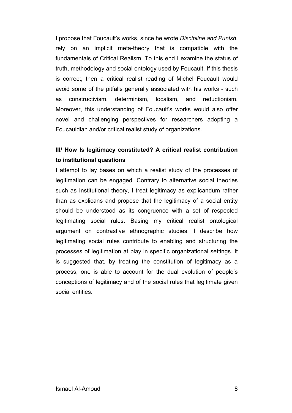I propose that Foucault's works, since he wrote *Discipline and Punish*, rely on an implicit meta-theory that is compatible with the fundamentals of Critical Realism. To this end I examine the status of truth, methodology and social ontology used by Foucault. If this thesis is correct, then a critical realist reading of Michel Foucault would avoid some of the pitfalls generally associated with his works - such as constructivism, determinism, localism, and reductionism. Moreover, this understanding of Foucault's works would also offer novel and challenging perspectives for researchers adopting a Foucauldian and/or critical realist study of organizations.

## **III/ How Is legitimacy constituted? A critical realist contribution to institutional questions**

I attempt to lay bases on which a realist study of the processes of legitimation can be engaged. Contrary to alternative social theories such as Institutional theory, I treat legitimacy as explicandum rather than as explicans and propose that the legitimacy of a social entity should be understood as its congruence with a set of respected legitimating social rules. Basing my critical realist ontological argument on contrastive ethnographic studies, I describe how legitimating social rules contribute to enabling and structuring the processes of legitimation at play in specific organizational settings. It is suggested that, by treating the constitution of legitimacy as a process, one is able to account for the dual evolution of people's conceptions of legitimacy and of the social rules that legitimate given social entities.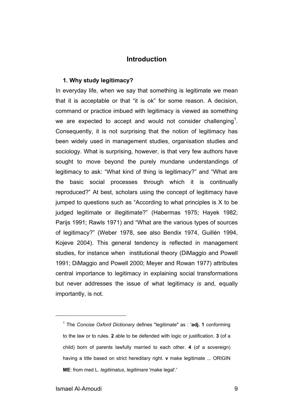### **Introduction**

#### **1. Why study legitimacy?**

In everyday life, when we say that something is legitimate we mean that it is acceptable or that "it is ok" for some reason. A decision, command or practice imbued with legitimacy is viewed as something we are expected to accept and would not consider challenging<sup>1</sup>. Consequently, it is not surprising that the notion of legitimacy has been widely used in management studies, organisation studies and sociology. What is surprising, however, is that very few authors have sought to move beyond the purely mundane understandings of legitimacy to ask: "What kind of thing is legitimacy?" and "What are the basic social processes through which it is continually reproduced?" At best, scholars using the concept of legitimacy have jumped to questions such as "According to what principles is X to be judged legitimate or illegitimate?" (Habermas 1975; Hayek 1982; Parijs 1991; Rawls 1971) and "What are the various types of sources of legitimacy?" (Weber 1978, see also Bendix 1974, Guillén 1994, Kojeve 2004). This general tendency is reflected in management studies, for instance when institutional theory (DiMaggio and Powell 1991; DiMaggio and Powell 2000; Meyer and Rowan 1977) attributes central importance to legitimacy in explaining social transformations but never addresses the issue of what legitimacy *is* and, equally importantly, is not.

l

<sup>1</sup> The *Concise Oxford Dictionary* defines "legitimate" as : '**adj. 1** conforming to the law or to rules. **2** able to be defended with logic or justification. **3** (of a child) born of parents lawfully married to each other. **4** (of a sovereign) having a title based on strict hereditary right. **v** make legitimate ... ORIGIN **ME**: from med L. *legitimatus*, *legitimare* 'make legal'.'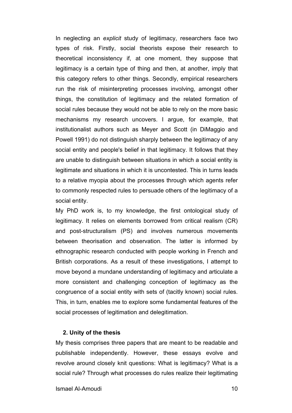In neglecting an *explicit* study of legitimacy, researchers face two types of risk. Firstly, social theorists expose their research to theoretical inconsistency if, at one moment, they suppose that legitimacy is a certain type of thing and then, at another, imply that this category refers to other things. Secondly, empirical researchers run the risk of misinterpreting processes involving, amongst other things, the constitution of legitimacy and the related formation of social rules because they would not be able to rely on the more basic mechanisms my research uncovers. I argue, for example, that institutionalist authors such as Meyer and Scott (in DiMaggio and Powell 1991) do not distinguish sharply between the legitimacy of any social entity and people's belief in that legitimacy. It follows that they are unable to distinguish between situations in which a social entity is legitimate and situations in which it is uncontested. This in turns leads to a relative myopia about the processes through which agents refer to commonly respected rules to persuade others of the legitimacy of a social entity.

My PhD work is, to my knowledge, the first ontological study of legitimacy. It relies on elements borrowed from critical realism (CR) and post-structuralism (PS) and involves numerous movements between theorisation and observation. The latter is informed by ethnographic research conducted with people working in French and British corporations. As a result of these investigations, I attempt to move beyond a mundane understanding of legitimacy and articulate a more consistent and challenging conception of legitimacy as the congruence of a social entity with sets of (tacitly known) social rules. This, in turn, enables me to explore some fundamental features of the social processes of legitimation and delegitimation.

#### **2. Unity of the thesis**

My thesis comprises three papers that are meant to be readable and publishable independently. However, these essays evolve and revolve around closely knit questions: What is legitimacy? What is a social rule? Through what processes do rules realize their legitimating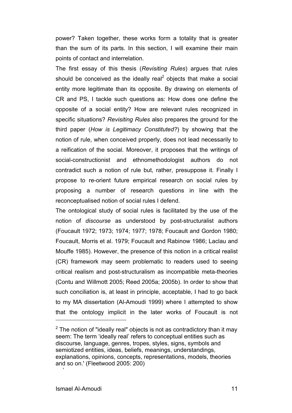power? Taken together, these works form a totality that is greater than the sum of its parts. In this section, I will examine their main points of contact and interrelation.

The first essay of this thesis (*Revisiting Rules*) argues that rules should be conceived as the ideally real<sup>2</sup> objects that make a social entity more legitimate than its opposite. By drawing on elements of CR and PS, I tackle such questions as: How does one define the opposite of a social entity? How are relevant rules recognized in specific situations? *Revisiting Rules* also prepares the ground for the third paper (*How is Legitimacy Constituted?*) by showing that the notion of rule, when conceived properly, does not lead necessarily to a reification of the social. Moreover, it proposes that the writings of social-constructionist and ethnomethodologist authors do not contradict such a notion of rule but, rather, presuppose it. Finally I propose to re-orient future empirical research on social rules by proposing a number of research questions in line with the reconceptualised notion of social rules I defend.

The ontological study of social rules is facilitated by the use of the notion of *discourse* as understood by post-structuralist authors (Foucault 1972; 1973; 1974; 1977; 1978; Foucault and Gordon 1980; Foucault, Morris et al. 1979; Foucault and Rabinow 1986; Laclau and Mouffe 1985). However, the presence of this notion in a critical realist (CR) framework may seem problematic to readers used to seeing critical realism and post-structuralism as incompatible meta-theories (Contu and Willmott 2005; Reed 2005a; 2005b). In order to show that such conciliation is, at least in principle, acceptable, I had to go back to my MA dissertation (Al-Amoudi 1999) where I attempted to show that the ontology implicit in the later works of Foucault is not

l

'

 $2$  The notion of "ideally real" objects is not as contradictory than it may seem: The term 'ideally real' refers to conceptual entities such as discourse, language, genres, tropes, styles, signs, symbols and semiotized entities, ideas, beliefs, meanings, understandings, explanations, opinions, concepts, representations, models, theories and so on.' (Fleetwood 2005: 200)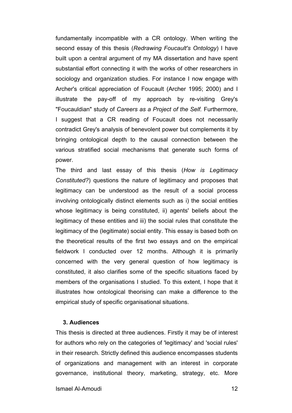fundamentally incompatible with a CR ontology. When writing the second essay of this thesis (*Redrawing Foucault's Ontology*) I have built upon a central argument of my MA dissertation and have spent substantial effort connecting it with the works of other researchers in sociology and organization studies. For instance I now engage with Archer's critical appreciation of Foucault (Archer 1995; 2000) and I illustrate the pay-off of my approach by re-visiting Grey's "Foucauldian" study of *Careers as a Project of the Self.* Furthermore, I suggest that a CR reading of Foucault does not necessarily contradict Grey's analysis of benevolent power but complements it by bringing ontological depth to the causal connection between the various stratified social mechanisms that generate such forms of power.

The third and last essay of this thesis (*How is Legitimacy Constituted?*) questions the nature of legitimacy and proposes that legitimacy can be understood as the result of a social process involving ontologically distinct elements such as i) the social entities whose legitimacy is being constituted, ii) agents' beliefs about the legitimacy of these entities and iii) the social rules that constitute the legitimacy of the (legitimate) social entity. This essay is based both on the theoretical results of the first two essays and on the empirical fieldwork I conducted over 12 months. Although it is primarily concerned with the very general question of how legitimacy is constituted, it also clarifies some of the specific situations faced by members of the organisations I studied. To this extent, I hope that it illustrates how ontological theorising can make a difference to the empirical study of specific organisational situations.

#### **3. Audiences**

This thesis is directed at three audiences. Firstly it may be of interest for authors who rely on the categories of 'legitimacy' and 'social rules' in their research. Strictly defined this audience encompasses students of organizations and management with an interest in corporate governance, institutional theory, marketing, strategy, etc. More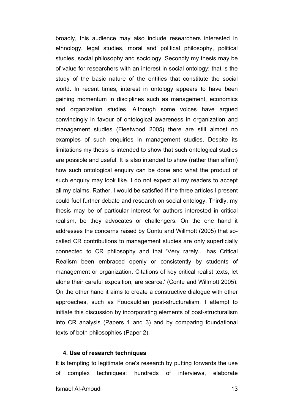broadly, this audience may also include researchers interested in ethnology, legal studies, moral and political philosophy, political studies, social philosophy and sociology. Secondly my thesis may be of value for researchers with an interest in social ontology; that is the study of the basic nature of the entities that constitute the social world. In recent times, interest in ontology appears to have been gaining momentum in disciplines such as management, economics and organization studies. Although some voices have argued convincingly in favour of ontological awareness in organization and management studies (Fleetwood 2005) there are still almost no examples of such enquiries in management studies. Despite its limitations my thesis is intended to show that such ontological studies are possible and useful. It is also intended to show (rather than affirm) how such ontological enquiry can be done and what the product of such enquiry may look like. I do not expect all my readers to accept all my claims. Rather, I would be satisfied if the three articles I present could fuel further debate and research on social ontology. Thirdly, my thesis may be of particular interest for authors interested in critical realism, be they advocates or challengers. On the one hand it addresses the concerns raised by Contu and Willmott (2005) that socalled CR contributions to management studies are only superficially connected to CR philosophy and that 'Very rarely... has Critical Realism been embraced openly or consistently by students of management or organization. Citations of key critical realist texts, let alone their careful exposition, are scarce.' (Contu and Willmott 2005). On the other hand it aims to create a constructive dialogue with other approaches, such as Foucauldian post-structuralism. I attempt to initiate this discussion by incorporating elements of post-structuralism into CR analysis (Papers 1 and 3) and by comparing foundational texts of both philosophies (Paper 2).

#### **4. Use of research techniques**

It is tempting to legitimate one's research by putting forwards the use of complex techniques: hundreds of interviews, elaborate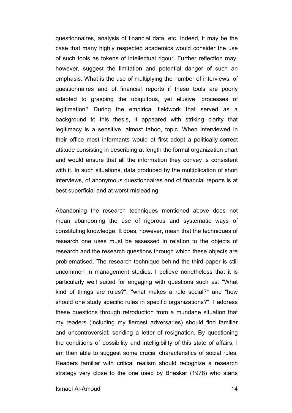questionnaires, analysis of financial data, etc. Indeed, it may be the case that many highly respected academics would consider the use of such tools as tokens of intellectual rigour. Further reflection may, however, suggest the limitation and potential danger of such an emphasis. What is the use of multiplying the number of interviews, of questionnaires and of financial reports if these tools are poorly adapted to grasping the ubiquitous, yet elusive, processes of legitimation? During the empirical fieldwork that served as a background to this thesis, it appeared with striking clarity that legitimacy is a sensitive, almost taboo, topic. When interviewed in their office most informants would at first adopt a politically-correct attitude consisting in describing at length the formal organization chart and would ensure that all the information they convey is consistent with it. In such situations, data produced by the multiplication of short interviews, of anonymous questionnaires and of financial reports is at best superficial and at worst misleading.

Abandoning the research techniques mentioned above does not mean abandoning the use of rigorous and systematic ways of constituting knowledge. It does, however, mean that the techniques of research one uses must be assessed in relation to the objects of research and the research questions through which these objects are problematised. The research technique behind the third paper is still uncommon in management studies. I believe nonetheless that it is particularly well suited for engaging with questions such as: "What kind of things are rules?", "what makes a rule social?" and "how should one study specific rules in specific organizations?". I address these questions through retroduction from a mundane situation that my readers (including my fiercest adversaries) should find familiar and uncontroversial: sending a letter of resignation. By questioning the conditions of possibility and intelligibility of this state of affairs, I am then able to suggest some crucial characteristics of social rules. Readers familiar with critical realism should recognize a research strategy very close to the one used by Bhaskar (1978) who starts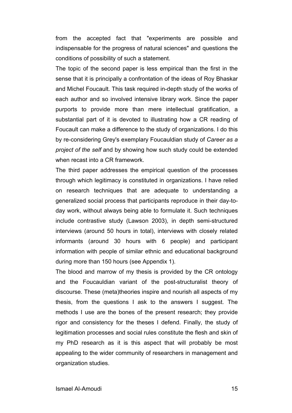from the accepted fact that "experiments are possible and indispensable for the progress of natural sciences" and questions the conditions of possibility of such a statement.

The topic of the second paper is less empirical than the first in the sense that it is principally a confrontation of the ideas of Roy Bhaskar and Michel Foucault. This task required in-depth study of the works of each author and so involved intensive library work. Since the paper purports to provide more than mere intellectual gratification, a substantial part of it is devoted to illustrating how a CR reading of Foucault can make a difference to the study of organizations. I do this by re-considering Grey's exemplary Foucauldian study of *Career as a project of the self* and by showing how such study could be extended when recast into a CR framework.

The third paper addresses the empirical question of the processes through which legitimacy is constituted in organizations. I have relied on research techniques that are adequate to understanding a generalized social process that participants reproduce in their day-today work, without always being able to formulate it. Such techniques include contrastive study (Lawson 2003), in depth semi-structured interviews (around 50 hours in total), interviews with closely related informants (around 30 hours with 6 people) and participant information with people of similar ethnic and educational background during more than 150 hours (see Appendix 1).

The blood and marrow of my thesis is provided by the CR ontology and the Foucauldian variant of the post-structuralist theory of discourse. These (meta)theories inspire and nourish all aspects of my thesis, from the questions I ask to the answers I suggest. The methods I use are the bones of the present research; they provide rigor and consistency for the theses I defend. Finally, the study of legitimation processes and social rules constitute the flesh and skin of my PhD research as it is this aspect that will probably be most appealing to the wider community of researchers in management and organization studies.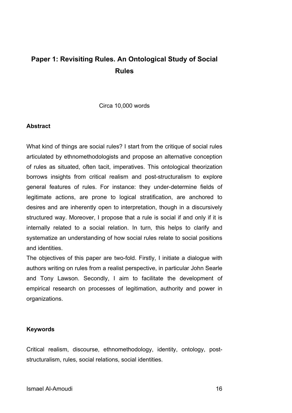## **Paper 1: Revisiting Rules. An Ontological Study of Social Rules**

Circa 10,000 words

#### **Abstract**

What kind of things are social rules? I start from the critique of social rules articulated by ethnomethodologists and propose an alternative conception of rules as situated, often tacit, imperatives. This ontological theorization borrows insights from critical realism and post-structuralism to explore general features of rules. For instance: they under-determine fields of legitimate actions, are prone to logical stratification, are anchored to desires and are inherently open to interpretation, though in a discursively structured way. Moreover, I propose that a rule is social if and only if it is internally related to a social relation. In turn, this helps to clarify and systematize an understanding of how social rules relate to social positions and identities.

The objectives of this paper are two-fold. Firstly, I initiate a dialogue with authors writing on rules from a realist perspective, in particular John Searle and Tony Lawson. Secondly, I aim to facilitate the development of empirical research on processes of legitimation, authority and power in organizations.

#### **Keywords**

Critical realism, discourse, ethnomethodology, identity, ontology, poststructuralism, rules, social relations, social identities.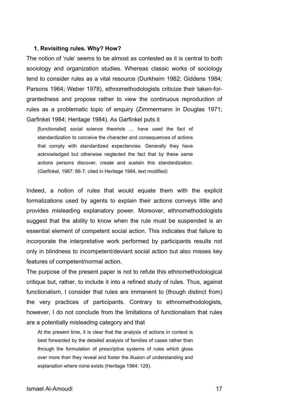#### **1. Revisiting rules. Why? How?**

The notion of 'rule' seems to be almost as contested as it is central to both sociology and organization studies. Whereas classic works of sociology tend to consider rules as a vital resource (Durkheim 1982; Giddens 1984; Parsons 1964; Weber 1978), ethnomethodologists criticize their taken-forgrantedness and propose rather to view the continuous reproduction of rules as a problematic topic of enquiry (Zimmermann in Douglas 1971; Garfinkel 1984; Heritage 1984). As Garfinkel puts it

[functionalist] social science theorists … have used the fact of standardization to conceive the character and consequences of actions that comply with standardized expectancies. Generally they have acknowledged but otherwise neglected the fact that by these same actions persons discover, create and sustain this standardization. (Garfinkel, 1967: 66-7, cited in Heritage 1984, text modified)

Indeed, a notion of rules that would equate them with the explicit formalizations used by agents to explain their actions conveys little and provides misleading explanatory power. Moreover, ethnomethodologists suggest that the ability to know when the rule must be suspended is an essential element of competent social action. This indicates that failure to incorporate the interpretative work performed by participants results not only in blindness to incompetent/deviant social action but also misses key features of competent/normal action.

The purpose of the present paper is not to refute this ethnomethodological critique but, rather, to include it into a refined study of rules. Thus, against functionalism, I consider that rules are immanent to (though distinct from) the very practices of participants. Contrary to ethnomethodologists, however, I do not conclude from the limitations of functionalism that rules are a potentially misleading category and that

At the present time, it is clear that the analysis of actions in context is best forwarded by the detailed analysis of families of cases rather than through the formulation of prescriptive systems of rules which gloss over more than they reveal and foster the illusion of understanding and explanation where none exists (Heritage 1984: 129).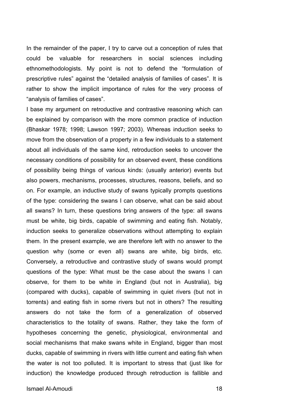In the remainder of the paper, I try to carve out a conception of rules that could be valuable for researchers in social sciences including ethnomethodologists. My point is not to defend the "formulation of prescriptive rules" against the "detailed analysis of families of cases". It is rather to show the implicit importance of rules for the very process of "analysis of families of cases".

I base my argument on retroductive and contrastive reasoning which can be explained by comparison with the more common practice of induction (Bhaskar 1978; 1998; Lawson 1997; 2003). Whereas induction seeks to move from the observation of a property in a few individuals to a statement about all individuals of the same kind, retroduction seeks to uncover the necessary conditions of possibility for an observed event, these conditions of possibility being things of various kinds: (usually anterior) events but also powers, mechanisms, processes, structures, reasons, beliefs, and so on. For example, an inductive study of swans typically prompts questions of the type: considering the swans I can observe, what can be said about all swans? In turn, these questions bring answers of the type: all swans must be white, big birds, capable of swimming and eating fish. Notably, induction seeks to generalize observations without attempting to explain them. In the present example, we are therefore left with no answer to the question why (some or even all) swans are white, big birds, etc. Conversely, a retroductive and contrastive study of swans would prompt questions of the type: What must be the case about the swans I can observe, for them to be white in England (but not in Australia), big (compared with ducks), capable of swimming in quiet rivers (but not in torrents) and eating fish in some rivers but not in others? The resulting answers do not take the form of a generalization of observed characteristics to the totality of swans. Rather, they take the form of hypotheses concerning the genetic, physiological, environmental and social mechanisms that make swans white in England, bigger than most ducks, capable of swimming in rivers with little current and eating fish when the water is not too polluted. It is important to stress that (just like for induction) the knowledge produced through retroduction is fallible and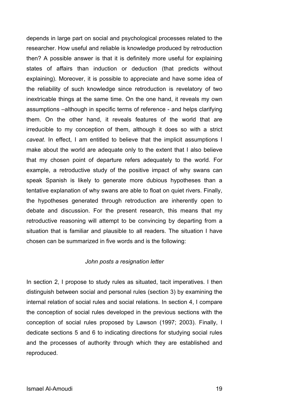depends in large part on social and psychological processes related to the researcher. How useful and reliable is knowledge produced by retroduction then? A possible answer is that it is definitely more useful for explaining states of affairs than induction or deduction (that predicts without explaining). Moreover, it is possible to appreciate and have some idea of the reliability of such knowledge since retroduction is revelatory of two inextricable things at the same time. On the one hand, it reveals my own assumptions –although in specific terms of reference - and helps clarifying them. On the other hand, it reveals features of the world that are irreducible to my conception of them, although it does so with a strict *caveat*. In effect, I am entitled to believe that the implicit assumptions I make about the world are adequate only to the extent that I also believe that my chosen point of departure refers adequately to the world. For example, a retroductive study of the positive impact of why swans can speak Spanish is likely to generate more dubious hypotheses than a tentative explanation of why swans are able to float on quiet rivers. Finally, the hypotheses generated through retroduction are inherently open to debate and discussion. For the present research, this means that my retroductive reasoning will attempt to be convincing by departing from a situation that is familiar and plausible to all readers. The situation I have chosen can be summarized in five words and is the following:

#### *John posts a resignation letter*

In section 2, I propose to study rules as situated, tacit imperatives. I then distinguish between social and personal rules (section 3) by examining the internal relation of social rules and social relations. In section 4, I compare the conception of social rules developed in the previous sections with the conception of social rules proposed by Lawson (1997; 2003). Finally, I dedicate sections 5 and 6 to indicating directions for studying social rules and the processes of authority through which they are established and reproduced.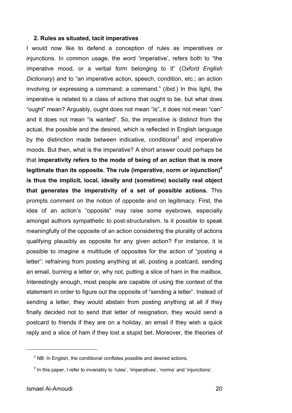#### **2. Rules as situated, tacit imperatives**

I would now like to defend a conception of rules as imperatives or injunctions. In common usage, the word 'imperative', refers both to "the imperative mood, or a verbal form belonging to it" (*Oxford English Dictionary*) and to "an imperative action, speech, condition, etc.; an action involving or expressing a command; a command." (*Ibid.*) In this light, the imperative is related to a class of actions that ought to be, but what does "ought" mean? Arguably, ought does not mean "is", it does not mean "can" and it does not mean "is wanted". So, the imperative is distinct from the actual, the possible and the desired, which is reflected in English language by the distinction made between indicative, conditional $3$  and imperative moods. But then, what is the imperative? A short answer could perhaps be that **imperativity refers to the mode of being of an action that is more legitimate than its opposite. The rule (imperative, norm or injunction)4 is thus the implicit, local, ideally and (sometime) socially real object that generates the imperativity of a set of possible actions.** This prompts comment on the notion of opposite and on legitimacy. First, the idea of an action's "opposite" may raise some eyebrows, especially amongst authors sympathetic to post-structuralism. Is it possible to speak meaningfully of the opposite of an action considering the plurality of actions qualifying plausibly as opposite for any given action? For instance, it is possible to imagine a multitude of opposites for the action of "posting a letter": refraining from posting anything at all, posting a postcard, sending an email, burning a letter or, why not, putting a slice of ham in the mailbox. Interestingly enough, most people are capable of using the context of the statement in order to figure out the opposite of "sending a letter". Instead of sending a letter, they would abstain from posting anything at all if they finally decided not to send that letter of resignation, they would send a postcard to friends if they are on a holiday, an email if they wish a quick reply and a slice of ham if they lost a stupid bet. Moreover, the theories of

1

 $3$  NB: In English, the conditional conflates possible and desired actions.

<sup>&</sup>lt;sup>4</sup> In this paper, I refer to invariably to 'rules', 'imperatives', 'norms' and 'injunctions'.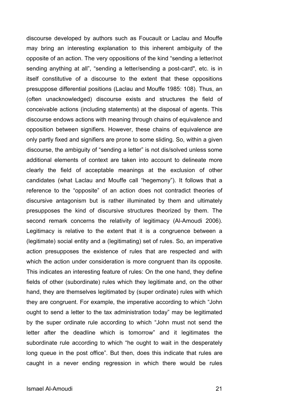discourse developed by authors such as Foucault or Laclau and Mouffe may bring an interesting explanation to this inherent ambiguity of the opposite of an action. The very oppositions of the kind "sending a letter/not sending anything at all", "sending a letter/sending a post-card", etc. is in itself constitutive of a discourse to the extent that these oppositions presuppose differential positions (Laclau and Mouffe 1985: 108). Thus, an (often unacknowledged) discourse exists and structures the field of conceivable actions (including statements) at the disposal of agents. This discourse endows actions with meaning through chains of equivalence and opposition between signifiers. However, these chains of equivalence are only partly fixed and signifiers are prone to some sliding. So, within a given discourse, the ambiguity of "sending a letter" is not dis/solved unless some additional elements of context are taken into account to delineate more clearly the field of acceptable meanings at the exclusion of other candidates (what Laclau and Mouffe call "hegemony"). It follows that a reference to the "opposite" of an action does not contradict theories of discursive antagonism but is rather illuminated by them and ultimately presupposes the kind of discursive structures theorized by them. The second remark concerns the relativity of legitimacy (Al-Amoudi 2006). Legitimacy is relative to the extent that it is a congruence between a (legitimate) social entity and a (legitimating) set of rules. So, an imperative action presupposes the existence of rules that are respected and with which the action under consideration is more congruent than its opposite. This indicates an interesting feature of rules: On the one hand, they define fields of other (subordinate) rules which they legitimate and, on the other hand, they are themselves legitimated by (super ordinate) rules with which they are congruent. For example, the imperative according to which "John ought to send a letter to the tax administration today" may be legitimated by the super ordinate rule according to which "John must not send the letter after the deadline which is tomorrow" and it legitimates the subordinate rule according to which "he ought to wait in the desperately long queue in the post office". But then, does this indicate that rules are caught in a never ending regression in which there would be rules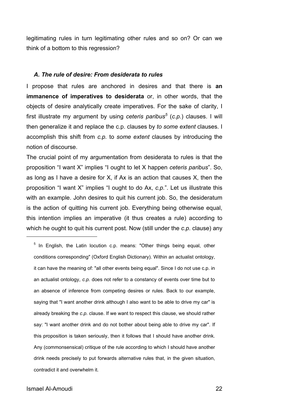legitimating rules in turn legitimating other rules and so on? Or can we think of a bottom to this regression?

#### *A. The rule of desire: From desiderata to rules*

I propose that rules are anchored in desires and that there is **an immanence of imperatives to desiderata** or, in other words, that the objects of desire analytically create imperatives. For the sake of clarity, I first illustrate my argument by using *ceteris paribus<sup>5</sup>* (*c.p.*) clauses. I will then generalize it and replace the c.p. clauses by *to some extent* clauses. I accomplish this shift from *c.p.* to *some extent* clauses by introducing the notion of discourse.

The crucial point of my argumentation from desiderata to rules is that the proposition "I want X" implies "I ought to let X happen *ceteris paribus*". So, as long as I have a desire for X, if Ax is an action that causes X, then the proposition "I want X" implies "I ought to do Ax, *c.p.*". Let us illustrate this with an example. John desires to quit his current job. So, the desideratum is the action of quitting his current job. Everything being otherwise equal, this intention implies an imperative (it thus creates a rule) according to which he ought to quit his current post. Now (still under the *c.p*. clause) any

1

<sup>&</sup>lt;sup>5</sup> In English, the Latin locution c.p. means: "Other things being equal, other conditions corresponding" (Oxford English Dictionary). Within an actualist ontology, it can have the meaning of: "all other events being equal". Since I do not use c.p. in an actualist ontology, *c.p.* does not refer to a constancy of events over time but to an absence of inference from competing desires or rules. Back to our example, saying that "I want another drink although I also want to be able to drive my car" is already breaking the *c.p.* clause. If we want to respect this clause, we should rather say: "I want another drink and do not bother about being able to drive my car". If this proposition is taken seriously, then it follows that I should have another drink. Any (commonsensical) critique of the rule according to which I should have another drink needs precisely to put forwards alternative rules that, in the given situation, contradict it and overwhelm it.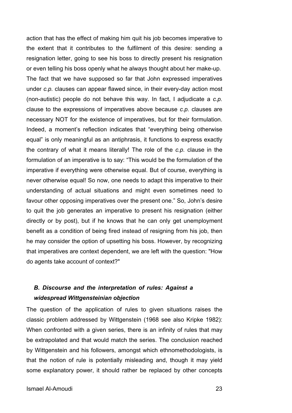action that has the effect of making him quit his job becomes imperative to the extent that it contributes to the fulfilment of this desire: sending a resignation letter, going to see his boss to directly present his resignation or even telling his boss openly what he always thought about her make-up. The fact that we have supposed so far that John expressed imperatives under *c.p.* clauses can appear flawed since, in their every-day action most (non-autistic) people do not behave this way. In fact, I adjudicate a *c.p.* clause to the expressions of imperatives above because *c.p.* clauses are necessary NOT for the existence of imperatives, but for their formulation. Indeed, a moment's reflection indicates that "everything being otherwise equal" is only meaningful as an antiphrasis, it functions to express exactly the contrary of what it means literally! The role of the *c.p.* clause in the formulation of an imperative is to say: "This would be the formulation of the imperative if everything were otherwise equal. But of course, everything is never otherwise equal! So now, one needs to adapt this imperative to their understanding of actual situations and might even sometimes need to favour other opposing imperatives over the present one." So, John's desire to quit the job generates an imperative to present his resignation (either directly or by post), but if he knows that he can only get unemployment benefit as a condition of being fired instead of resigning from his job, then he may consider the option of upsetting his boss. However, by recognizing that imperatives are context dependent, we are left with the question: "How do agents take account of context?"

## *B. Discourse and the interpretation of rules: Against a widespread Wittgensteinian objection*

The question of the application of rules to given situations raises the classic problem addressed by Wittgenstein (1968 see also Kripke 1982): When confronted with a given series, there is an infinity of rules that may be extrapolated and that would match the series. The conclusion reached by Wittgenstein and his followers, amongst which ethnomethodologists, is that the notion of rule is potentially misleading and, though it may yield some explanatory power, it should rather be replaced by other concepts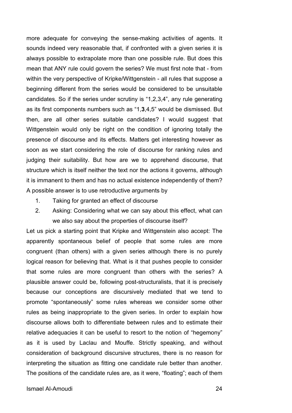more adequate for conveying the sense-making activities of agents. It sounds indeed very reasonable that, if confronted with a given series it is always possible to extrapolate more than one possible rule. But does this mean that ANY rule could govern the series? We must first note that - from within the very perspective of Kripke/Wittgenstein - all rules that suppose a beginning different from the series would be considered to be unsuitable candidates. So if the series under scrutiny is "1,2,3,4", any rule generating as its first components numbers such as "1,**3**,4,5" would be dismissed. But then, are all other series suitable candidates? I would suggest that Wittgenstein would only be right on the condition of ignoring totally the presence of discourse and its effects. Matters get interesting however as soon as we start considering the role of discourse for ranking rules and judging their suitability. But how are we to apprehend discourse, that structure which is itself neither the text nor the actions it governs, although it is immanent to them and has no actual existence independently of them? A possible answer is to use retroductive arguments by

- 1. Taking for granted an effect of discourse
- 2. Asking: Considering what we can say about this effect, what can we also say about the properties of discourse itself?

Let us pick a starting point that Kripke and Wittgenstein also accept: The apparently spontaneous belief of people that some rules are more congruent (than others) with a given series although there is no purely logical reason for believing that. What is it that pushes people to consider that some rules are more congruent than others with the series? A plausible answer could be, following post-structuralists, that it is precisely because our conceptions are discursively mediated that we tend to promote "spontaneously" some rules whereas we consider some other rules as being inappropriate to the given series. In order to explain how discourse allows both to differentiate between rules and to estimate their relative adequacies it can be useful to resort to the notion of "hegemony" as it is used by Laclau and Mouffe. Strictly speaking, and without consideration of background discursive structures, there is no reason for interpreting the situation as fitting one candidate rule better than another. The positions of the candidate rules are, as it were, "floating"; each of them

#### Ismael Al-Amoudi 24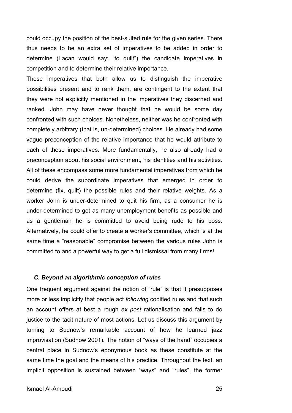could occupy the position of the best-suited rule for the given series. There thus needs to be an extra set of imperatives to be added in order to determine (Lacan would say: "to quilt") the candidate imperatives in competition and to determine their relative importance.

These imperatives that both allow us to distinguish the imperative possibilities present and to rank them, are contingent to the extent that they were not explicitly mentioned in the imperatives they discerned and ranked. John may have never thought that he would be some day confronted with such choices. Nonetheless, neither was he confronted with completely arbitrary (that is, un-determined) choices. He already had some vague preconception of the relative importance that he would attribute to each of these imperatives. More fundamentally, he also already had a preconception about his social environment, his identities and his activities. All of these encompass some more fundamental imperatives from which he could derive the subordinate imperatives that emerged in order to determine (fix, quilt) the possible rules and their relative weights. As a worker John is under-determined to quit his firm, as a consumer he is under-determined to get as many unemployment benefits as possible and as a gentleman he is committed to avoid being rude to his boss. Alternatively, he could offer to create a worker's committee, which is at the same time a "reasonable" compromise between the various rules John is committed to and a powerful way to get a full dismissal from many firms!

#### *C. Beyond an algorithmic conception of rules*

One frequent argument against the notion of "rule" is that it presupposes more or less implicitly that people act *following* codified rules and that such an account offers at best a rough *ex post* rationalisation and fails to do justice to the tacit nature of most actions. Let us discuss this argument by turning to Sudnow's remarkable account of how he learned jazz improvisation (Sudnow 2001). The notion of "ways of the hand" occupies a central place in Sudnow's eponymous book as these constitute at the same time the goal and the means of his practice. Throughout the text, an implicit opposition is sustained between "ways" and "rules", the former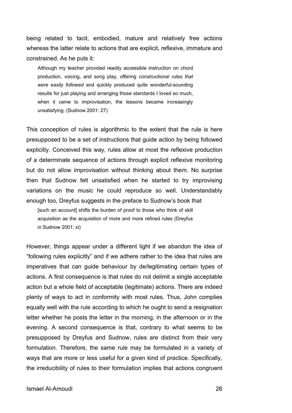being related to tacit, embodied, mature and relatively free actions whereas the latter relate to actions that are explicit, reflexive, immature and constrained. As he puts it:

Although my teacher provided readily accessible instruction on chord production, voicing, and song play, offering *constructional rules that were easily followed* and quickly produced quite wonderful-sounding results for just playing and arranging those standards I loved so much, when it came to improvisation, the lessons became increasingly unsatisfying. (Sudnow 2001: 27)

This conception of rules is algorithmic to the extent that the rule is here presupposed to be a set of instructions that guide action by being followed explicitly. Conceived this way, rules allow at most the reflexive production of a determinate sequence of actions through explicit reflexive monitoring but do not allow improvisation without thinking about them. No surprise then that Sudnow felt unsatisfied when he started to try improvising variations on the music he could reproduce so well. Understandably enough too, Dreyfus suggests in the preface to Sudnow's book that

[such an account] shifts the burden of proof to those who think of skill acquisition as the acquisition of more and more refined rules (Dreyfus in Sudnow 2001: xi)

However, things appear under a different light if we abandon the idea of "following rules explicitly" and if we adhere rather to the idea that rules are imperatives that can guide behaviour by de/legitimating certain types of actions. A first consequence is that rules do not delimit a single acceptable action but a whole field of acceptable (legitimate) actions. There are indeed plenty of ways to act in conformity with most rules. Thus, John complies equally well with the rule according to which he ought to send a resignation letter whether he posts the letter in the morning, in the afternoon or in the evening. A second consequence is that, contrary to what seems to be presupposed by Dreyfus and Sudnow, rules are distinct from their very formulation. Therefore, the same rule may be formulated in a variety of ways that are more or less useful for a given kind of practice. Specifically, the irreducibility of rules to their formulation implies that actions congruent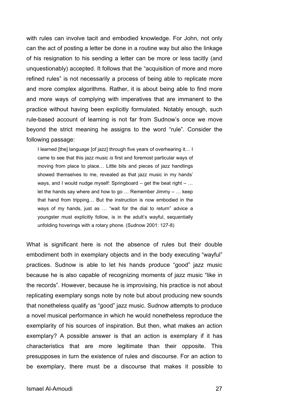with rules can involve tacit and embodied knowledge. For John, not only can the act of posting a letter be done in a routine way but also the linkage of his resignation to his sending a letter can be more or less tacitly (and unquestionably) accepted. It follows that the "acquisition of more and more refined rules" is not necessarily a process of being able to replicate more and more complex algorithms. Rather, it is about being able to find more and more ways of complying with imperatives that are immanent to the practice without having been explicitly formulated. Notably enough, such rule-based account of learning is not far from Sudnow's once we move beyond the strict meaning he assigns to the word "rule". Consider the following passage:

I learned [the] language [of jazz] through five years of overhearing it… I came to see that this jazz music *is* first and foremost particular ways of moving from place to place… Little bits and pieces of jazz handlings showed themselves to me, revealed as that jazz music in my hands' ways, and I would nudge myself: Springboard – get the beat right – ... let the hands say where and how to go … Remember Jimmy – … keep that hand from tripping… But the instruction is now embodied in the ways of my hands, just as … "wait for the dial to return" advice a youngster must explicitly follow, is in the adult's wayful, sequentially unfolding hoverings with a rotary phone. (Sudnow 2001: 127-8)

What is significant here is not the absence of rules but their double embodiment both in exemplary objects and in the body executing "wayful" practices. Sudnow is able to let his hands produce "good" jazz music because he is also capable of recognizing moments of jazz music "like in the records". However, because he is improvising, his practice is not about replicating exemplary songs note by note but about producing new sounds that nonetheless qualify as "good" jazz music. Sudnow attempts to produce a novel musical performance in which he would nonetheless reproduce the exemplarity of his sources of inspiration. But then, what makes an action exemplary? A possible answer is that an action is exemplary if it has characteristics that are more legitimate than their opposite. This presupposes in turn the existence of rules and discourse. For an action to be exemplary, there must be a discourse that makes it possible to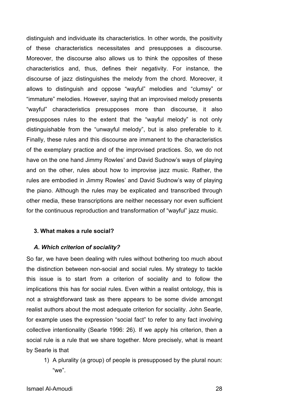distinguish and individuate its characteristics. In other words, the positivity of these characteristics necessitates and presupposes a discourse. Moreover, the discourse also allows us to think the opposites of these characteristics and, thus, defines their negativity. For instance, the discourse of jazz distinguishes the melody from the chord. Moreover, it allows to distinguish and oppose "wayful" melodies and "clumsy" or "immature" melodies. However, saying that an improvised melody presents "wayful" characteristics presupposes more than discourse, it also presupposes rules to the extent that the "wayful melody" is not only distinguishable from the "unwayful melody", but is also preferable to it. Finally, these rules and this discourse are immanent to the characteristics of the exemplary practice and of the improvised practices. So, we do not have on the one hand Jimmy Rowles' and David Sudnow's ways of playing and on the other, rules about how to improvise jazz music. Rather, the rules are embodied in Jimmy Rowles' and David Sudnow's way of playing the piano. Although the rules may be explicated and transcribed through other media, these transcriptions are neither necessary nor even sufficient for the continuous reproduction and transformation of "wayful" jazz music.

#### **3. What makes a rule social?**

#### *A. Which criterion of sociality?*

So far, we have been dealing with rules without bothering too much about the distinction between non-social and social rules. My strategy to tackle this issue is to start from a criterion of sociality and to follow the implications this has for social rules. Even within a realist ontology, this is not a straightforward task as there appears to be some divide amongst realist authors about the most adequate criterion for sociality. John Searle, for example uses the expression "social fact" to refer to any fact involving collective intentionality (Searle 1996: 26). If we apply his criterion, then a social rule is a rule that we share together. More precisely, what is meant by Searle is that

1) A plurality (a group) of people is presupposed by the plural noun: "we".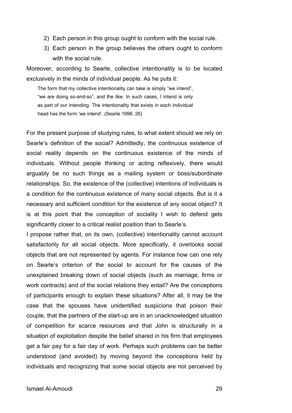- 2) Each person in this group ought to conform with the social rule.
- 3) Each person in the group believes the others ought to conform with the social rule.

Moreover, according to Searle, collective intentionality is to be located exclusively in the minds of individual people. As he puts it:

The form that my collective intentionality can take is simply "we intend", "we are doing so-and-so", and the like. In such cases, I intend is only as part of our intending. The intentionality that exists in each individual head has the form 'we intend'. (Searle 1996: 26)

For the present purpose of studying rules, to what extent should we rely on Searle's definition of the social? Admittedly, the continuous existence of social reality depends on the continuous existence of the minds of individuals. Without people thinking or acting reflexively, there would arguably be no such things as a mailing system or boss/subordinate relationships. So, the existence of the (collective) intentions of individuals is a condition for the continuous existence of many social objects. But is it a necessary and sufficient condition for the existence of any social object? It is at this point that the conception of sociality I wish to defend gets significantly closer to a critical realist position than to Searle's.

I propose rather that, on its own, (collective) intentionality cannot account satisfactorily for all social objects. More specifically, it overlooks social objects that are not represented by agents. For instance how can one rely on Searle's criterion of the social to account for the causes of the unexplained breaking down of social objects (such as marriage, firms or work contracts) and of the social relations they entail? Are the conceptions of participants enough to explain these situations? After all, it may be the case that the spouses have unidentified suspicions that poison their couple, that the partners of the start-up are in an unacknowledged situation of competition for scarce resources and that John is structurally in a situation of exploitation despite the belief shared in his firm that employees get a fair pay for a fair day of work. Perhaps such problems can be better understood (and avoided) by moving beyond the conceptions held by individuals and recognizing that some social objects are not perceived by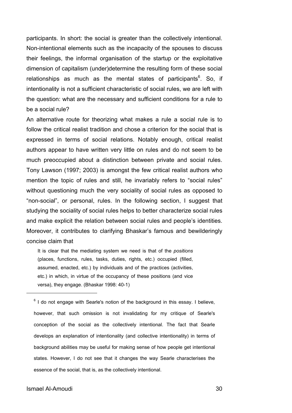participants. In short: the social is greater than the collectively intentional. Non-intentional elements such as the incapacity of the spouses to discuss their feelings, the informal organisation of the startup or the exploitative dimension of capitalism (under)determine the resulting form of these social relationships as much as the mental states of participants<sup>6</sup>. So, if intentionality is not a sufficient characteristic of social rules, we are left with the question: what are the necessary and sufficient conditions for a rule to be a social rule?

An alternative route for theorizing what makes a rule a social rule is to follow the critical realist tradition and chose a criterion for the social that is expressed in terms of social relations. Notably enough, critical realist authors appear to have written very little on rules and do not seem to be much preoccupied about a distinction between private and social rules. Tony Lawson (1997; 2003) is amongst the few critical realist authors who mention the topic of rules and still, he invariably refers to "social rules" without questioning much the very sociality of social rules as opposed to "non-social", or personal, rules. In the following section, I suggest that studying the sociality of social rules helps to better characterize social rules and make explicit the relation between social rules and people's identities. Moreover, it contributes to clarifying Bhaskar's famous and bewilderingly concise claim that

It is clear that the mediating system we need is that of the *positions* (places, functions, rules, tasks, duties, rights, etc.) occupied (filled, assumed, enacted, etc.) by individuals and of the practices (activities, etc.) in which, in virtue of the occupancy of these positions (and vice versa), they engage. (Bhaskar 1998: 40-1)

 $6$  I do not engage with Searle's notion of the background in this essay. I believe, however, that such omission is not invalidating for my critique of Searle's conception of the social as the collectively intentional. The fact that Searle develops an explanation of intentionality (and collective intentionality) in terms of background abilities may be useful for making sense of how people get intentional states. However, I do not see that it changes the way Searle characterises the essence of the social, that is, as the collectively intentional.

1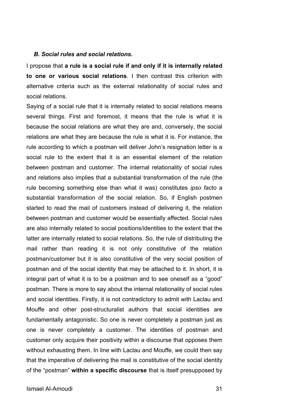#### *B. Social rules and social relations.*

I propose that **a rule is a social rule if and only if it is internally related to one or various social relations**. I then contrast this criterion with alternative criteria such as the external relationality of social rules and social relations.

Saying of a social rule that it is internally related to social relations means several things. First and foremost, it means that the rule is what it is because the social relations are what they are and, conversely, the social relations are what they are because the rule is what it is. For instance, the rule according to which a postman will deliver John's resignation letter is a social rule to the extent that it is an essential element of the relation between postman and customer. The internal relationality of social rules and relations also implies that a substantial transformation of the rule (the rule becoming something else than what it was) constitutes *ipso facto* a substantial transformation of the social relation. So, if English postmen started to read the mail of customers instead of delivering it, the relation between postman and customer would be essentially affected. Social rules are also internally related to social positions/identities to the extent that the latter are internally related to social relations. So, the rule of distributing the mail rather than reading it is not only constitutive of the relation postman/customer but it is also constitutive of the very social position of postman and of the social identity that may be attached to it. In short, it is integral part of what it is to be a postman and to see oneself as a "good" postman. There is more to say about the internal relationality of social rules and social identities. Firstly, it is not contradictory to admit with Laclau and Mouffe and other post-structuralist authors that social identities are fundamentally antagonistic. So one is never completely a postman just as one is never completely a customer. The identities of postman and customer only acquire their positivity within a discourse that opposes them without exhausting them. In line with Laclau and Mouffe, we could then say that the imperative of delivering the mail is constitutive of the social identity of the "postman" **within a specific discourse** that is itself presupposed by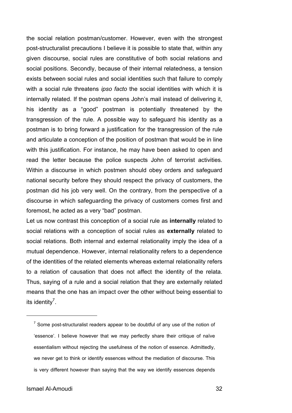the social relation postman/customer. However, even with the strongest post-structuralist precautions I believe it is possible to state that, within any given discourse, social rules are constitutive of both social relations and social positions. Secondly, because of their internal relatedness, a tension exists between social rules and social identities such that failure to comply with a social rule threatens *ipso facto* the social identities with which it is internally related. If the postman opens John's mail instead of delivering it, his identity as a "good" postman is potentially threatened by the transgression of the rule. A possible way to safeguard his identity as a postman is to bring forward a justification for the transgression of the rule and articulate a conception of the position of postman that would be in line with this justification. For instance, he may have been asked to open and read the letter because the police suspects John of terrorist activities. Within a discourse in which postmen should obey orders and safeguard national security before they should respect the privacy of customers, the postman did his job very well. On the contrary, from the perspective of a discourse in which safeguarding the privacy of customers comes first and foremost, he acted as a very "bad" postman.

Let us now contrast this conception of a social rule as **internally** related to social relations with a conception of social rules as **externally** related to social relations. Both internal and external relationality imply the idea of a mutual dependence. However, internal relationality refers to a dependence of the identities of the related elements whereas external relationality refers to a relation of causation that does not affect the identity of the relata. Thus, saying of a rule and a social relation that they are externally related means that the one has an impact over the other without being essential to its identity<sup>7</sup>.

1

 $<sup>7</sup>$  Some post-structuralist readers appear to be doubtful of any use of the notion of</sup> 'essence'. I believe however that we may perfectly share their critique of naïve essentialism without rejecting the usefulness of the notion of essence. Admittedly, we never get to think or identify essences without the mediation of discourse. This is very different however than saying that the way we identify essences depends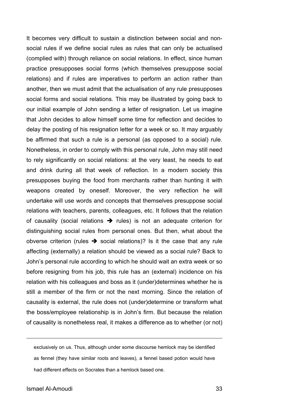It becomes very difficult to sustain a distinction between social and nonsocial rules if we define social rules as rules that can only be actualised (complied with) through reliance on social relations. In effect, since human practice presupposes social forms (which themselves presuppose social relations) and if rules are imperatives to perform an action rather than another, then we must admit that the actualisation of any rule presupposes social forms and social relations. This may be illustrated by going back to our initial example of John sending a letter of resignation. Let us imagine that John decides to allow himself some time for reflection and decides to delay the posting of his resignation letter for a week or so. It may arguably be affirmed that such a rule is a personal (as opposed to a social) rule. Nonetheless, in order to comply with this personal rule, John may still need to rely significantly on social relations: at the very least, he needs to eat and drink during all that week of reflection. In a modern society this presupposes buying the food from merchants rather than hunting it with weapons created by oneself. Moreover, the very reflection he will undertake will use words and concepts that themselves presuppose social relations with teachers, parents, colleagues, etc. It follows that the relation of causality (social relations  $\rightarrow$  rules) is not an adequate criterion for distinguishing social rules from personal ones. But then, what about the obverse criterion (rules  $\rightarrow$  social relations)? Is it the case that any rule affecting (externally) a relation should be viewed as a social rule? Back to John's personal rule according to which he should wait an extra week or so before resigning from his job, this rule has an (external) incidence on his relation with his colleagues and boss as it (under)determines whether he is still a member of the firm or not the next morning. Since the relation of causality is external, the rule does not (under)determine or transform what the boss/employee relationship is in John's firm. But because the relation of causality is nonetheless real, it makes a difference as to whether (or not)

exclusively on us. Thus, although under some discourse hemlock may be identified as fennel (they have similar roots and leaves), a fennel based potion would have had different effects on Socrates than a hemlock based one.

<u>.</u>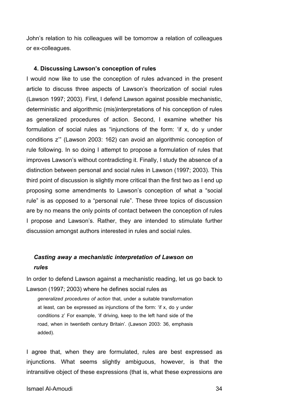John's relation to his colleagues will be tomorrow a relation of colleagues or ex-colleagues.

#### **4. Discussing Lawson's conception of rules**

I would now like to use the conception of rules advanced in the present article to discuss three aspects of Lawson's theorization of social rules (Lawson 1997; 2003). First, I defend Lawson against possible mechanistic, deterministic and algorithmic (mis)interpretations of his conception of rules as generalized procedures of action. Second, I examine whether his formulation of social rules as "injunctions of the form: 'if x, do y under conditions z'" (Lawson 2003: 162) can avoid an algorithmic conception of rule following. In so doing I attempt to propose a formulation of rules that improves Lawson's without contradicting it. Finally, I study the absence of a distinction between personal and social rules in Lawson (1997; 2003). This third point of discussion is slightly more critical than the first two as I end up proposing some amendments to Lawson's conception of what a "social rule" is as opposed to a "personal rule". These three topics of discussion are by no means the only points of contact between the conception of rules I propose and Lawson's. Rather, they are intended to stimulate further discussion amongst authors interested in rules and social rules.

### *Casting away a mechanistic interpretation of Lawson on rules*

In order to defend Lawson against a mechanistic reading, let us go back to Lawson (1997; 2003) where he defines social rules as

*generalized procedures of action* that, under a suitable transformation at least, can be expressed as injunctions of the form: 'if x, do y under conditions z' For example, 'if driving, keep to the left hand side of the road, when in twentieth century Britain'. (Lawson 2003: 36, emphasis added).

I agree that, when they are formulated, rules are best expressed as injunctions. What seems slightly ambiguous, however, is that the intransitive object of these expressions (that is, what these expressions are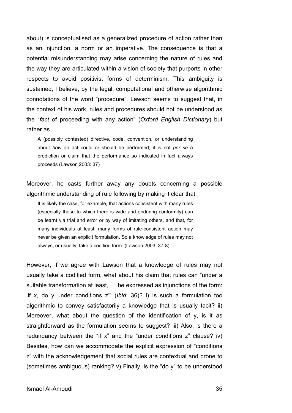about) is conceptualised as a generalized procedure of action rather than as an injunction, a norm or an imperative. The consequence is that a potential misunderstanding may arise concerning the nature of rules and the way they are articulated within a vision of society that purports in other respects to avoid positivist forms of determinism. This ambiguity is sustained, I believe, by the legal, computational and otherwise algorithmic connotations of the word "procedure". Lawson seems to suggest that, in the context of his work, rules and procedures should not be understood as the "*fact* of proceeding with any action" (*Oxford English Dictionary*) but rather as

A (possibly contested) directive, code, convention, or understanding about *how* an act could or should be performed; it is not *per se* a prediction or claim that the performance so indicated in fact always proceeds (Lawson 2003: 37)

### Moreover, he casts further away any doubts concerning a possible algorithmic understanding of rule following by making it clear that

It is likely the case, for example, that actions consistent with many rules (especially those to which there is wide and enduring conformity) can be learnt via trial and error or by way of imitating others, and that, for many individuals at least, many forms of rule-consistent action may never be given an explicit formulation. So a knowledge of rules may not always, or usually, take a codified form. (Lawson 2003: 37-8)

However, if we agree with Lawson that a knowledge of rules may not usually take a codified form, what about his claim that rules can "under a suitable transformation at least, … be expressed as injunctions of the form: 'if x, do y under conditions z'" (*Ibid*: 36)? i) Is such a formulation too algorithmic to convey satisfactorily a knowledge that is usually tacit? ii) Moreover, what about the question of the identification of y, is it as straightforward as the formulation seems to suggest? iii) Also, is there a redundancy between the "if x" and the "under conditions z" clause? iv) Besides, how can we accommodate the explicit expression of "conditions z" with the acknowledgement that social rules are contextual and prone to (sometimes ambiguous) ranking? v) Finally, is the "do y" to be understood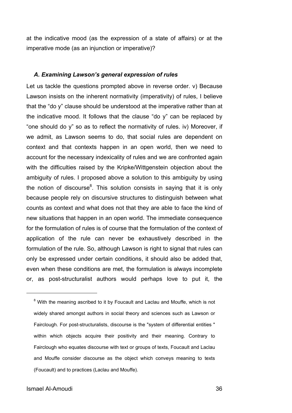at the indicative mood (as the expression of a state of affairs) or at the imperative mode (as an injunction or imperative)?

#### *A. Examining Lawson's general expression of rules*

Let us tackle the questions prompted above in reverse order. v) Because Lawson insists on the inherent normativity (imperativity) of rules, I believe that the "do y" clause should be understood at the imperative rather than at the indicative mood. It follows that the clause "do y" can be replaced by "one should do y" so as to reflect the normativity of rules. iv) Moreover, if we admit, as Lawson seems to do, that social rules are dependent on context and that contexts happen in an open world, then we need to account for the necessary indexicality of rules and we are confronted again with the difficulties raised by the Kripke/Wittgenstein objection about the ambiguity of rules. I proposed above a solution to this ambiguity by using the notion of discourse ${}^{8}$ . This solution consists in saying that it is only because people rely on discursive structures to distinguish between what counts as context and what does not that they are able to face the kind of new situations that happen in an open world. The immediate consequence for the formulation of rules is of course that the formulation of the context of application of the rule can never be exhaustively described in the formulation of the rule. So, although Lawson is right to signal that rules can only be expressed under certain conditions, it should also be added that, even when these conditions are met, the formulation is always incomplete or, as post-structuralist authors would perhaps love to put it, the

1

<sup>&</sup>lt;sup>8</sup> With the meaning ascribed to it by Foucault and Laclau and Mouffe, which is not widely shared amongst authors in social theory and sciences such as Lawson or Fairclough. For post-structuralists, discourse is the "system of differential entities " within which objects acquire their positivity and their meaning. Contrary to Fairclough who equates discourse with text or groups of texts, Foucault and Laclau and Mouffe consider discourse as the object which conveys meaning to texts (Foucault) and to practices (Laclau and Mouffe).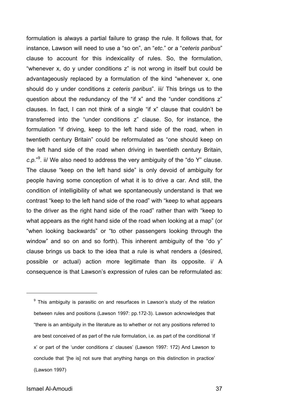formulation is always a partial failure to grasp the rule. It follows that, for instance, Lawson will need to use a "so on", an "*etc*." or a "*ceteris paribus*" clause to account for this indexicality of rules. So, the formulation, "whenever x, do y under conditions z" is not wrong in itself but could be advantageously replaced by a formulation of the kind "whenever x, one should do y under conditions z *ceteris paribus*". iii/ This brings us to the question about the redundancy of the "if x" and the "under conditions z" clauses. In fact, I can not think of a single "if x" clause that couldn't be transferred into the "under conditions z" clause. So, for instance, the formulation "if driving, keep to the left hand side of the road, when in twentieth century Britain" could be reformulated as "one should keep on the left hand side of the road when driving in twentieth century Britain, c.p.<sup>"9</sup>. ii/ We also need to address the very ambiguity of the "do Y" clause. The clause "keep on the left hand side" is only devoid of ambiguity for people having some conception of what it is to drive a car. And still, the condition of intelligibility of what we spontaneously understand is that we contrast "keep to the left hand side of the road" with "keep to what appears to the driver as the right hand side of the road" rather than with "keep to what appears as the right hand side of the road when looking at a map" (or "when looking backwards" or "to other passengers looking through the window" and so on and so forth). This inherent ambiguity of the "do y" clause brings us back to the idea that a rule is what renders a (desired, possible or actual) action more legitimate than its opposite. i/ A consequence is that Lawson's expression of rules can be reformulated as:

1

 $9$  This ambiguity is parasitic on and resurfaces in Lawson's study of the relation between rules and positions (Lawson 1997: pp.172-3). Lawson acknowledges that "there is an ambiguity in the literature as to whether or not any positions referred to are best conceived of as part of the rule formulation, i.e. as part of the conditional 'if x' or part of the 'under conditions z' clauses' (Lawson 1997: 172) And Lawson to conclude that '[he is] not sure that anything hangs on this distinction in practice' (Lawson 1997)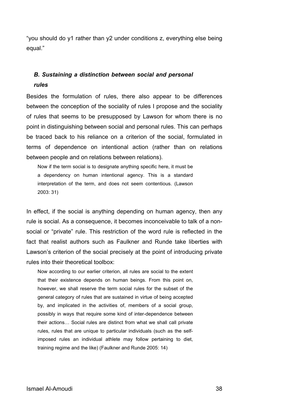"you should do y1 rather than y2 under conditions z, everything else being equal."

## *B. Sustaining a distinction between social and personal rules*

Besides the formulation of rules, there also appear to be differences between the conception of the sociality of rules I propose and the sociality of rules that seems to be presupposed by Lawson for whom there is no point in distinguishing between social and personal rules. This can perhaps be traced back to his reliance on a criterion of the social, formulated in terms of dependence on intentional action (rather than on relations between people and on relations between relations).

Now if the term social is to designate anything specific here, it must be a dependency on human intentional agency. This is a standard interpretation of the term, and does not seem contentious. (Lawson 2003: 31)

In effect, if the social is anything depending on human agency, then any rule is social. As a consequence, it becomes inconceivable to talk of a nonsocial or "private" rule. This restriction of the word rule is reflected in the fact that realist authors such as Faulkner and Runde take liberties with Lawson's criterion of the social precisely at the point of introducing private rules into their theoretical toolbox:

Now according to our earlier criterion, all rules are social to the extent that their existence depends on human beings. From this point on, however, we shall reserve the term social rules for the subset of the general category of rules that are sustained in virtue of being accepted by, and implicated in the activities of, members of a social group, possibly in ways that require some kind of inter-dependence between their actions… Social rules are distinct from what we shall call private rules, rules that are unique to particular individuals (such as the selfimposed rules an individual athlete may follow pertaining to diet, training regime and the like) (Faulkner and Runde 2005: 14)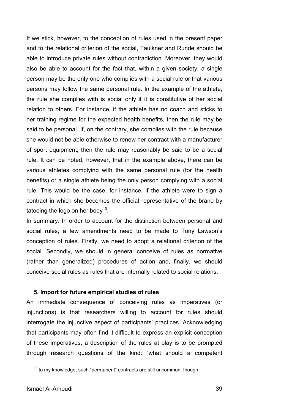If we stick, however, to the conception of rules used in the present paper and to the relational criterion of the social, Faulkner and Runde should be able to introduce private rules without contradiction. Moreover, they would also be able to account for the fact that, within a given society, a single person may be the only one who complies with a social rule or that various persons may follow the same personal rule. In the example of the athlete, the rule she complies with is social only if it is constitutive of her social relation to others. For instance, if the athlete has no coach and sticks to her training regime for the expected health benefits, then the rule may be said to be personal. If, on the contrary, she complies with the rule because she would not be able otherwise to renew her contract with a manufacturer of sport equipment, then the rule may reasonably be said to be a social rule. It can be noted, however, that in the example above, there can be various athletes complying with the same personal rule (for the health benefits) or a single athlete being the only person complying with a social rule. This would be the case, for instance, if the athlete were to sign a contract in which she becomes the official representative of the brand by tatooing the logo on her body<sup>10</sup>.

In summary: In order to account for the distinction between personal and social rules, a few amendments need to be made to Tony Lawson's conception of rules. Firstly, we need to adopt a relational criterion of the social. Secondly, we should in general conceive of rules as normative (rather than generalized) procedures of action and, finally, we should conceive social rules as rules that are internally related to social relations.

### **5. Import for future empirical studies of rules**

An immediate consequence of conceiving rules as imperatives (or injunctions) is that researchers willing to account for rules should interrogate the injunctive aspect of participants' practices. Acknowledging that participants may often find it difficult to express an explicit conception of these imperatives, a description of the rules at play is to be prompted through research questions of the kind: "what should a competent

1

 $10$  to my knowledge, such "permanent" contracts are still uncommon, though.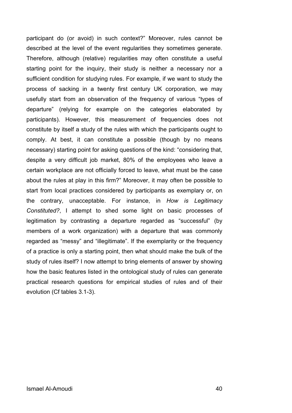participant do (or avoid) in such context?" Moreover, rules cannot be described at the level of the event regularities they sometimes generate. Therefore, although (relative) regularities may often constitute a useful starting point for the inquiry, their study is neither a necessary nor a sufficient condition for studying rules. For example, if we want to study the process of sacking in a twenty first century UK corporation, we may usefully start from an observation of the frequency of various "types of departure" (relying for example on the categories elaborated by participants). However, this measurement of frequencies does not constitute by itself a study of the rules with which the participants ought to comply. At best, it can constitute a possible (though by no means necessary) starting point for asking questions of the kind: "considering that, despite a very difficult job market, 80% of the employees who leave a certain workplace are not officially forced to leave, what must be the case about the rules at play in this firm?" Moreover, it may often be possible to start from local practices considered by participants as exemplary or, on the contrary, unacceptable. For instance, in *How is Legitimacy Constituted?*, I attempt to shed some light on basic processes of legitimation by contrasting a departure regarded as "successful" (by members of a work organization) with a departure that was commonly regarded as "messy" and "illegitimate". If the exemplarity or the frequency of a practice is only a starting point, then what should make the bulk of the study of rules itself? I now attempt to bring elements of answer by showing how the basic features listed in the ontological study of rules can generate practical research questions for empirical studies of rules and of their evolution (Cf tables 3.1-3).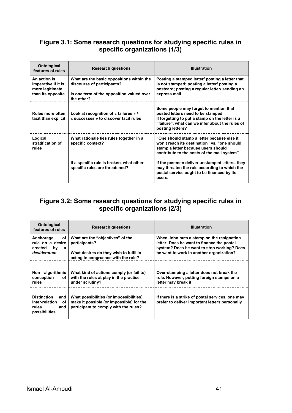## **Figure 3.1: Some research questions for studying specific rules in specific organizations (1/3)**

| <b>Ontological</b><br>features of rules                                     | <b>Research questions</b>                                                                                                          | <b>Illustration</b>                                                                                                                                                                                   |
|-----------------------------------------------------------------------------|------------------------------------------------------------------------------------------------------------------------------------|-------------------------------------------------------------------------------------------------------------------------------------------------------------------------------------------------------|
| An action is<br>imperative if it is<br>more legitimate<br>than its opposite | What are the basic oppositions within the<br>discourse of participants?<br>Is one term of the opposition valued over<br>the other? | Posting a stamped letter/ posting a letter that<br>is not stamped; posting a letter/ posting a<br>postcard; posting a regular letter/ sending an<br>express mail.                                     |
| Rules more often<br>tacit than explicit                                     | Look at recognition of « failures » /<br>« successes » to discover tacit rules                                                     | Some people may forget to mention that<br>posted letters need to be stamped<br>If forgetting to put a stamp on the letter is a<br>"failure", what can we infer about the rules of<br>posting letters? |
| Logical<br>stratification of<br>rules                                       | What rationale ties rules together in a<br>specific context?                                                                       | "One should stamp a letter because else it<br>won't reach its destination" vs. "one should<br>stamp a letter because users should<br>contribute to the costs of the mail system"                      |
|                                                                             | If a specific rule is broken, what other<br>specific rules are threatened?                                                         | If the postmen deliver unstamped letters, they<br>may threaten the rule according to which the<br>postal service ought to be financed by its<br>users.                                                |

# **Figure 3.2: Some research questions for studying specific rules in specific organizations (2/3)**

| <b>Ontological</b><br>features of rules                                            | <b>Research questions</b>                                                                                                          | <b>Illustration</b>                                                                                                                                                               |
|------------------------------------------------------------------------------------|------------------------------------------------------------------------------------------------------------------------------------|-----------------------------------------------------------------------------------------------------------------------------------------------------------------------------------|
| Anchorage<br>оf<br>rule on a desire<br>created<br>by<br>a<br>desideratum           | What are the "objectives" of the<br>participants?<br>What desires do they wish to fulfil in<br>acting in congruence with the rule? | When John puts a stamp on the resignation<br>letter: Does he want to finance the postal<br>system? Does he want to stop working? Does<br>he want to work in another organization? |
| algorithmic<br>Non<br>conception<br>of<br>rules                                    | What kind of actions comply (or fail to)<br>with the rules at play in the practice<br>under scrutiny?                              | Over-stamping a letter does not break the<br>rule. However, putting foreign stamps on a<br>letter may break it                                                                    |
| <b>Distinction</b><br>and<br>inter-relation<br>оf<br>rules<br>and<br>possibilities | What possibilities (or impossibilities)<br>make it possible (or impossible) for the<br>participant to comply with the rules?       | If there is a strike of postal services, one may<br>prefer to deliver important letters personally                                                                                |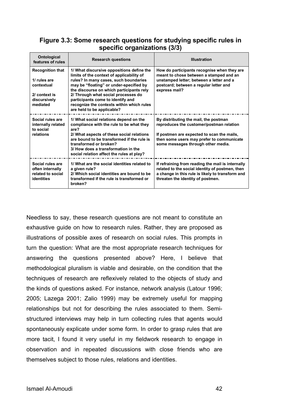## **Figure 3.3: Some research questions for studying specific rules in specific organizations (3/3)**

| <b>Ontological</b><br>features of rules                                                            | <b>Research questions</b>                                                                                                                                                                                                                                                                                                                                                     | <b>Illustration</b>                                                                                                                                                                                                |
|----------------------------------------------------------------------------------------------------|-------------------------------------------------------------------------------------------------------------------------------------------------------------------------------------------------------------------------------------------------------------------------------------------------------------------------------------------------------------------------------|--------------------------------------------------------------------------------------------------------------------------------------------------------------------------------------------------------------------|
| <b>Recognition that</b><br>1/ rules are<br>contextual<br>2/ context is<br>discursively<br>mediated | 1/ What discursive oppositions define the<br>limits of the context of applicability of<br>rules? In many cases, such boundaries<br>may be "floating" or under-specified by<br>the discourse on which participants rely<br>2/ Through what social processes do<br>participants come to identify and<br>recognize the contexts within which rules<br>are held to be applicable? | How do participants recognise when they are<br>meant to chose between a stamped and an<br>unstamped letter; between a letter and a<br>postcard; between a regular letter and<br>express mail?                      |
| Social rules are<br>internally related<br>to social<br>relations                                   | 1/ What social relations depend on the<br>compliance with the rule to be what they<br>are?<br>2/ What aspects of these social relations<br>are bound to be transformed if the rule is<br>transformed or broken?<br>3/ How does a transformation in the<br>social relation affect the rules at play?                                                                           | By distributing the mail, the postman<br>reproduces the customer/postman relation<br>If postmen are expected to scan the mails,<br>then some users may prefer to communicate<br>some messages through other media. |
| Social rules are<br>often internally<br>related to social<br>identities                            | 1/ What are the social identities related to<br>a given rule?<br>2/ Which social identities are bound to be<br>transformed if the rule is transformed or<br>broken?                                                                                                                                                                                                           | If refraining from reading the mail is internally<br>related to the social identity of postmen, then<br>a change in this rule is likely to transform and<br>threaten the identity of postmen.                      |

Needless to say, these research questions are not meant to constitute an exhaustive guide on how to research rules. Rather, they are proposed as illustrations of possible axes of research on social rules. This prompts in turn the question: What are the most appropriate research techniques for answering the questions presented above? Here, I believe that methodological pluralism is viable and desirable, on the condition that the techniques of research are reflexively related to the objects of study and the kinds of questions asked. For instance, network analysis (Latour 1996; 2005; Lazega 2001; Zalio 1999) may be extremely useful for mapping relationships but not for describing the rules associated to them. Semistructured interviews may help in turn collecting rules that agents would spontaneously explicate under some form. In order to grasp rules that are more tacit, I found it very useful in my fieldwork research to engage in observation and in repeated discussions with close friends who are themselves subject to those rules, relations and identities.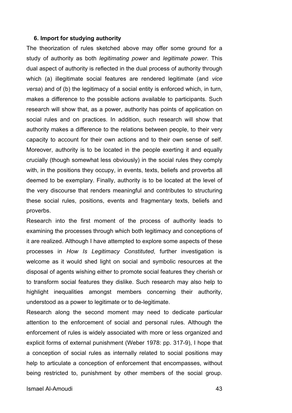#### **6. Import for studying authority**

The theorization of rules sketched above may offer some ground for a study of authority as both *legitimating power* and *legitimate power*. This dual aspect of authority is reflected in the dual process of authority through which (a) illegitimate social features are rendered legitimate (and *vice versa*) and of (b) the legitimacy of a social entity is enforced which, in turn, makes a difference to the possible actions available to participants. Such research will show that, as a power, authority has points of application on social rules and on practices. In addition, such research will show that authority makes a difference to the relations between people, to their very capacity to account for their own actions and to their own sense of self. Moreover, authority is to be located in the people exerting it and equally crucially (though somewhat less obviously) in the social rules they comply with, in the positions they occupy, in events, texts, beliefs and proverbs all deemed to be exemplary. Finally, authority is to be located at the level of the very discourse that renders meaningful and contributes to structuring these social rules, positions, events and fragmentary texts, beliefs and proverbs.

Research into the first moment of the process of authority leads to examining the processes through which both legitimacy and conceptions of it are realized. Although I have attempted to explore some aspects of these processes in *How Is Legitimacy Constituted*, further investigation is welcome as it would shed light on social and symbolic resources at the disposal of agents wishing either to promote social features they cherish or to transform social features they dislike. Such research may also help to highlight inequalities amongst members concerning their authority, understood as a power to legitimate or to de-legitimate.

Research along the second moment may need to dedicate particular attention to the enforcement of social and personal rules. Although the enforcement of rules is widely associated with more or less organized and explicit forms of external punishment (Weber 1978: pp. 317-9), I hope that a conception of social rules as internally related to social positions may help to articulate a conception of enforcement that encompasses, without being restricted to, punishment by other members of the social group.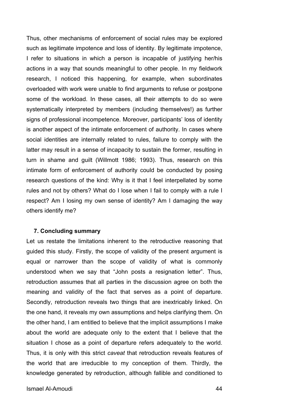Thus, other mechanisms of enforcement of social rules may be explored such as legitimate impotence and loss of identity. By legitimate impotence, I refer to situations in which a person is incapable of justifying her/his actions in a way that sounds meaningful to other people. In my fieldwork research, I noticed this happening, for example, when subordinates overloaded with work were unable to find arguments to refuse or postpone some of the workload. In these cases, all their attempts to do so were systematically interpreted by members (including themselves!) as further signs of professional incompetence. Moreover, participants' loss of identity is another aspect of the intimate enforcement of authority. In cases where social identities are internally related to rules, failure to comply with the latter may result in a sense of incapacity to sustain the former, resulting in turn in shame and guilt (Willmott 1986; 1993). Thus, research on this intimate form of enforcement of authority could be conducted by posing research questions of the kind: Why is it that I feel interpellated by some rules and not by others? What do I lose when I fail to comply with a rule I respect? Am I losing my own sense of identity? Am I damaging the way others identify me?

### **7. Concluding summary**

Let us restate the limitations inherent to the retroductive reasoning that guided this study. Firstly, the scope of validity of the present argument is equal or narrower than the scope of validity of what is commonly understood when we say that "John posts a resignation letter". Thus, retroduction assumes that all parties in the discussion agree on both the meaning and validity of the fact that serves as a point of departure. Secondly, retroduction reveals two things that are inextricably linked. On the one hand, it reveals my own assumptions and helps clarifying them. On the other hand, I am entitled to believe that the implicit assumptions I make about the world are adequate only to the extent that I believe that the situation I chose as a point of departure refers adequately to the world. Thus, it is only with this strict *caveat* that retroduction reveals features of the world that are irreducible to my conception of them. Thirdly, the knowledge generated by retroduction, although fallible and conditioned to

Ismael Al-Amoudi 44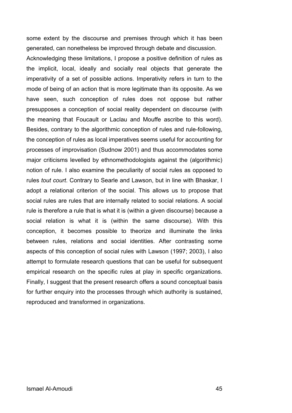some extent by the discourse and premises through which it has been generated, can nonetheless be improved through debate and discussion.

Acknowledging these limitations, I propose a positive definition of rules as the implicit, local, ideally and socially real objects that generate the imperativity of a set of possible actions. Imperativity refers in turn to the mode of being of an action that is more legitimate than its opposite. As we have seen, such conception of rules does not oppose but rather presupposes a conception of social reality dependent on discourse (with the meaning that Foucault or Laclau and Mouffe ascribe to this word). Besides, contrary to the algorithmic conception of rules and rule-following, the conception of rules as local imperatives seems useful for accounting for processes of improvisation (Sudnow 2001) and thus accommodates some major criticisms levelled by ethnomethodologists against the (algorithmic) notion of rule. I also examine the peculiarity of social rules as opposed to rules *tout court*. Contrary to Searle and Lawson, but in line with Bhaskar, I adopt a relational criterion of the social. This allows us to propose that social rules are rules that are internally related to social relations. A social rule is therefore a rule that is what it is (within a given discourse) because a social relation is what it is (within the same discourse). With this conception, it becomes possible to theorize and illuminate the links between rules, relations and social identities. After contrasting some aspects of this conception of social rules with Lawson (1997; 2003), I also attempt to formulate research questions that can be useful for subsequent empirical research on the specific rules at play in specific organizations. Finally, I suggest that the present research offers a sound conceptual basis for further enquiry into the processes through which authority is sustained, reproduced and transformed in organizations.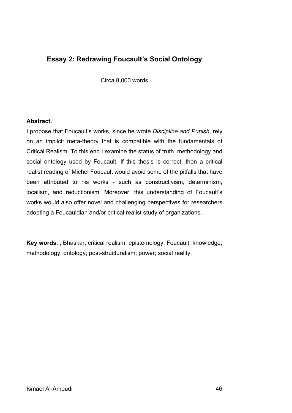## **Essay 2: Redrawing Foucault's Social Ontology**

Circa 8,000 words

## **Abstract.**

I propose that Foucault's works, since he wrote *Discipline and Punish*, rely on an implicit meta-theory that is compatible with the fundamentals of Critical Realism. To this end I examine the status of truth, methodology and social ontology used by Foucault. If this thesis is correct, then a critical realist reading of Michel Foucault would avoid some of the pitfalls that have been attributed to his works - such as constructivism, determinism, localism, and reductionism. Moreover, this understanding of Foucault's works would also offer novel and challenging perspectives for researchers adopting a Foucauldian and/or critical realist study of organizations.

**Key words.** ; Bhaskar; critical realism; epistemology; Foucault; knowledge; methodology; ontology; post-structuralism; power; social reality.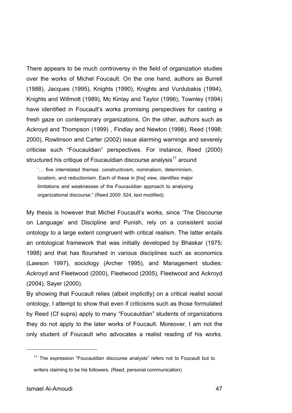There appears to be much controversy in the field of organization studies over the works of Michel Foucault. On the one hand, authors as Burrell (1988), Jacques (1995), Knights (1990), Knights and Vurdubakis (1994), Knights and Willmott (1989), Mc Kinlay and Taylor (1996), Townley (1994) have identified in Foucault's works promising perspectives for casting a fresh gaze on contemporary organizations. On the other, authors such as Ackroyd and Thompson (1999) , Findlay and Newton (1998), Reed (1998; 2000), Rowlinson and Carter (2002) issue alarming warnings and severely criticise such "Foucauldian" perspectives. For instance, Reed (2000) structured his critique of Foucauldian discourse analysis<sup>11</sup> around

'… five interrelated themes: constructivism, nominalism, determinism, localism, and reductionism. Each of these in [his] view, identifies major limitations and weaknesses of the Foucauldian approach to analysing organizational discourse." (Reed 2000: 524, text modified).

My thesis is however that Michel Foucault's works, since 'The Discourse on Language' and Discipline and Punish, rely on a consistent social ontology to a large extent congruent with critical realism. The latter entails an ontological framework that was initially developed by Bhaskar (1975; 1998) and that has flourished in various disciplines such as economics (Lawson 1997), sociology (Archer 1995), and Management studies: Ackroyd and Fleetwood (2000), Fleetwood (2005), Fleetwood and Ackroyd (2004), Sayer (2000).

By showing that Foucault relies (albeit implicitly) on a critical realist social ontology, I attempt to show that even if criticisms such as those formulated by Reed (Cf supra) apply to many "Foucauldian" students of organizations they do not apply to the later works of Foucault. Moreover, I am not the only student of Foucault who advocates a realist reading of his works.

1

 $11$  The expression "Foucauldian discourse analysts" refers not to Foucault but to writers claiming to be his followers. (Reed, personal communication)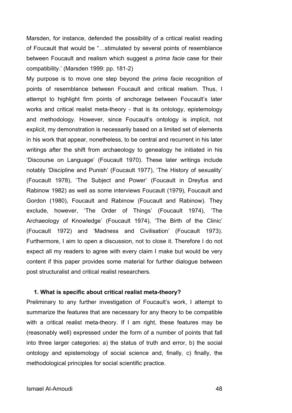Marsden, for instance, defended the possibility of a critical realist reading of Foucault that would be "…stimulated by several points of resemblance between Foucault and realism which suggest a *prima facie* case for their compatibility.' (Marsden 1999: pp. 181-2)

My purpose is to move one step beyond the *prima facie* recognition of points of resemblance between Foucault and critical realism. Thus, I attempt to highlight firm points of anchorage between Foucault's later works and critical realist meta-theory - that is its ontology, epistemology and methodology. However, since Foucault's ontology is implicit, not explicit, my demonstration is necessarily based on a limited set of elements in his work that appear, nonetheless, to be central and recurrent in his later writings after the shift from archaeology to genealogy he initiated in his 'Discourse on Language' (Foucault 1970). These later writings include notably 'Discipline and Punish' (Foucault 1977), 'The History of sexuality' (Foucault 1978), 'The Subject and Power' (Foucault in Dreyfus and Rabinow 1982) as well as some interviews Foucault (1979), Foucault and Gordon (1980), Foucault and Rabinow (Foucault and Rabinow). They exclude, however, 'The Order of Things' (Foucault 1974), 'The Archaeology of Knowledge' (Foucault 1974), 'The Birth of the Clinic' (Foucault 1972) and 'Madness and Civilisation' (Foucault 1973). Furthermore, I aim to open a discussion, not to close it. Therefore I do not expect all my readers to agree with every claim I make but would be very content if this paper provides some material for further dialogue between post structuralist and critical realist researchers.

## **1. What is specific about critical realist meta-theory?**

Preliminary to any further investigation of Foucault's work, I attempt to summarize the features that are necessary for any theory to be compatible with a critical realist meta-theory. If I am right, these features may be (reasonably well) expressed under the form of a number of points that fall into three larger categories: a) the status of truth and error, b) the social ontology and epistemology of social science and, finally, c) finally, the methodological principles for social scientific practice.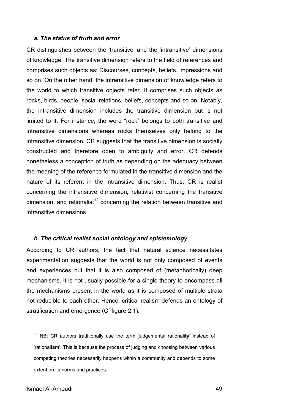### *a. The status of truth and error*

CR distinguishes between the 'transitive' and the 'intransitive' dimensions of knowledge. The transitive dimension refers to the field of references and comprises such objects as: Discourses, concepts, beliefs, impressions and so on. On the other hand, the intransitive dimension of knowledge refers to the world to which transitive objects refer. It comprises such objects as rocks, birds, people, social relations, beliefs, concepts and so on. Notably, the intransitive dimension includes the transitive dimension but is not limited to it. For instance, the word "rock" belongs to both transitive and intransitive dimensions whereas rocks themselves only belong to the intransitive dimension. CR suggests that the transitive dimension is socially constructed and therefore open to ambiguity and error. CR defends nonetheless a conception of truth as depending on the adequacy between the meaning of the reference formulated in the transitive dimension and the nature of its referent in the intransitive dimension. Thus, CR is realist concerning the intransitive dimension, relativist concerning the transitive dimension, and rationalist<sup>12</sup> concerning the relation between transitive and intransitive dimensions.

## *b. The critical realist social ontology and epistemology*

According to CR authors, the fact that natural science necessitates experimentation suggests that the world is not only composed of events and experiences but that it is also composed of (metaphorically) deep mechanisms. It is not usually possible for a single theory to encompass all the mechanisms present in the world as it is composed of multiple strata not reducible to each other. Hence, critical realism defends an ontology of stratification and emergence (Cf figure 2.1).

1

<sup>12</sup> NB: CR authors traditionally use the term 'judgemental rationali**ty**' instead of 'rational**ism**'. This is because the process of judging and choosing between various competing theories necessarily happens within a community and depends to some extent on its norms and practices.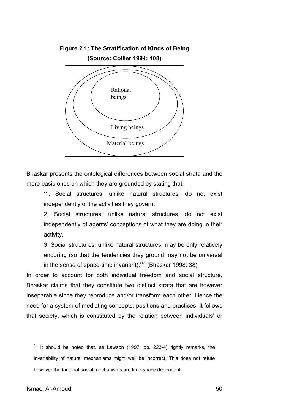



Bhaskar presents the ontological differences between social strata and the more basic ones on which they are grounded by stating that:

'1. Social structures, unlike natural structures, do not exist independently of the activities they govern.

2. Social structures, unlike natural structures, do not exist independently of agents' conceptions of what they are doing in their activity.

3. Social structures, unlike natural structures, may be only relatively enduring (so that the tendencies they ground may not be universal in the sense of space-time invariant).<sup>13</sup> (Bhaskar 1998: 38)

In order to account for both individual freedom and social structure, Bhaskar claims that they constitute two distinct strata that are however inseparable since they reproduce and/or transform each other. Hence the need for a system of mediating concepts: positions and practices. It follows that society, which is constituted by the relation between individuals' or

<u>.</u>

 $13$  It should be noted that, as Lawson (1997: pp. 223-4) rightly remarks, the invariability of natural mechanisms might well be incorrect. This does not refute however the fact that social mechanisms are time-space dependent.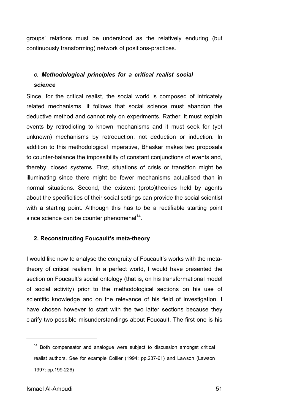groups' relations must be understood as the relatively enduring (but continuously transforming) network of positions-practices.

# *c. Methodological principles for a critical realist social science*

Since, for the critical realist, the social world is composed of intricately related mechanisms, it follows that social science must abandon the deductive method and cannot rely on experiments. Rather, it must explain events by retrodicting to known mechanisms and it must seek for (yet unknown) mechanisms by retroduction, not deduction or induction. In addition to this methodological imperative, Bhaskar makes two proposals to counter-balance the impossibility of constant conjunctions of events and, thereby, closed systems. First, situations of crisis or transition might be illuminating since there might be fewer mechanisms actualised than in normal situations. Second, the existent (proto)theories held by agents about the specificities of their social settings can provide the social scientist with a starting point. Although this has to be a rectifiable starting point since science can be counter phenomenal<sup>14</sup>.

## **2. Reconstructing Foucault's meta-theory**

I would like now to analyse the congruity of Foucault's works with the metatheory of critical realism. In a perfect world, I would have presented the section on Foucault's social ontology (that is, on his transformational model of social activity) prior to the methodological sections on his use of scientific knowledge and on the relevance of his field of investigation. I have chosen however to start with the two latter sections because they clarify two possible misunderstandings about Foucault. The first one is his

<u>.</u>

 $14$  Both compensator and analogue were subject to discussion amongst critical realist authors. See for example Collier (1994: pp.237-61) and Lawson (Lawson 1997: pp.199-226)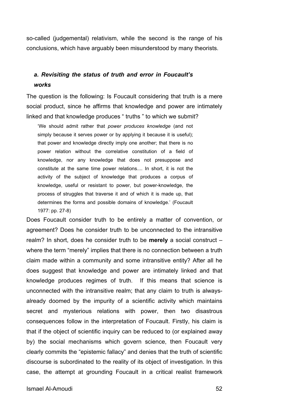so-called (judgemental) relativism, while the second is the range of his conclusions, which have arguably been misunderstood by many theorists.

## *a. Revisiting the status of truth and error in Foucault's works*

The question is the following: Is Foucault considering that truth is a mere social product, since he affirms that knowledge and power are intimately linked and that knowledge produces " truths " to which we submit?

'We should admit rather that *power produces knowledge* (and not simply because it serves power or by applying it because it is useful); that power and knowledge directly imply one another; that there is no power relation without the correlative constitution of a field of knowledge, nor any knowledge that does not presuppose and constitute at the same time power relations.... In short, it is not the activity of the subject of knowledge that produces a corpus of knowledge, useful or resistant to power, but power-knowledge, the process of struggles that traverse it and of which it is made up, that determines the forms and possible domains of knowledge.' (Foucault 1977: pp. 27-8)

Does Foucault consider truth to be entirely a matter of convention, or agreement? Does he consider truth to be unconnected to the intransitive realm? In short, does he consider truth to be **merely** a social construct – where the term "merely" implies that there is no connection between a truth claim made within a community and some intransitive entity? After all he does suggest that knowledge and power are intimately linked and that knowledge produces regimes of truth. If this means that science is unconnected with the intransitive realm; that any claim to truth is alwaysalready doomed by the impurity of a scientific activity which maintains secret and mysterious relations with power, then two disastrous consequences follow in the interpretation of Foucault. Firstly, his claim is that if the object of scientific inquiry can be reduced to (or explained away by) the social mechanisms which govern science, then Foucault very clearly commits the "epistemic fallacy" and denies that the truth of scientific discourse is subordinated to the reality of its object of investigation. In this case, the attempt at grounding Foucault in a critical realist framework

### Ismael Al-Amoudi 52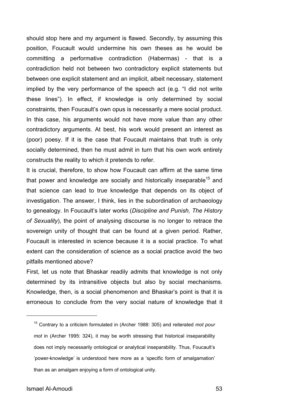should stop here and my argument is flawed. Secondly, by assuming this position, Foucault would undermine his own theses as he would be committing a performative contradiction (Habermas) - that is a contradiction held not between two contradictory explicit statements but between one explicit statement and an implicit, albeit necessary, statement implied by the very performance of the speech act (e.g. "I did not write these lines"). In effect, if knowledge is only determined by social constraints, then Foucault's own opus is necessarily a mere social product. In this case, his arguments would not have more value than any other contradictory arguments. At best, his work would present an interest as (poor) poesy. If it is the case that Foucault maintains that truth is only socially determined, then he must admit in turn that his own work entirely constructs the reality to which it pretends to refer.

It is crucial, therefore, to show how Foucault can affirm at the same time that power and knowledge are socially and historically inseparable<sup>15</sup> and that science can lead to true knowledge that depends on its object of investigation. The answer, I think, lies in the subordination of archaeology to genealogy. In Foucault's later works (*Discipline and Punish, The History of Sexuality*), the point of analysing discourse is no longer to retrace the sovereign unity of thought that can be found at a given period. Rather, Foucault is interested in science because it is a social practice. To what extent can the consideration of science as a social practice avoid the two pitfalls mentioned above?

First, let us note that Bhaskar readily admits that knowledge is not only determined by its intransitive objects but also by social mechanisms. Knowledge, then, is a social phenomenon and Bhaskar's point is that it is erroneous to conclude from the very social nature of knowledge that it

1

<sup>15</sup> Contrary to a criticism formulated in (Archer 1988: 305) and reiterated *mot pour mot* in (Archer 1995: 324), it may be worth stressing that historical inseparability does not imply necessarily ontological or analytical inseparability. Thus, Foucault's 'power-knowledge' is understood here more as a 'specific form of amalgamation' than as an amalgam enjoying a form of ontological unity.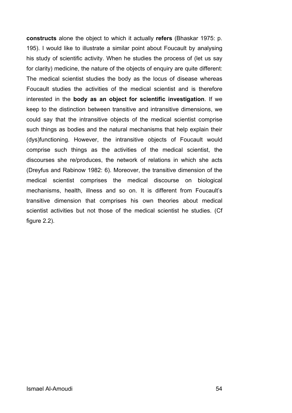**constructs** alone the object to which it actually **refers** (Bhaskar 1975: p. 195). I would like to illustrate a similar point about Foucault by analysing his study of scientific activity. When he studies the process of (let us say for clarity) medicine, the nature of the objects of enquiry are quite different: The medical scientist studies the body as the locus of disease whereas Foucault studies the activities of the medical scientist and is therefore interested in the **body as an object for scientific investigation**. If we keep to the distinction between transitive and intransitive dimensions, we could say that the intransitive objects of the medical scientist comprise such things as bodies and the natural mechanisms that help explain their (dys)functioning. However, the intransitive objects of Foucault would comprise such things as the activities of the medical scientist, the discourses she re/produces, the network of relations in which she acts (Dreyfus and Rabinow 1982: 6). Moreover, the transitive dimension of the medical scientist comprises the medical discourse on biological mechanisms, health, illness and so on. It is different from Foucault's transitive dimension that comprises his own theories about medical scientist activities but not those of the medical scientist he studies. (Cf figure 2.2).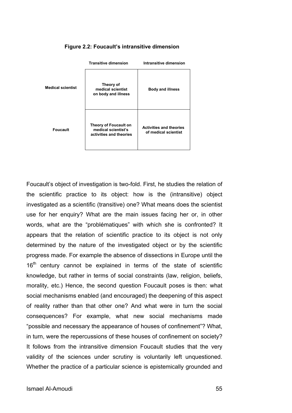|                          | <b>Transitive dimension</b>                                                    | Intransitive dimension                                 |
|--------------------------|--------------------------------------------------------------------------------|--------------------------------------------------------|
| <b>Medical scientist</b> | Theory of<br>medical scientist<br>on body and illness                          | <b>Body and illness</b>                                |
| <b>Foucault</b>          | <b>Theory of Foucault on</b><br>medical scientist's<br>activities and theories | <b>Activities and theories</b><br>of medical scientist |

### **Figure 2.2: Foucault's intransitive dimension**

Foucault's object of investigation is two-fold. First, he studies the relation of the scientific practice to its object: how is the (intransitive) object investigated as a scientific (transitive) one? What means does the scientist use for her enquiry? What are the main issues facing her or, in other words, what are the "problématiques" with which she is confronted? It appears that the relation of scientific practice to its object is not only determined by the nature of the investigated object or by the scientific progress made. For example the absence of dissections in Europe until the  $16<sup>th</sup>$  century cannot be explained in terms of the state of scientific knowledge, but rather in terms of social constraints (law, religion, beliefs, morality, etc.) Hence, the second question Foucault poses is then: what social mechanisms enabled (and encouraged) the deepening of this aspect of reality rather than that other one? And what were in turn the social consequences? For example, what new social mechanisms made "possible and necessary the appearance of houses of confinement"? What, in turn, were the repercussions of these houses of confinement on society? It follows from the intransitive dimension Foucault studies that the very validity of the sciences under scrutiny is voluntarily left unquestioned. Whether the practice of a particular science is epistemically grounded and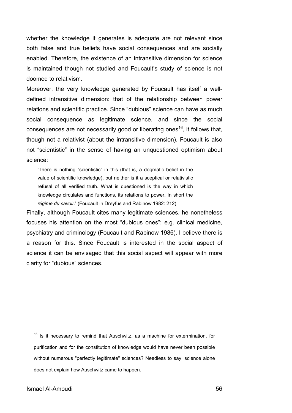whether the knowledge it generates is adequate are not relevant since both false and true beliefs have social consequences and are socially enabled. Therefore, the existence of an intransitive dimension for science is maintained though not studied and Foucault's study of science is not doomed to relativism.

Moreover, the very knowledge generated by Foucault has itself a welldefined intransitive dimension: that of the relationship between power relations and scientific practice. Since "dubious" science can have as much social consequence as legitimate science, and since the social consequences are not necessarily good or liberating ones<sup>16</sup>, it follows that. though not a relativist (about the intransitive dimension), Foucault is also not "scientistic" in the sense of having an unquestioned optimism about science:

'There is nothing "scientistic" in this (that is, a dogmatic belief in the value of scientific knowledge), but neither is it a sceptical or relativistic refusal of all verified truth. What is questioned is the way in which knowledge circulates and functions, its relations to power. In short the *régime du savoir.*' (Foucault in Dreyfus and Rabinow 1982: 212)

Finally, although Foucault cites many legitimate sciences, he nonetheless focuses his attention on the most "dubious ones": e.g. clinical medicine, psychiatry and criminology (Foucault and Rabinow 1986). I believe there is a reason for this. Since Foucault is interested in the social aspect of science it can be envisaged that this social aspect will appear with more clarity for "dubious" sciences.

1

 $16$  Is it necessary to remind that Auschwitz, as a machine for extermination, for purification and for the constitution of knowledge would have never been possible without numerous "perfectly legitimate" sciences? Needless to say, science alone does not explain how Auschwitz came to happen.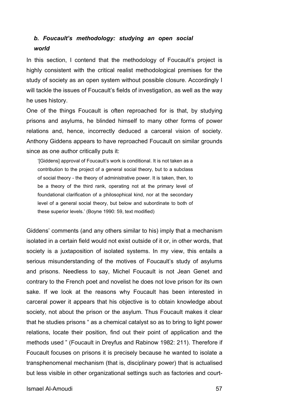# *b. Foucault's methodology: studying an open social world*

In this section, I contend that the methodology of Foucault's project is highly consistent with the critical realist methodological premises for the study of society as an open system without possible closure. Accordingly I will tackle the issues of Foucault's fields of investigation, as well as the way he uses history.

One of the things Foucault is often reproached for is that, by studying prisons and asylums, he blinded himself to many other forms of power relations and, hence, incorrectly deduced a carceral vision of society. Anthony Giddens appears to have reproached Foucault on similar grounds since as one author critically puts it:

'[Giddens] approval of Foucault's work is conditional. It is not taken as a contribution to the project of a general social theory, but to a subclass of social theory - the theory of administrative power. It is taken, then, to be a theory of the third rank, operating not at the primary level of foundational clarification of a philosophical kind, nor at the secondary level of a general social theory, but below and subordinate to both of these superior levels.' (Boyne 1990: 59, text modified)

Giddens' comments (and any others similar to his) imply that a mechanism isolated in a certain field would not exist outside of it or, in other words, that society is a juxtaposition of isolated systems. In my view, this entails a serious misunderstanding of the motives of Foucault's study of asylums and prisons. Needless to say, Michel Foucault is not Jean Genet and contrary to the French poet and novelist he does not love prison for its own sake. If we look at the reasons why Foucault has been interested in carceral power it appears that his objective is to obtain knowledge about society, not about the prison or the asylum. Thus Foucault makes it clear that he studies prisons " as a chemical catalyst so as to bring to light power relations, locate their position, find out their point of application and the methods used " (Foucault in Dreyfus and Rabinow 1982: 211). Therefore if Foucault focuses on prisons it is precisely because he wanted to isolate a transphenomenal mechanism (that is, disciplinary power) that is actualised but less visible in other organizational settings such as factories and court-

Ismael Al-Amoudi 57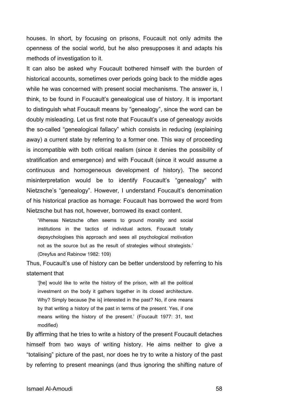houses. In short, by focusing on prisons, Foucault not only admits the openness of the social world, but he also presupposes it and adapts his methods of investigation to it.

It can also be asked why Foucault bothered himself with the burden of historical accounts, sometimes over periods going back to the middle ages while he was concerned with present social mechanisms. The answer is, I think, to be found in Foucault's genealogical use of history. It is important to distinguish what Foucault means by "genealogy", since the word can be doubly misleading. Let us first note that Foucault's use of genealogy avoids the so-called "genealogical fallacy" which consists in reducing (explaining away) a current state by referring to a former one. This way of proceeding is incompatible with both critical realism (since it denies the possibility of stratification and emergence) and with Foucault (since it would assume a continuous and homogeneous development of history). The second misinterpretation would be to identify Foucault's "genealogy" with Nietzsche's "genealogy". However, I understand Foucault's denomination of his historical practice as homage: Foucault has borrowed the word from Nietzsche but has not, however, borrowed its exact content.

'Whereas Nietzsche often seems to ground morality and social institutions in the tactics of individual actors, Foucault totally depsychologises this approach and sees all psychological motivation not as the source but as the result of strategies without strategists.' (Dreyfus and Rabinow 1982: 109)

Thus, Foucault's use of history can be better understood by referring to his statement that

'[he] would like to write the history of the prison, with all the political investment on the body it gathers together in its closed architecture. Why? Simply because [he is] interested in the past? No, if one means by that writing a history of the past in terms of the present. Yes, if one means writing the history of the present.' (Foucault 1977: 31, text modified)

By affirming that he tries to write a history of the present Foucault detaches himself from two ways of writing history. He aims neither to give a "totalising" picture of the past, nor does he try to write a history of the past by referring to present meanings (and thus ignoring the shifting nature of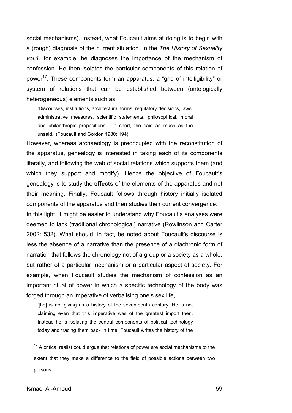social mechanisms). Instead, what Foucault aims at doing is to begin with a (rough) diagnosis of the current situation. In the *The History of Sexuality vol.1*, for example, he diagnoses the importance of the mechanism of confession. He then isolates the particular components of this relation of power<sup>17</sup>. These components form an apparatus, a "grid of intelligibility" or system of relations that can be established between (ontologically heterogeneous) elements such as

'Discourses, institutions, architectural forms, regulatory decisions, laws, administrative measures, scientific statements, philosophical, moral and philanthropic propositions - in short, the said as much as the unsaid.' (Foucault and Gordon 1980: 194)

However, whereas archaeology is preoccupied with the reconstitution of the apparatus, genealogy is interested in taking each of its components literally, and following the web of social relations which supports them (and which they support and modify). Hence the objective of Foucault's genealogy is to study the **effects** of the elements of the apparatus and not their meaning. Finally, Foucault follows through history initially isolated components of the apparatus and then studies their current convergence.

In this light, it might be easier to understand why Foucault's analyses were deemed to lack (traditional chronological) narrative (Rowlinson and Carter 2002: 532). What should, in fact, be noted about Foucault's discourse is less the absence of a narrative than the presence of a diachronic form of narration that follows the chronology not of a group or a society as a whole, but rather of a particular mechanism or a particular aspect of society. For example, when Foucault studies the mechanism of confession as an important ritual of power in which a specific technology of the body was forged through an imperative of verbalising one's sex life,

'[he] is not giving us a history of the seventeenth century. He is not claiming even that this imperative was of the greatest import then. Instead he is isolating the central components of political technology today and tracing them back in time. Foucault writes the history of the

<u>.</u>

<sup>&</sup>lt;sup>17</sup> A critical realist could argue that relations of power are social mechanisms to the extent that they make a difference to the field of possible actions between two persons.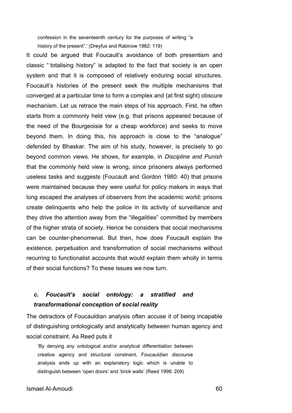confession in the seventeenth century for the purposes of writing "a history of the present".' (Dreyfus and Rabinow 1982: 119)

It could be argued that Foucault's avoidance of both presentism and classic " totalising history" is adapted to the fact that society is an open system and that it is composed of relatively enduring social structures. Foucault's histories of the present seek the multiple mechanisms that converged at a particular time to form a complex and (at first sight) obscure mechanism. Let us retrace the main steps of his approach. First, he often starts from a commonly held view (e.g. that prisons appeared because of the need of the Bourgeoisie for a cheap workforce) and seeks to move beyond them. In doing this, his approach is close to the "analogue" defended by Bhaskar. The aim of his study, however, is precisely to go beyond common views. He shows, for example, in *Discipline and Punish* that the commonly held view is wrong, since prisoners always performed useless tasks and suggests (Foucault and Gordon 1980: 40) that prisons were maintained because they were useful for policy makers in ways that long escaped the analyses of observers from the academic world: prisons create delinquents who help the police in its activity of surveillance and they drive the attention away from the "illegalities" committed by members of the higher strata of society. Hence he considers that social mechanisms can be counter-phenomenal. But then, how does Foucault explain the existence, perpetuation and transformation of social mechanisms without recurring to functionalist accounts that would explain them wholly in terms of their social functions? To these issues we now turn.

# *c. Foucault's social ontology: a stratified and transformational conception of social reality*

The detractors of Foucauldian analysis often accuse it of being incapable of distinguishing ontologically and analytically between human agency and social constraint. As Reed puts it

'By denying any ontological and/or analytical differentiation between creative agency and structural constraint, Foucauldian discourse analysis ends up with an explanatory logic which is unable to distinguish between 'open doors' and 'brick walls' (Reed 1998: 209)

### Ismael Al-Amoudi 60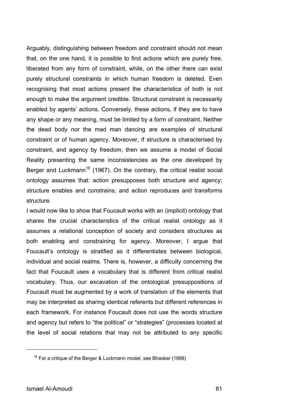Arguably, distinguishing between freedom and constraint should not mean that, on the one hand, it is possible to find actions which are purely free, liberated from any form of constraint, while, on the other there can exist purely structural constraints in which human freedom is deleted. Even recognising that most actions present the characteristics of both is not enough to make the argument credible. Structural constraint is necessarily enabled by agents' actions. Conversely, these actions, if they are to have any shape or any meaning, must be limited by a form of constraint. Neither the dead body nor the mad man dancing are examples of structural constraint or of human agency. Moreover, if structure is characterised by constraint, and agency by freedom, then we assume a model of Social Reality presenting the same inconsistencies as the one developed by Berger and Luckmann<sup>18</sup> (1967). On the contrary, the critical realist social ontology assumes that: action presupposes both structure and agency; structure enables and constrains; and action reproduces and transforms structure.

I would now like to show that Foucault works with an (implicit) ontology that shares the crucial characteristics of the critical realist ontology as it assumes a relational conception of society and considers structures as both enabling and constraining for agency. Moreover, I argue that Foucault's ontology is stratified as it differentiates between biological, individual and social realms. There is, however, a difficulty concerning the fact that Foucault uses a vocabulary that is different from critical realist vocabulary. Thus, our excavation of the ontological presuppositions of Foucault must be augmented by a work of translation of the elements that may be interpreted as sharing identical referents but different references in each framework. For instance Foucault does not use the words structure and agency but refers to "the political" or "strategies" (processes located at the level of social relations that may not be attributed to any specific

1

 $18$  For a critique of the Berger & Luckmann model, see Bhaskar (1998)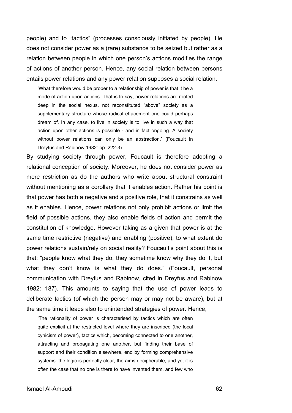people) and to "tactics" (processes consciously initiated by people). He does not consider power as a (rare) substance to be seized but rather as a relation between people in which one person's actions modifies the range of actions of another person. Hence, any social relation between persons entails power relations and any power relation supposes a social relation.

'What therefore would be proper to a relationship of power is that it be a mode of action upon actions. That is to say, power relations are rooted deep in the social nexus, not reconstituted "above" society as a supplementary structure whose radical effacement one could perhaps dream of. In any case, to live in society is to live in such a way that action upon other actions is possible - and in fact ongoing. A society without power relations can only be an abstraction.' (Foucault in Dreyfus and Rabinow 1982: pp. 222-3)

By studying society through power, Foucault is therefore adopting a relational conception of society. Moreover, he does not consider power as mere restriction as do the authors who write about structural constraint without mentioning as a corollary that it enables action. Rather his point is that power has both a negative and a positive role, that it constrains as well as it enables. Hence, power relations not only prohibit actions or limit the field of possible actions, they also enable fields of action and permit the constitution of knowledge. However taking as a given that power is at the same time restrictive (negative) and enabling (positive), to what extent do power relations sustain/rely on social reality? Foucault's point about this is that: "people know what they do, they sometime know why they do it, but what they don't know is what they do does." (Foucault, personal communication with Dreyfus and Rabinow, cited in Dreyfus and Rabinow 1982: 187). This amounts to saying that the use of power leads to deliberate tactics (of which the person may or may not be aware), but at the same time it leads also to unintended strategies of power. Hence,

'The rationality of power is characterised by tactics which are often quite explicit at the restricted level where they are inscribed (the local cynicism of power), tactics which, becoming connected to one another, attracting and propagating one another, but finding their base of support and their condition elsewhere, end by forming comprehensive systems: the logic is perfectly clear, the aims decipherable, and yet it is often the case that no one is there to have invented them, and few who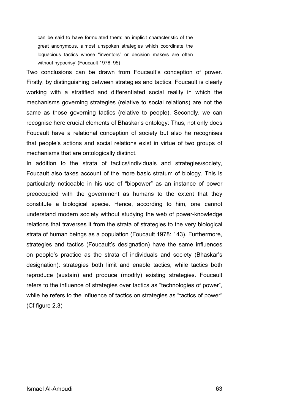can be said to have formulated them: an implicit characteristic of the great anonymous, almost unspoken strategies which coordinate the loquacious tactics whose "inventors" or decision makers are often without hypocrisy' (Foucault 1978: 95)

Two conclusions can be drawn from Foucault's conception of power. Firstly, by distinguishing between strategies and tactics, Foucault is clearly working with a stratified and differentiated social reality in which the mechanisms governing strategies (relative to social relations) are not the same as those governing tactics (relative to people). Secondly, we can recognise here crucial elements of Bhaskar's ontology: Thus, not only does Foucault have a relational conception of society but also he recognises that people's actions and social relations exist in virtue of two groups of mechanisms that are ontologically distinct.

In addition to the strata of tactics/individuals and strategies/society, Foucault also takes account of the more basic stratum of biology. This is particularly noticeable in his use of "biopower" as an instance of power preoccupied with the government as humans to the extent that they constitute a biological specie. Hence, according to him, one cannot understand modern society without studying the web of power-knowledge relations that traverses it from the strata of strategies to the very biological strata of human beings as a population (Foucault 1978: 143). Furthermore, strategies and tactics (Foucault's designation) have the same influences on people's practice as the strata of individuals and society (Bhaskar's designation): strategies both limit and enable tactics, while tactics both reproduce (sustain) and produce (modify) existing strategies. Foucault refers to the influence of strategies over tactics as "technologies of power", while he refers to the influence of tactics on strategies as "tactics of power" (Cf figure 2.3)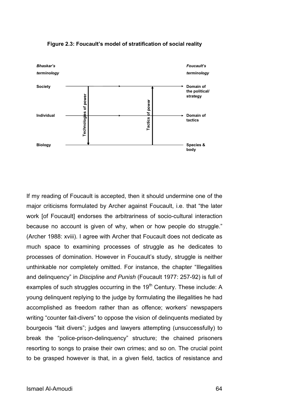

#### **Figure 2.3: Foucault's model of stratification of social reality**

If my reading of Foucault is accepted, then it should undermine one of the major criticisms formulated by Archer against Foucault, i.e. that "the later work [of Foucault] endorses the arbitrariness of socio-cultural interaction because no account is given of why, when or how people do struggle." (Archer 1988: xviii). I agree with Archer that Foucault does not dedicate as much space to examining processes of struggle as he dedicates to processes of domination. However in Foucault's study, struggle is neither unthinkable nor completely omitted. For instance, the chapter "Illegalities and delinquency" in *Discipline and Punish* (Foucault 1977: 257-92) is full of examples of such struggles occurring in the 19<sup>th</sup> Century. These include: A young delinquent replying to the judge by formulating the illegalities he had accomplished as freedom rather than as offence; workers' newspapers writing "counter fait-divers" to oppose the vision of delinquents mediated by bourgeois "fait divers"; judges and lawyers attempting (unsuccessfully) to break the "police-prison-delinquency" structure; the chained prisoners resorting to songs to praise their own crimes; and so on. The crucial point to be grasped however is that, in a given field, tactics of resistance and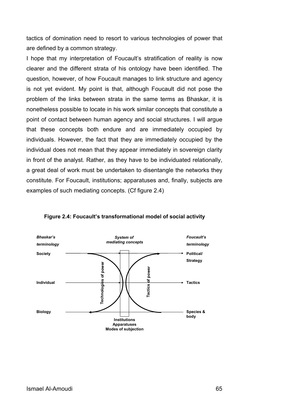tactics of domination need to resort to various technologies of power that are defined by a common strategy.

I hope that my interpretation of Foucault's stratification of reality is now clearer and the different strata of his ontology have been identified. The question, however, of how Foucault manages to link structure and agency is not yet evident. My point is that, although Foucault did not pose the problem of the links between strata in the same terms as Bhaskar, it is nonetheless possible to locate in his work similar concepts that constitute a point of contact between human agency and social structures. I will argue that these concepts both endure and are immediately occupied by individuals. However, the fact that they are immediately occupied by the individual does not mean that they appear immediately in sovereign clarity in front of the analyst. Rather, as they have to be individuated relationally, a great deal of work must be undertaken to disentangle the networks they constitute. For Foucault, institutions; apparatuses and, finally, subjects are examples of such mediating concepts. (Cf figure 2.4)



**Figure 2.4: Foucault's transformational model of social activity**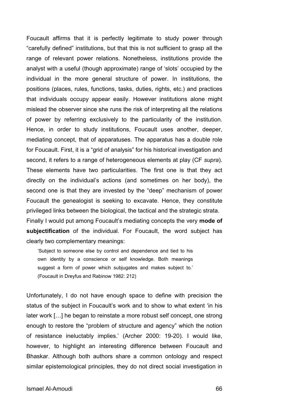Foucault affirms that it is perfectly legitimate to study power through "carefully defined" institutions, but that this is not sufficient to grasp all the range of relevant power relations. Nonetheless, institutions provide the analyst with a useful (though approximate) range of 'slots' occupied by the individual in the more general structure of power. In institutions, the positions (places, rules, functions, tasks, duties, rights, etc.) and practices that individuals occupy appear easily. However institutions alone might mislead the observer since she runs the risk of interpreting all the relations of power by referring exclusively to the particularity of the institution. Hence, in order to study institutions, Foucault uses another, deeper, mediating concept, that of apparatuses. The apparatus has a double role for Foucault. First, it is a "grid of analysis" for his historical investigation and second, it refers to a range of heterogeneous elements at play (CF *supra*). These elements have two particularities. The first one is that they act directly on the individual's actions (and sometimes on her body), the second one is that they are invested by the "deep" mechanism of power Foucault the genealogist is seeking to excavate. Hence, they constitute privileged links between the biological, the tactical and the strategic strata. Finally I would put among Foucault's mediating concepts the very **mode of subjectification** of the individual. For Foucault, the word subject has clearly two complementary meanings:

'Subject to someone else by control and dependence and tied to his own identity by a conscience or self knowledge. Both meanings suggest a form of power which subjugates and makes subject to.' (Foucault in Dreyfus and Rabinow 1982: 212)

Unfortunately, I do not have enough space to define with precision the status of the subject in Foucault's work and to show to what extent 'in his later work […] he began to reinstate a more robust self concept, one strong enough to restore the "problem of structure and agency" which the notion of resistance ineluctably implies.' (Archer 2000: 19-20). I would like, however, to highlight an interesting difference between Foucault and Bhaskar. Although both authors share a common ontology and respect similar epistemological principles, they do not direct social investigation in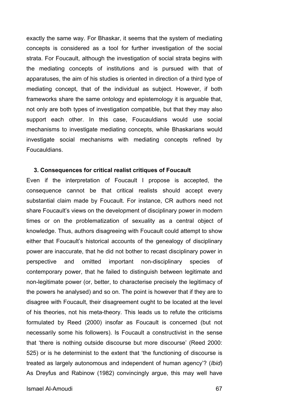exactly the same way. For Bhaskar, it seems that the system of mediating concepts is considered as a tool for further investigation of the social strata. For Foucault, although the investigation of social strata begins with the mediating concepts of institutions and is pursued with that of apparatuses, the aim of his studies is oriented in direction of a third type of mediating concept, that of the individual as subject. However, if both frameworks share the same ontology and epistemology it is arguable that, not only are both types of investigation compatible, but that they may also support each other. In this case, Foucauldians would use social mechanisms to investigate mediating concepts, while Bhaskarians would investigate social mechanisms with mediating concepts refined by Foucauldians.

### **3. Consequences for critical realist critiques of Foucault**

Even if the interpretation of Foucault I propose is accepted, the consequence cannot be that critical realists should accept every substantial claim made by Foucault. For instance, CR authors need not share Foucault's views on the development of disciplinary power in modern times or on the problematization of sexuality as a central object of knowledge. Thus, authors disagreeing with Foucault could attempt to show either that Foucault's historical accounts of the genealogy of disciplinary power are inaccurate, that he did not bother to recast disciplinary power in perspective and omitted important non-disciplinary species of contemporary power, that he failed to distinguish between legitimate and non-legitimate power (or, better, to characterise precisely the legitimacy of the powers he analysed) and so on. The point is however that if they are to disagree with Foucault, their disagreement ought to be located at the level of his theories, not his meta-theory. This leads us to refute the criticisms formulated by Reed (2000) insofar as Foucault is concerned (but not necessarily some his followers). Is Foucault a constructivist in the sense that 'there is nothing outside discourse but more discourse' (Reed 2000: 525) or is he determinist to the extent that 'the functioning of discourse is treated as largely autonomous and independent of human agency'? (*Ibid*) As Dreyfus and Rabinow (1982) convincingly argue, this may well have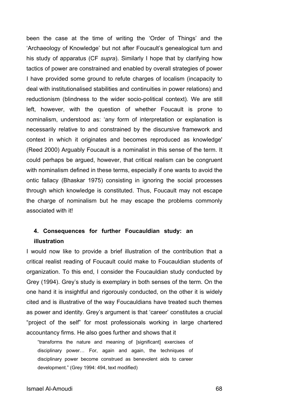been the case at the time of writing the 'Order of Things' and the 'Archaeology of Knowledge' but not after Foucault's genealogical turn and his study of apparatus (CF *supra*). Similarly I hope that by clarifying how tactics of power are constrained and enabled by overall strategies of power I have provided some ground to refute charges of localism (incapacity to deal with institutionalised stabilities and continuities in power relations) and reductionism (blindness to the wider socio-political context). We are still left, however, with the question of whether Foucault is prone to nominalism, understood as: 'any form of interpretation or explanation is necessarily relative to and constrained by the discursive framework and context in which it originates and becomes reproduced as knowledge' (Reed 2000) Arguably Foucault is a nominalist in this sense of the term. It could perhaps be argued, however, that critical realism can be congruent with nominalism defined in these terms, especially if one wants to avoid the ontic fallacy (Bhaskar 1975) consisting in ignoring the social processes through which knowledge is constituted. Thus, Foucault may not escape the charge of nominalism but he may escape the problems commonly associated with it!

# **4. Consequences for further Foucauldian study: an illustration**

I would now like to provide a brief illustration of the contribution that a critical realist reading of Foucault could make to Foucauldian students of organization. To this end, I consider the Foucauldian study conducted by Grey (1994). Grey's study is exemplary in both senses of the term. On the one hand it is insightful and rigorously conducted, on the other it is widely cited and is illustrative of the way Foucauldians have treated such themes as power and identity. Grey's argument is that 'career' constitutes a crucial "project of the self" for most professionals working in large chartered accountancy firms. He also goes further and shows that it

"transforms the nature and meaning of [significant] exercises of disciplinary power… For, again and again, the techniques of disciplinary power become construed as benevolent aids to career development." (Grey 1994: 494, text modified)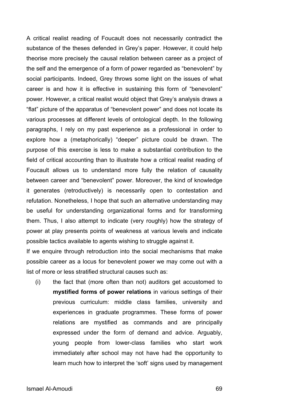A critical realist reading of Foucault does not necessarily contradict the substance of the theses defended in Grey's paper. However, it could help theorise more precisely the causal relation between career as a project of the self and the emergence of a form of power regarded as "benevolent" by social participants. Indeed, Grey throws some light on the issues of what career is and how it is effective in sustaining this form of "benevolent" power. However, a critical realist would object that Grey's analysis draws a "flat" picture of the apparatus of "benevolent power" and does not locate its various processes at different levels of ontological depth. In the following paragraphs, I rely on my past experience as a professional in order to explore how a (metaphorically) "deeper" picture could be drawn. The purpose of this exercise is less to make a substantial contribution to the field of critical accounting than to illustrate how a critical realist reading of Foucault allows us to understand more fully the relation of causality between career and "benevolent" power. Moreover, the kind of knowledge it generates (retroductively) is necessarily open to contestation and refutation. Nonetheless, I hope that such an alternative understanding may be useful for understanding organizational forms and for transforming them. Thus, I also attempt to indicate (very roughly) how the strategy of power at play presents points of weakness at various levels and indicate possible tactics available to agents wishing to struggle against it.

If we enquire through retroduction into the social mechanisms that make possible career as a locus for benevolent power we may come out with a list of more or less stratified structural causes such as:

(i) the fact that (more often than not) auditors get accustomed to **mystified forms of power relations** in various settings of their previous curriculum: middle class families, university and experiences in graduate programmes. These forms of power relations are mystified as commands and are principally expressed under the form of demand and advice. Arguably, young people from lower-class families who start work immediately after school may not have had the opportunity to learn much how to interpret the 'soft' signs used by management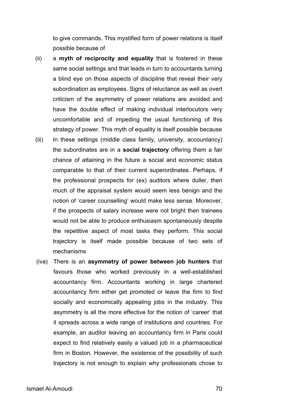to give commands. This mystified form of power relations is itself possible because of

- (ii) a **myth of reciprocity and equality** that is fostered in these same social settings and that leads in turn to accountants turning a blind eye on those aspects of discipline that reveal their very subordination as employees. Signs of reluctance as well as overt criticism of the asymmetry of power relations are avoided and have the double effect of making individual interlocutors very uncomfortable and of impeding the usual functioning of this strategy of power. This myth of equality is itself possible because
- (iii) In these settings (middle class family, university, accountancy) the subordinates are in a **social trajectory** offering them a fair chance of attaining in the future a social and economic status comparable to that of their current superordinates. Perhaps, if the professional prospects for (ex) auditors where duller, then much of the appraisal system would seem less benign and the notion of 'career counselling' would make less sense. Moreover, if the prospects of salary increase were not bright then trainees would not be able to produce enthusiasm spontaneously despite the repetitive aspect of most tasks they perform. This social trajectory is itself made possible because of two sets of mechanisms
- (iva) There is an **asymmetry of power between job hunters** that favours those who worked previously in a well-established accountancy firm. Accountants working in large chartered accountancy firm either get promoted or leave the firm to find socially and economically appealing jobs in the industry. This asymmetry is all the more effective for the notion of 'career' that it spreads across a wide range of institutions and countries. For example, an auditor leaving an accountancy firm in Paris could expect to find relatively easily a valued job in a pharmaceutical firm in Boston. However, the existence of the possibility of such trajectory is not enough to explain why professionals chose to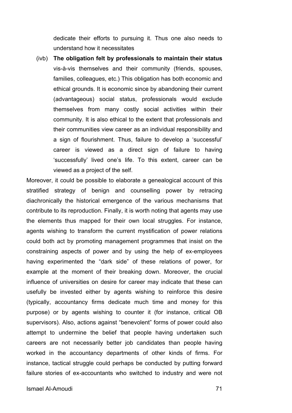dedicate their efforts to pursuing it. Thus one also needs to understand how it necessitates

(ivb) **The obligation felt by professionals to maintain their status** vis-à-vis themselves and their community (friends, spouses, families, colleagues, etc.) This obligation has both economic and ethical grounds. It is economic since by abandoning their current (advantageous) social status, professionals would exclude themselves from many costly social activities within their community. It is also ethical to the extent that professionals and their communities view career as an individual responsibility and a sign of flourishment. Thus, failure to develop a 'successful' career is viewed as a direct sign of failure to having 'successfully' lived one's life. To this extent, career can be viewed as a project of the self.

Moreover, it could be possible to elaborate a genealogical account of this stratified strategy of benign and counselling power by retracing diachronically the historical emergence of the various mechanisms that contribute to its reproduction. Finally, it is worth noting that agents may use the elements thus mapped for their own local struggles. For instance, agents wishing to transform the current mystification of power relations could both act by promoting management programmes that insist on the constraining aspects of power and by using the help of ex-employees having experimented the "dark side" of these relations of power, for example at the moment of their breaking down. Moreover, the crucial influence of universities on desire for career may indicate that these can usefully be invested either by agents wishing to reinforce this desire (typically, accountancy firms dedicate much time and money for this purpose) or by agents wishing to counter it (for instance, critical OB supervisors). Also, actions against "benevolent" forms of power could also attempt to undermine the belief that people having undertaken such careers are not necessarily better job candidates than people having worked in the accountancy departments of other kinds of firms. For instance, tactical struggle could perhaps be conducted by putting forward failure stories of ex-accountants who switched to industry and were not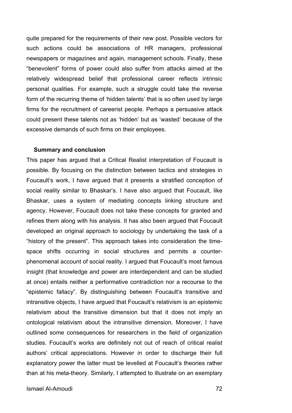quite prepared for the requirements of their new post. Possible vectors for such actions could be associations of HR managers, professional newspapers or magazines and again, management schools. Finally, these "benevolent" forms of power could also suffer from attacks aimed at the relatively widespread belief that professional career reflects intrinsic personal qualities. For example, such a struggle could take the reverse form of the recurring theme of 'hidden talents' that is so often used by large firms for the recruitment of careerist people. Perhaps a persuasive attack could present these talents not as 'hidden' but as 'wasted' because of the excessive demands of such firms on their employees.

#### **Summary and conclusion**

This paper has argued that a Critical Realist interpretation of Foucault is possible. By focusing on the distinction between tactics and strategies in Foucault's work, I have argued that it presents a stratified conception of social reality similar to Bhaskar's. I have also argued that Foucault, like Bhaskar, uses a system of mediating concepts linking structure and agency. However, Foucault does not take these concepts for granted and refines them along with his analysis. It has also been argued that Foucault developed an original approach to sociology by undertaking the task of a "history of the present". This approach takes into consideration the timespace shifts occurring in social structures and permits a counterphenomenal account of social reality. I argued that Foucault's most famous insight (that knowledge and power are interdependent and can be studied at once) entails neither a performative contradiction nor a recourse to the "epistemic fallacy". By distinguishing between Foucault's transitive and intransitive objects, I have argued that Foucault's relativism is an epistemic relativism about the transitive dimension but that it does not imply an ontological relativism about the intransitive dimension. Moreover, I have outlined some consequences for researchers in the field of organization studies. Foucault's works are definitely not out of reach of critical realist authors' critical appreciations. However in order to discharge their full explanatory power the latter must be levelled at Foucault's theories rather than at his meta-theory. Similarly, I attempted to illustrate on an exemplary

## Ismael Al-Amoudi 72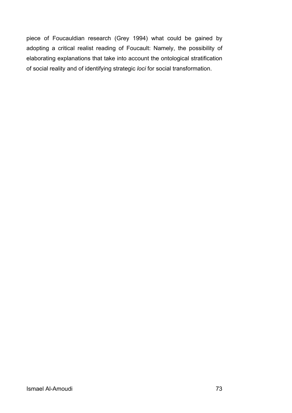piece of Foucauldian research (Grey 1994) what could be gained by adopting a critical realist reading of Foucault: Namely, the possibility of elaborating explanations that take into account the ontological stratification of social reality and of identifying strategic *loci* for social transformation.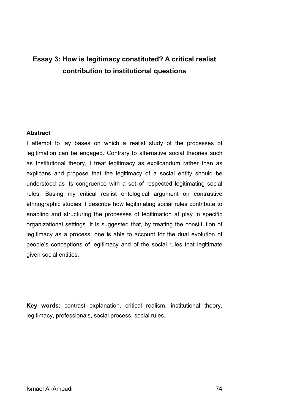# **Essay 3: How is legitimacy constituted? A critical realist contribution to institutional questions**

#### **Abstract**

I attempt to lay bases on which a realist study of the processes of legitimation can be engaged. Contrary to alternative social theories such as Institutional theory, I treat legitimacy as explicandum rather than as explicans and propose that the legitimacy of a social entity should be understood as its congruence with a set of respected legitimating social rules. Basing my critical realist ontological argument on contrastive ethnographic studies, I describe how legitimating social rules contribute to enabling and structuring the processes of legitimation at play in specific organizational settings. It is suggested that, by treating the constitution of legitimacy as a process, one is able to account for the dual evolution of people's conceptions of legitimacy and of the social rules that legitimate given social entities.

**Key words**: contrast explanation, critical realism, institutional theory, legitimacy, professionals, social process, social rules.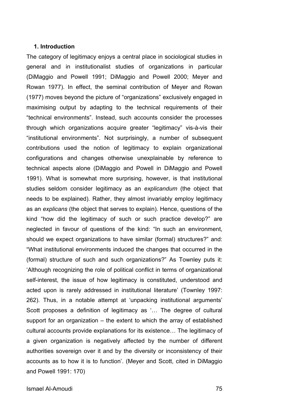#### **1. Introduction**

The category of legitimacy enjoys a central place in sociological studies in general and in institutionalist studies of organizations in particular (DiMaggio and Powell 1991; DiMaggio and Powell 2000; Meyer and Rowan 1977). In effect, the seminal contribution of Meyer and Rowan (1977) moves beyond the picture of "organizations" exclusively engaged in maximising output by adapting to the technical requirements of their "technical environments". Instead, such accounts consider the processes through which organizations acquire greater "legitimacy" vis-à-vis their "institutional environments". Not surprisingly, a number of subsequent contributions used the notion of legitimacy to explain organizational configurations and changes otherwise unexplainable by reference to technical aspects alone (DiMaggio and Powell in DiMaggio and Powell 1991). What is somewhat more surprising, however, is that institutional studies seldom consider legitimacy as an *explicandum* (the object that needs to be explained). Rather, they almost invariably employ legitimacy as an *explicans* (the object that serves to explain). Hence, questions of the kind "how did the legitimacy of such or such practice develop?" are neglected in favour of questions of the kind: "In such an environment, should we expect organizations to have similar (formal) structures?" and: "What institutional environments induced the changes that occurred in the (formal) structure of such and such organizations?" As Townley puts it: 'Although recognizing the role of political conflict in terms of organizational self-interest, the issue of how legitimacy is constituted, understood and acted upon is rarely addressed in institutional literature' (Townley 1997: 262). Thus, in a notable attempt at 'unpacking institutional arguments' Scott proposes a definition of legitimacy as '… The degree of cultural support for an organization – the extent to which the array of established cultural accounts provide explanations for its existence… The legitimacy of a given organization is negatively affected by the number of different authorities sovereign over it and by the diversity or inconsistency of their accounts as to how it is to function'. (Meyer and Scott, cited in DiMaggio and Powell 1991: 170)

Ismael Al-Amoudi 75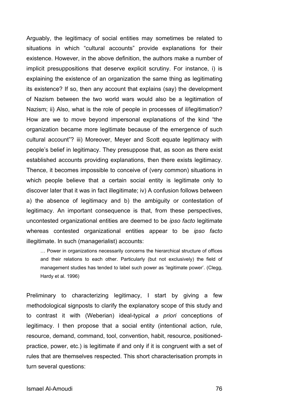Arguably, the legitimacy of social entities may sometimes be related to situations in which "cultural accounts" provide explanations for their existence. However, in the above definition, the authors make a number of implicit presuppositions that deserve explicit scrutiny. For instance, i) is explaining the existence of an organization the same thing as legitimating its existence? If so, then any account that explains (say) the development of Nazism between the two world wars would also be a legitimation of Nazism; ii) Also, what is the role of people in processes of il/legitimation? How are we to move beyond impersonal explanations of the kind "the organization became more legitimate because of the emergence of such cultural account"? iii) Moreover, Meyer and Scott equate legitimacy with people's belief in legitimacy. They presuppose that, as soon as there exist established accounts providing explanations, then there exists legitimacy. Thence, it becomes impossible to conceive of (very common) situations in which people believe that a certain social entity is legitimate only to discover later that it was in fact illegitimate; iv) A confusion follows between a) the absence of legitimacy and b) the ambiguity or contestation of legitimacy. An important consequence is that, from these perspectives, uncontested organizational entities are deemed to be *ipso facto* legitimate whereas contested organizational entities appear to be *ipso facto* illegitimate. In such (managerialist) accounts:

… Power in organizations necessarily concerns the hierarchical structure of offices and their relations to each other. Particularly (but not exclusively) the field of management studies has tended to label such power as 'legitimate power'. (Clegg, Hardy et al. 1996)

Preliminary to characterizing legitimacy, I start by giving a few methodological signposts to clarify the explanatory scope of this study and to contrast it with (Weberian) ideal-typical *a priori* conceptions of legitimacy. I then propose that a social entity (intentional action, rule, resource, demand, command, tool, convention, habit, resource, positionedpractice, power, etc.) is legitimate if and only if it is congruent with a set of rules that are themselves respected. This short characterisation prompts in turn several questions: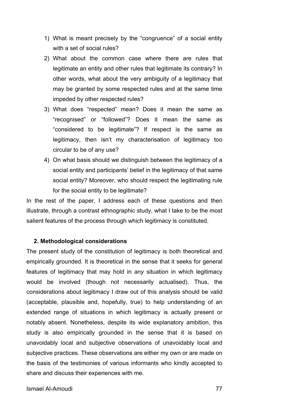- 1) What is meant precisely by the "congruence" of a social entity with a set of social rules?
- 2) What about the common case where there are rules that legitimate an entity and other rules that legitimate its contrary? In other words, what about the very ambiguity of a legitimacy that may be granted by some respected rules and at the same time impeded by other respected rules?
- 3) What does "respected" mean? Does it mean the same as "recognised" or "followed"? Does it mean the same as "considered to be legitimate"? If respect is the same as legitimacy, then isn't my characterisation of legitimacy too circular to be of any use?
- 4) On what basis should we distinguish between the legitimacy of a social entity and participants' belief in the legitimacy of that same social entity? Moreover, who should respect the legitimating rule for the social entity to be legitimate?

In the rest of the paper, I address each of these questions and then illustrate, through a contrast ethnographic study, what I take to be the most salient features of the process through which legitimacy is constituted.

#### **2. Methodological considerations**

The present study of the constitution of legitimacy is both theoretical and empirically grounded. It is theoretical in the sense that it seeks for general features of legitimacy that may hold in *any* situation in which legitimacy would be involved (though not necessarily actualised). Thus, the considerations about legitimacy I draw out of this analysis should be valid (acceptable, plausible and, hopefully, true) to help understanding of an extended range of situations in which legitimacy is actually present or notably absent. Nonetheless, despite its wide explanatory ambition, this study is also empirically grounded in the sense that it is based on unavoidably local and subjective observations of unavoidably local and subjective practices. These observations are either my own or are made on the basis of the testimonies of various informants who kindly accepted to share and discuss their experiences with me.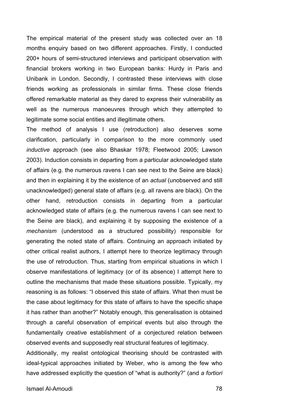The empirical material of the present study was collected over an 18 months enquiry based on two different approaches. Firstly, I conducted 200+ hours of semi-structured interviews and participant observation with financial brokers working in two European banks: Hurdy in Paris and Unibank in London. Secondly, I contrasted these interviews with close friends working as professionals in similar firms. These close friends offered remarkable material as they dared to express their vulnerability as well as the numerous manoeuvres through which they attempted to legitimate some social entities and illegitimate others.

The method of analysis I use (retroduction) also deserves some clarification, particularly in comparison to the more commonly used *inductive* approach (see also Bhaskar 1978; Fleetwood 2005; Lawson 2003). Induction consists in departing from a particular acknowledged state of affairs (e.g. the numerous ravens I can see next to the Seine are black) and then in explaining it by the existence of an *actual* (unobserved and still unacknowledged) general state of affairs (e.g. all ravens are black). On the other hand, retroduction consists in departing from a particular acknowledged state of affairs (e.g. the numerous ravens I can see next to the Seine are black), and explaining it by supposing the existence of a *mechanism* (understood as a structured possibility) responsible for generating the noted state of affairs. Continuing an approach initiated by other critical realist authors, I attempt here to theorize legitimacy through the use of retroduction*.* Thus, starting from empirical situations in which I observe manifestations of legitimacy (or of its absence) I attempt here to outline the mechanisms that made these situations possible. Typically, my reasoning is as follows: "I observed this state of affairs. What then must be the case about legitimacy for this state of affairs to have the specific shape it has rather than another?" Notably enough, this generalisation is obtained through a careful observation of empirical events but also through the fundamentally creative establishment of a conjectured relation between observed events and supposedly real structural features of legitimacy.

Additionally, my realist ontological theorising should be contrasted with ideal-typical approaches initiated by Weber, who is among the few who have addressed explicitly the question of "what is authority?" (and *a fortiori*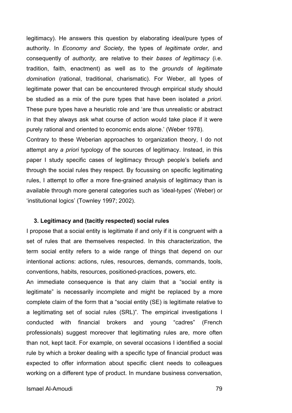legitimacy). He answers this question by elaborating ideal/pure types of authority. In *Economy and Society*, the types of *legitimate order*, and consequently of *authority,* are relative to their *bases of legitimacy* (i.e. tradition, faith, enactment) as well as to the *grounds* of *legitimate domination* (rational, traditional, charismatic). For Weber, all types of legitimate power that can be encountered through empirical study should be studied as a mix of the pure types that have been isolated *a priori.* These pure types have a heuristic role and 'are thus unrealistic or abstract in that they always ask what course of action would take place if it were purely rational and oriented to economic ends alone.' (Weber 1978).

Contrary to these Weberian approaches to organization theory, I do not attempt any *a priori* typology of the sources of legitimacy. Instead, in this paper I study specific cases of legitimacy through people's beliefs and through the social rules they respect. By focussing on specific legitimating rules, I attempt to offer a more fine-grained analysis of legitimacy than is available through more general categories such as 'ideal-types' (Weber) or 'institutional logics' (Townley 1997; 2002).

#### **3. Legitimacy and (tacitly respected) social rules**

I propose that a social entity is legitimate if and only if it is congruent with a set of rules that are themselves respected. In this characterization, the term social entity refers to a wide range of things that depend on our intentional actions: actions, rules, resources, demands, commands, tools, conventions, habits, resources, positioned-practices, powers, etc.

An immediate consequence is that any claim that a "social entity is legitimate" is necessarily incomplete and might be replaced by a more complete claim of the form that a "social entity (SE) is legitimate relative to a legitimating set of social rules (SRL)". The empirical investigations I conducted with financial brokers and young "cadres" (French professionals) suggest moreover that legitimating rules are, more often than not, kept tacit. For example, on several occasions I identified a social rule by which a broker dealing with a specific type of financial product was expected to offer information about specific client needs to colleagues working on a different type of product. In mundane business conversation,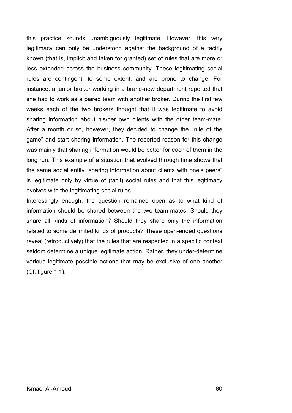this practice sounds unambiguously legitimate. However, this very legitimacy can only be understood against the background of a tacitly known (that is, implicit and taken for granted) set of rules that are more or less extended across the business community. These legitimating social rules are contingent, to some extent, and are prone to change. For instance, a junior broker working in a brand-new department reported that she had to work as a paired team with another broker. During the first few weeks each of the two brokers thought that it was legitimate to avoid sharing information about his/her own clients with the other team-mate. After a month or so, however, they decided to change the "rule of the game" and start sharing information. The reported reason for this change was mainly that sharing information would be better for each of them in the long run. This example of a situation that evolved through time shows that the same social entity "sharing information about clients with one's peers" is legitimate only by virtue of (tacit) social rules and that this legitimacy evolves with the legitimating social rules.

Interestingly enough, the question remained open as to what kind of information should be shared between the two team-mates. Should they share all kinds of information? Should they share only the information related to some delimited kinds of products? These open-ended questions reveal (retroductively) that the rules that are respected in a specific context seldom determine a unique legitimate action. Rather, they under-determine various legitimate possible actions that may be exclusive of one another (Cf. figure 1.1).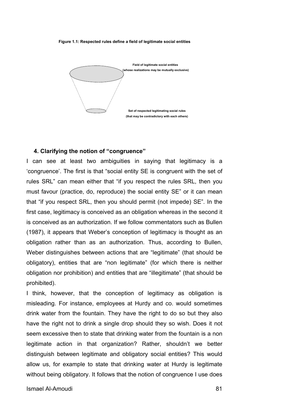



#### **4. Clarifying the notion of "congruence"**

I can see at least two ambiguities in saying that legitimacy is a 'congruence'. The first is that "social entity SE is congruent with the set of rules SRL" can mean either that "if you respect the rules SRL, then you must favour (practice, do, reproduce) the social entity SE" or it can mean that "if you respect SRL, then you should permit (not impede) SE". In the first case, legitimacy is conceived as an obligation whereas in the second it is conceived as an authorization. If we follow commentators such as Bullen (1987), it appears that Weber's conception of legitimacy is thought as an obligation rather than as an authorization. Thus, according to Bullen, Weber distinguishes between actions that are "legitimate" (that should be obligatory), entities that are "non legitimate" (for which there is neither obligation nor prohibition) and entities that are "illegitimate" (that should be prohibited).

I think, however, that the conception of legitimacy as obligation is misleading. For instance, employees at Hurdy and co. would sometimes drink water from the fountain. They have the right to do so but they also have the right not to drink a single drop should they so wish. Does it not seem excessive then to state that drinking water from the fountain is a non legitimate action in that organization? Rather, shouldn't we better distinguish between legitimate and obligatory social entities? This would allow us, for example to state that drinking water at Hurdy is legitimate without being obligatory. It follows that the notion of congruence I use does

**Ismael Al-Amoudi** 81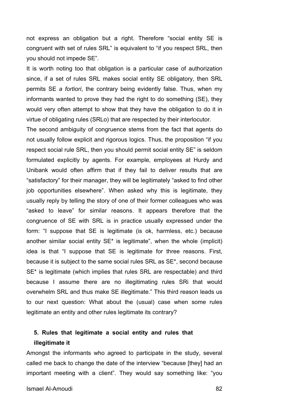not express an obligation but a right. Therefore "social entity SE is congruent with set of rules SRL" is equivalent to "if you respect SRL, then you should not impede SE".

It is worth noting too that obligation is a particular case of authorization since, if a set of rules SRL makes social entity SE obligatory, then SRL permits SE *a fortiori*, the contrary being evidently false. Thus, when my informants wanted to prove they had the right to do something (SE), they would very often attempt to show that they have the obligation to do it in virtue of obligating rules (SRLo) that are respected by their interlocutor.

The second ambiguity of congruence stems from the fact that agents do not usually follow explicit and rigorous logics. Thus, the proposition "if you respect social rule SRL, then you should permit social entity SE" is seldom formulated explicitly by agents. For example, employees at Hurdy and Unibank would often affirm that if they fail to deliver results that are "satisfactory" for their manager, they will be legitimately "asked to find other job opportunities elsewhere". When asked why this is legitimate, they usually reply by telling the story of one of their former colleagues who was "asked to leave" for similar reasons. It appears therefore that the congruence of SE with SRL is in practice usually expressed under the form: "I suppose that SE is legitimate (is ok, harmless, etc.) because another similar social entity  $SE^*$  is legitimate", when the whole (implicit) idea is that "I suppose that SE is legitimate for three reasons. First, because it is subject to the same social rules SRL as SE\*, second because SE\* is legitimate (which implies that rules SRL are respectable) and third because I assume there are no illegitimating rules SRi that would overwhelm SRL and thus make SE illegitimate." This third reason leads us to our next question: What about the (usual) case when some rules legitimate an entity and other rules legitimate its contrary?

# **5. Rules that legitimate a social entity and rules that illegitimate it**

Amongst the informants who agreed to participate in the study, several called me back to change the date of the interview "because [they] had an important meeting with a client". They would say something like: "you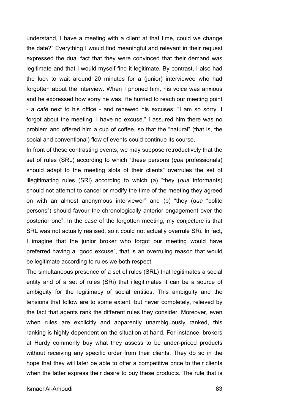understand, I have a meeting with a client at that time, could we change the date?" Everything I would find meaningful and relevant in their request expressed the dual fact that they were convinced that their demand was legitimate and that I would myself find it legitimate. By contrast, I also had the luck to wait around 20 minutes for a (junior) interviewee who had forgotten about the interview. When I phoned him, his voice was anxious and he expressed how sorry he was. He hurried to reach our meeting point - a *café* next to his office - and renewed his excuses: "I am so sorry. I forgot about the meeting. I have no excuse." I assured him there was no problem and offered him a cup of coffee, so that the "natural" (that is, the social and conventional) flow of events could continue its course.

In front of these contrasting events, we may suppose retroductively that the set of rules (SRL) according to which "these persons (*qua* professionals) should adapt to the meeting slots of their clients" overrules the set of illegitimating rules (SRi) according to which (a) "they (*qua* informants) should not attempt to cancel or modify the time of the meeting they agreed on with an almost anonymous interviewer" and (b) "they (*qua* "polite persons") should favour the chronologically anterior engagement over the posterior one". In the case of the forgotten meeting, my conjecture is that SRL was not actually realised, so it could not actually overrule SRi. In fact, I imagine that the junior broker who forgot our meeting would have preferred having a "good excuse", that is an overruling reason that would be legitimate according to rules we both respect.

The simultaneous presence of a set of rules (SRL) that legitimates a social entity and of a set of rules (SRi) that illegitimates it can be a source of ambiguity for the legitimacy of social entities. This ambiguity and the tensions that follow are to some extent, but never completely, relieved by the fact that agents rank the different rules they consider. Moreover, even when rules are explicitly and apparently unambiguously ranked, this ranking is highly dependent on the situation at hand. For instance, brokers at Hurdy commonly buy what they assess to be under-priced products without receiving any specific order from their clients. They do so in the hope that they will later be able to offer a competitive price to their clients when the latter express their desire to buy these products. The rule that is

Ismael Al-Amoudi 83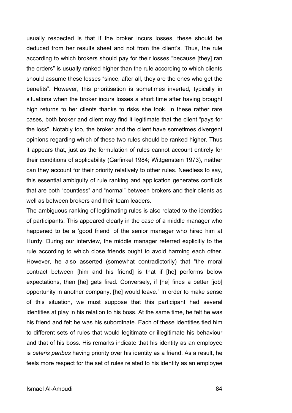usually respected is that if the broker incurs losses, these should be deduced from her results sheet and not from the client's. Thus, the rule according to which brokers should pay for their losses "because [they] ran the orders" is usually ranked higher than the rule according to which clients should assume these losses "since, after all, they are the ones who get the benefits". However, this prioritisation is sometimes inverted, typically in situations when the broker incurs losses a short time after having brought high returns to her clients thanks to risks she took. In these rather rare cases, both broker and client may find it legitimate that the client "pays for the loss". Notably too, the broker and the client have sometimes divergent opinions regarding which of these two rules should be ranked higher. Thus it appears that, just as the formulation of rules cannot account entirely for their conditions of applicability (Garfinkel 1984; Wittgenstein 1973), neither can they account for their priority relatively to other rules. Needless to say, this essential ambiguity of rule ranking and application generates conflicts that are both "countless" and "normal" between brokers and their clients as well as between brokers and their team leaders.

The ambiguous ranking of legitimating rules is also related to the identities of participants. This appeared clearly in the case of a middle manager who happened to be a 'good friend' of the senior manager who hired him at Hurdy. During our interview, the middle manager referred explicitly to the rule according to which close friends ought to avoid harming each other. However, he also asserted (somewhat contradictorily) that "the moral contract between [him and his friend] is that if [he] performs below expectations, then [he] gets fired. Conversely, if [he] finds a better [job] opportunity in another company, [he] would leave." In order to make sense of this situation, we must suppose that this participant had several identities at play in his relation to his boss. At the same time, he felt he was his friend and felt he was his subordinate. Each of these identities tied him to different sets of rules that would legitimate or illegitimate his behaviour and that of his boss. His remarks indicate that his identity as an employee is *ceteris paribus* having priority over his identity as a friend. As a result, he feels more respect for the set of rules related to his identity as an employee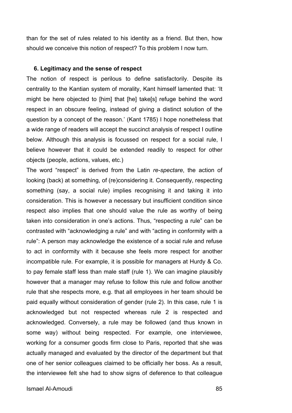than for the set of rules related to his identity as a friend. But then, how should we conceive this notion of respect? To this problem I now turn.

#### **6. Legitimacy and the sense of respect**

The notion of respect is perilous to define satisfactorily. Despite its centrality to the Kantian system of morality, Kant himself lamented that: 'It might be here objected to [him] that [he] take[s] refuge behind the word respect in an obscure feeling, instead of giving a distinct solution of the question by a concept of the reason.' (Kant 1785) I hope nonetheless that a wide range of readers will accept the succinct analysis of respect I outline below. Although this analysis is focussed on respect for a social rule, I believe however that it could be extended readily to respect for other objects (people, actions, values, etc.)

The word "respect" is derived from the Latin *re-spectare*, the action of looking (back) at something, of (re)considering it. Consequently, respecting something (say, a social rule) implies recognising it and taking it into consideration. This is however a necessary but insufficient condition since respect also implies that one should value the rule as worthy of being taken into consideration in one's actions. Thus, "respecting a rule" can be contrasted with "acknowledging a rule" and with "acting in conformity with a rule": A person may acknowledge the existence of a social rule and refuse to act in conformity with it because she feels more respect for another incompatible rule. For example, it is possible for managers at Hurdy & Co. to pay female staff less than male staff (rule 1). We can imagine plausibly however that a manager may refuse to follow this rule and follow another rule that she respects more, e.g. that all employees in her team should be paid equally without consideration of gender (rule 2). In this case, rule 1 is acknowledged but not respected whereas rule 2 is respected and acknowledged. Conversely, a rule may be followed (and thus known in some way) without being respected. For example, one interviewee, working for a consumer goods firm close to Paris, reported that she was actually managed and evaluated by the director of the department but that one of her senior colleagues claimed to be officially her boss. As a result, the interviewee felt she had to show signs of deference to that colleague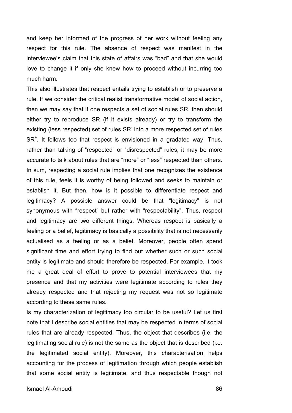and keep her informed of the progress of her work without feeling any respect for this rule. The absence of respect was manifest in the interviewee's claim that this state of affairs was "bad" and that she would love to change it if only she knew how to proceed without incurring too much harm.

This also illustrates that respect entails trying to establish or to preserve a rule. If we consider the critical realist transformative model of social action, then we may say that if one respects a set of social rules SR, then should either try to reproduce SR (if it exists already) or try to transform the existing (less respected) set of rules SR<sup>-</sup> into a more respected set of rules SR<sup>+</sup>. It follows too that respect is envisioned in a gradated way. Thus, rather than talking of "respected" or "disrespected" rules, it may be more accurate to talk about rules that are "more" or "less" respected than others. In sum, respecting a social rule implies that one recognizes the existence of this rule, feels it is worthy of being followed and seeks to maintain or establish it. But then, how is it possible to differentiate respect and legitimacy? A possible answer could be that "legitimacy" is not synonymous with "respect" but rather with "respectability". Thus, respect and legitimacy are two different things. Whereas respect is basically a feeling or a belief, legitimacy is basically a possibility that is not necessarily actualised as a feeling or as a belief. Moreover, people often spend significant time and effort trying to find out whether such or such social entity is legitimate and should therefore be respected. For example, it took me a great deal of effort to prove to potential interviewees that my presence and that my activities were legitimate according to rules they already respected and that rejecting my request was not so legitimate according to these same rules.

Is my characterization of legitimacy too circular to be useful? Let us first note that I describe social entities that may be respected in terms of social rules that are already respected. Thus, the object that describes (i.e. the legitimating social rule) is not the same as the object that is described (i.e. the legitimated social entity). Moreover, this characterisation helps accounting for the process of legitimation through which people establish that some social entity is legitimate, and thus respectable though not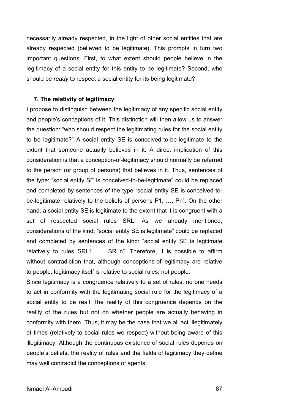necessarily already respected, in the light of other social entities that are already respected (believed to be legitimate). This prompts in turn two important questions. First, to what extent should people believe in the legitimacy of a social entity for this entity to be legitimate? Second, who should be *ready* to respect a social entity for its being legitimate?

#### **7. The relativity of legitimacy**

I propose to distinguish between the legitimacy of any specific social entity and people's conceptions of it. This distinction will then allow us to answer the question: "who should respect the legitimating rules for the social entity to be legitimate?" A social entity SE is conceived-to-be-legitimate to the extent that someone actually believes in it. A direct implication of this consideration is that a conception-of-legitimacy should normally be referred to the person (or group of persons) that believes in it. Thus, sentences of the type: "social entity SE is conceived-to-be-legitimate" could be replaced and completed by sentences of the type "social entity SE is conceived-tobe-legitimate relatively to the beliefs of persons P1, …, Pn". On the other hand, a social entity SE is legitimate to the extent that it is congruent with a set of respected social rules SRL. As we already mentioned, considerations of the kind: "social entity SE is legitimate" could be replaced and completed by sentences of the kind: "social entity SE is legitimate relatively to rules SRL1, …, SRLn". Therefore, it is possible to affirm without contradiction that, although conceptions-of-legitimacy are relative to people, legitimacy itself is relative to social rules, not people.

Since legitimacy is a congruence relatively to a set of rules, no one needs to act in conformity with the legitimating social rule for the legitimacy of a social entity to be real! The reality of this congruence depends on the reality of the rules but not on whether people are actually behaving in conformity with them. Thus, it may be the case that we all act illegitimately at times (relatively to social rules we respect) without being aware of this illegitimacy. Although the continuous existence of social rules depends on people's beliefs, the reality of rules and the fields of legitimacy they define may well contradict the conceptions of agents.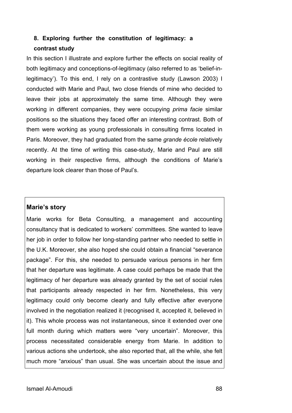# **8. Exploring further the constitution of legitimacy: a contrast study**

In this section I illustrate and explore further the effects on social reality of both legitimacy and conceptions-of-legitimacy (also referred to as 'belief-inlegitimacy'). To this end, I rely on a contrastive study (Lawson 2003) I conducted with Marie and Paul, two close friends of mine who decided to leave their jobs at approximately the same time. Although they were working in different companies, they were occupying *prima facie* similar positions so the situations they faced offer an interesting contrast. Both of them were working as young professionals in consulting firms located in Paris. Moreover, they had graduated from the same *grande école* relatively recently. At the time of writing this case-study, Marie and Paul are still working in their respective firms, although the conditions of Marie's departure look clearer than those of Paul's.

## **Marie's story**

Marie works for Beta Consulting, a management and accounting consultancy that is dedicated to workers' committees. She wanted to leave her job in order to follow her long-standing partner who needed to settle in the U.K. Moreover, she also hoped she could obtain a financial "severance package". For this, she needed to persuade various persons in her firm that her departure was legitimate. A case could perhaps be made that the legitimacy of her departure was already granted by the set of social rules that participants already respected in her firm. Nonetheless, this very legitimacy could only become clearly and fully effective after everyone involved in the negotiation realized it (recognised it, accepted it, believed in it). This whole process was not instantaneous, since it extended over one full month during which matters were "very uncertain". Moreover, this process necessitated considerable energy from Marie. In addition to various actions she undertook, she also reported that, all the while, she felt much more "anxious" than usual. She was uncertain about the issue and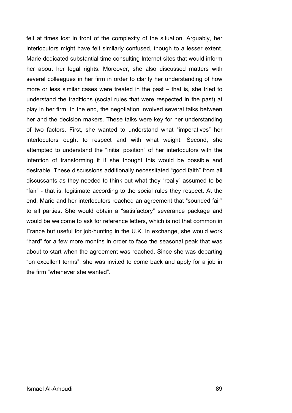felt at times lost in front of the complexity of the situation. Arguably, her interlocutors might have felt similarly confused, though to a lesser extent. Marie dedicated substantial time consulting Internet sites that would inform her about her legal rights. Moreover, she also discussed matters with several colleagues in her firm in order to clarify her understanding of how more or less similar cases were treated in the past – that is, she tried to understand the traditions (social rules that were respected in the past) at play in her firm. In the end, the negotiation involved several talks between her and the decision makers. These talks were key for her understanding of two factors. First, she wanted to understand what "imperatives" her interlocutors ought to respect and with what weight. Second, she attempted to understand the "initial position" of her interlocutors with the intention of transforming it if she thought this would be possible and desirable. These discussions additionally necessitated "good faith" from all discussants as they needed to think out what they "really" assumed to be "fair" - that is, legitimate according to the social rules they respect. At the end, Marie and her interlocutors reached an agreement that "sounded fair" to all parties. She would obtain a "satisfactory" severance package and would be welcome to ask for reference letters, which is not that common in France but useful for job-hunting in the U.K. In exchange, she would work "hard" for a few more months in order to face the seasonal peak that was about to start when the agreement was reached. Since she was departing "on excellent terms", she was invited to come back and apply for a job in the firm "whenever she wanted".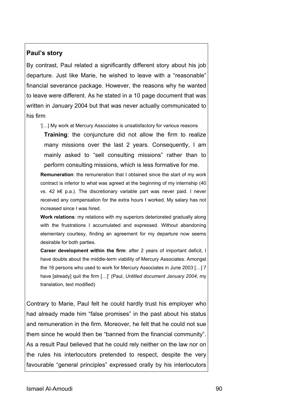## **Paul's story**

By contrast, Paul related a significantly different story about his job departure. Just like Marie, he wished to leave with a "reasonable" financial severance package. However, the reasons why he wanted to leave were different. As he stated in a 10 page document that was written in January 2004 but that was never actually communicated to his firm

'[…] My work at Mercury Associates is unsatisfactory for various reasons

**Training**: the conjuncture did not allow the firm to realize many missions over the last 2 years. Consequently, I am mainly asked to "sell consulting missions" rather than to perform consulting missions, which is less formative for me.

**Remuneration**: the remuneration that I obtained since the start of my work contract is inferior to what was agreed at the beginning of my internship (40 vs. 42 k€ p.a.). The discretionary variable part was never paid. I never received any compensation for the extra hours I worked. My salary has not increased since I was hired.

**Work relations**: my relations with my superiors deteriorated gradually along with the frustrations I accumulated and expressed. Without abandoning elementary courtesy, finding an agreement for my departure now seems desirable for both parties.

**Career development within the firm**: after 2 years of important deficit, I have doubts about the middle-term viability of Mercury Associates. Amongst the 16 persons who used to work for Mercury Associates in June 2003 […] 7 have [already] quit the firm […]' (Paul, *Untitled document January 2004*, my translation, text modified)

Contrary to Marie, Paul felt he could hardly trust his employer who had already made him "false promises" in the past about his status and remuneration in the firm. Moreover, he felt that he could not sue them since he would then be "banned from the financial community". As a result Paul believed that he could rely neither on the law nor on the rules his interlocutors pretended to respect, despite the very favourable "general principles" expressed orally by his interlocutors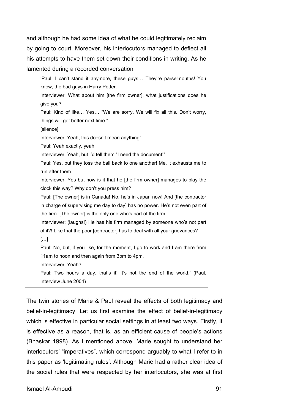and although he had some idea of what he could legitimately reclaim by going to court. Moreover, his interlocutors managed to deflect all his attempts to have them set down their conditions in writing. As he lamented during a recorded conversation 'Paul: I can't stand it anymore, these guys… They're parselmouths! You know, the bad guys in Harry Potter. Interviewer: What about him [the firm owner], what justifications does he give you? Paul: Kind of like… Yes… "We are sorry. We will fix all this. Don't worry, things will get better next time." [silence] Interviewer: Yeah, this doesn't mean anything! Paul: Yeah exactly, yeah! Interviewer: Yeah, but I'd tell them "I need the document!" Paul: Yes, but they toss the ball back to one another! Me, it exhausts me to run after them. Interviewer: Yes but how is it that he [the firm owner] manages to play the clock this way? Why don't you press him? Paul: [The owner] is in Canada! No, he's in Japan now! And [the contractor in charge of supervising me day to day] has no power. He's not even part of the firm. [The owner] is the only one who's part of the firm. Interviewer: (laughs!) He has his firm managed by someone who's not part of it?! Like that the poor [contractor] has to deal with all your grievances?  $\left[\ldots\right]$ Paul: No, but, if you like, for the moment, I go to work and I am there from 11am to noon and then again from 3pm to 4pm. Interviewer: Yeah? Paul: Two hours a day, that's it! It's not the end of the world.' (Paul, Interview June 2004)

The twin stories of Marie & Paul reveal the effects of both legitimacy and belief-in-legitimacy. Let us first examine the effect of belief-in-legitimacy which is effective in particular social settings in at least two ways. Firstly, it is effective as a reason, that is, as an efficient cause of people's actions (Bhaskar 1998). As I mentioned above, Marie sought to understand her interlocutors' "imperatives", which correspond arguably to what I refer to in this paper as 'legitimating rules'. Although Marie had a rather clear idea of the social rules that were respected by her interlocutors, she was at first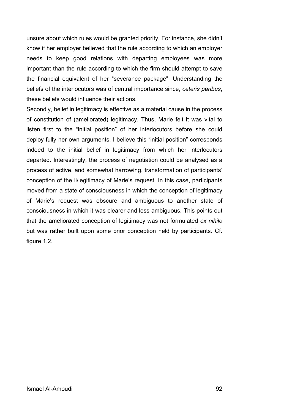unsure about which rules would be granted priority. For instance, she didn't know if her employer believed that the rule according to which an employer needs to keep good relations with departing employees was more important than the rule according to which the firm should attempt to save the financial equivalent of her "severance package". Understanding the beliefs of the interlocutors was of central importance since, *ceteris paribus*, these beliefs would influence their actions.

Secondly, belief in legitimacy is effective as a material cause in the process of constitution of (ameliorated) legitimacy. Thus, Marie felt it was vital to listen first to the "initial position" of her interlocutors before she could deploy fully her own arguments. I believe this "initial position" corresponds indeed to the initial belief in legitimacy from which her interlocutors departed. Interestingly, the process of negotiation could be analysed as a process of active, and somewhat harrowing, transformation of participants' conception of the il/legitimacy of Marie's request. In this case, participants moved from a state of consciousness in which the conception of legitimacy of Marie's request was obscure and ambiguous to another state of consciousness in which it was clearer and less ambiguous. This points out that the ameliorated conception of legitimacy was not formulated *ex nihilo* but was rather built upon some prior conception held by participants. Cf. figure 1.2.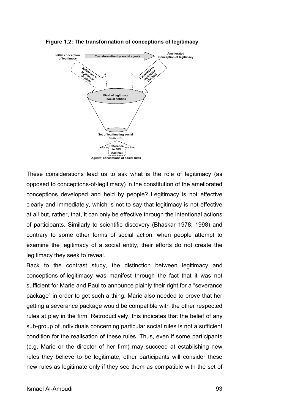

**Figure 1.2: The transformation of conceptions of legitimacy**

These considerations lead us to ask what is the role of legitimacy (as opposed to conceptions-of-legitimacy) in the constitution of the ameliorated conceptions developed and held by people? Legitimacy is not effective clearly and immediately, which is not to say that legitimacy is not effective at all but, rather, that, it can only be effective through the intentional actions of participants. Similarly to scientific discovery (Bhaskar 1978; 1998) and contrary to some other forms of social action, when people attempt to examine the legitimacy of a social entity, their efforts do not create the legitimacy they seek to reveal.

Back to the contrast study, the distinction between legitimacy and conceptions-of-legitimacy was manifest through the fact that it was not sufficient for Marie and Paul to announce plainly their right for a "severance package" in order to get such a thing. Marie also needed to prove that her getting a severance package would be compatible with the other respected rules at play in the firm. Retroductively, this indicates that the belief of any sub-group of individuals concerning particular social rules is not a sufficient condition for the realisation of these rules. Thus, even if some participants (e.g. Marie or the director of her firm) may succeed at establishing new rules they believe to be legitimate, other participants will consider these new rules as legitimate only if they see them as compatible with the set of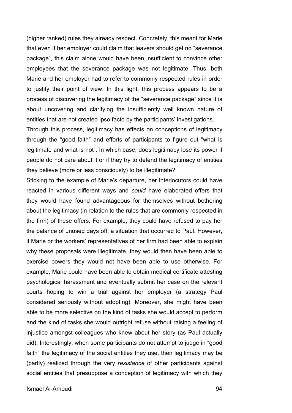(higher ranked) rules they already respect. Concretely, this meant for Marie that even if her employer could claim that leavers should get no "severance package", this claim alone would have been insufficient to convince other employees that the severance package was not legitimate. Thus, both Marie and her employer had to refer to commonly respected rules in order to justify their point of view. In this light, this process appears to be a process of discovering the legitimacy of the "severance package" since it is about uncovering and clarifying the insufficiently well known nature of entities that are not created ipso facto by the participants' investigations.

Through this process, legitimacy has effects on conceptions of legitimacy through the "good faith" and efforts of participants to figure out "what is legitimate and what is not". In which case, does legitimacy lose its power if people do not care about it or if they try to defend the legitimacy of entities they believe (more or less consciously) to be illegitimate?

Sticking to the example of Marie's departure, her interlocutors could have reacted in various different ways and *could* have elaborated offers that they would have found advantageous for themselves without bothering about the legitimacy (in relation to the rules that are commonly respected in the firm) of these offers. For example, they could have refused to pay her the balance of unused days off, a situation that occurred to Paul. However, if Marie or the workers' representatives of her firm had been able to explain why these proposals were illegitimate, they would then have been able to exercise powers they would not have been able to use otherwise. For example, Marie could have been able to obtain medical certificate attesting psychological harassment and eventually submit her case on the relevant courts hoping to win a trial against her employer (a strategy Paul considered seriously without adopting). Moreover, she might have been able to be more selective on the kind of tasks she would accept to perform and the kind of tasks she would outright refuse without raising a feeling of injustice amongst colleagues who knew about her story (as Paul actually did). Interestingly, when some participants do not attempt to judge in "good faith" the legitimacy of the social entities they use, then legitimacy may be (partly) realized through the very *resistance* of other participants against social entities that presuppose a conception of legitimacy with which they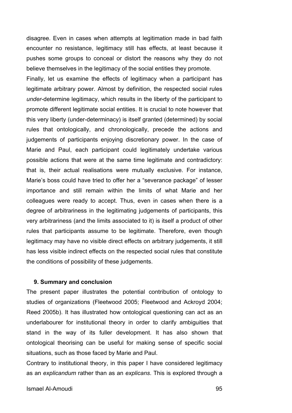disagree. Even in cases when attempts at legitimation made in bad faith encounter no resistance, legitimacy still has effects, at least because it pushes some groups to conceal or distort the reasons why they do not believe themselves in the legitimacy of the social entities they promote.

Finally, let us examine the effects of legitimacy when a participant has legitimate arbitrary power. Almost by definition, the respected social rules *under*-determine legitimacy, which results in the liberty of the participant to promote different legitimate social entities. It is crucial to note however that this very liberty (under-determinacy) is itself granted (determined) by social rules that ontologically, and chronologically, precede the actions and judgements of participants enjoying discretionary power. In the case of Marie and Paul, each participant could legitimately undertake various possible actions that were at the same time legitimate and contradictory: that is, their actual realisations were mutually exclusive. For instance, Marie's boss could have tried to offer her a "severance package" of lesser importance and still remain within the limits of what Marie and her colleagues were ready to accept. Thus, even in cases when there is a degree of arbitrariness in the legitimating judgements of participants, this very arbitrariness (and the limits associated to it) is itself a product of other rules that participants assume to be legitimate. Therefore, even though legitimacy may have no visible direct effects on arbitrary judgements, it still has less visible indirect effects on the respected social rules that constitute the conditions of possibility of these judgements.

#### **9. Summary and conclusion**

The present paper illustrates the potential contribution of ontology to studies of organizations (Fleetwood 2005; Fleetwood and Ackroyd 2004; Reed 2005b). It has illustrated how ontological questioning can act as an underlabourer for institutional theory in order to clarify ambiguities that stand in the way of its fuller development. It has also shown that ontological theorising can be useful for making sense of specific social situations, such as those faced by Marie and Paul.

Contrary to institutional theory, in this paper I have considered legitimacy as an *explicandum* rather than as an *explicans*. This is explored through a

#### Ismael Al-Amoudi 95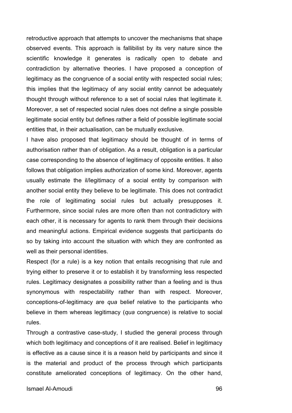retroductive approach that attempts to uncover the mechanisms that shape observed events. This approach is fallibilist by its very nature since the scientific knowledge it generates is radically open to debate and contradiction by alternative theories. I have proposed a conception of legitimacy as the congruence of a social entity with respected social rules; this implies that the legitimacy of any social entity cannot be adequately thought through without reference to a set of social rules that legitimate it. Moreover, a set of respected social rules does not define a single possible legitimate social entity but defines rather a field of possible legitimate social entities that, in their actualisation, can be mutually exclusive.

I have also proposed that legitimacy should be thought of in terms of authorisation rather than of obligation. As a result, obligation is a particular case corresponding to the absence of legitimacy of opposite entities. It also follows that obligation implies authorization of some kind. Moreover, agents usually estimate the il/legitimacy of a social entity by comparison with another social entity they believe to be legitimate. This does not contradict the role of legitimating social rules but actually presupposes it. Furthermore, since social rules are more often than not contradictory with each other, it is necessary for agents to rank them through their decisions and meaningful actions. Empirical evidence suggests that participants do so by taking into account the situation with which they are confronted as well as their personal identities.

Respect (for a rule) is a key notion that entails recognising that rule and trying either to preserve it or to establish it by transforming less respected rules. Legitimacy designates a possibility rather than a feeling and is thus synonymous with respectability rather than with respect. Moreover, conceptions-of-legitimacy are *qua* belief relative to the participants who believe in them whereas legitimacy (*qua* congruence) is relative to social rules.

Through a contrastive case-study, I studied the general process through which both legitimacy and conceptions of it are realised. Belief in legitimacy is effective as a cause since it is a reason held by participants and since it is the material and product of the process through which participants constitute ameliorated conceptions of legitimacy. On the other hand,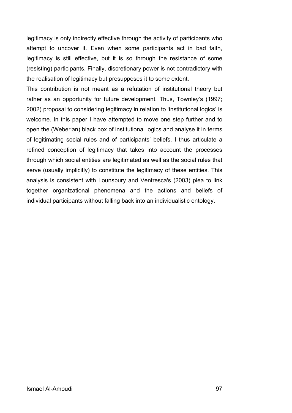legitimacy is only indirectly effective through the activity of participants who attempt to uncover it. Even when some participants act in bad faith, legitimacy is still effective, but it is so through the resistance of some (resisting) participants. Finally, discretionary power is not contradictory with the realisation of legitimacy but presupposes it to some extent.

This contribution is not meant as a refutation of institutional theory but rather as an opportunity for future development. Thus, Townley's (1997; 2002) proposal to considering legitimacy in relation to 'institutional logics' is welcome. In this paper I have attempted to move one step further and to open the (Weberian) black box of institutional logics and analyse it in terms of legitimating social rules and of participants' beliefs. I thus articulate a refined conception of legitimacy that takes into account the processes through which social entities are legitimated as well as the social rules that serve (usually implicitly) to constitute the legitimacy of these entities. This analysis is consistent with Lounsbury and Ventresca's (2003) plea to link together organizational phenomena and the actions and beliefs of individual participants without falling back into an individualistic ontology.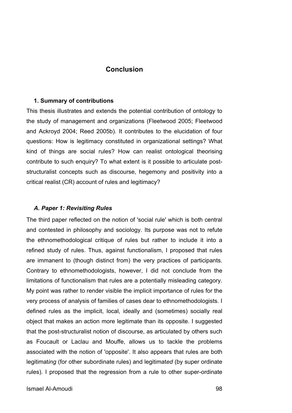### **Conclusion**

#### **1. Summary of contributions**

This thesis illustrates and extends the potential contribution of ontology to the study of management and organizations (Fleetwood 2005; Fleetwood and Ackroyd 2004; Reed 2005b). It contributes to the elucidation of four questions: How is legitimacy constituted in organizational settings? What kind of things are social rules? How can realist ontological theorising contribute to such enquiry? To what extent is it possible to articulate poststructuralist concepts such as discourse, hegemony and positivity into a critical realist (CR) account of rules and legitimacy?

#### *A. Paper 1: Revisiting Rules*

The third paper reflected on the notion of 'social rule' which is both central and contested in philosophy and sociology. Its purpose was not to refute the ethnomethodological critique of rules but rather to include it into a refined study of rules. Thus, against functionalism, I proposed that rules are immanent to (though distinct from) the very practices of participants. Contrary to ethnomethodologists, however, I did not conclude from the limitations of functionalism that rules are a potentially misleading category. My point was rather to render visible the implicit importance of rules for the very process of analysis of families of cases dear to ethnomethodologists. I defined rules as the implicit, local, ideally and (sometimes) socially real object that makes an action more legitimate than its opposite. I suggested that the post-structuralist notion of discourse, as articulated by others such as Foucault or Laclau and Mouffe, allows us to tackle the problems associated with the notion of 'opposite'. It also appears that rules are both legitimat*ing* (for other subordinate rules) and legitimat*ed* (by super ordinate rules). I proposed that the regression from a rule to other super-ordinate

Ismael Al-Amoudi 98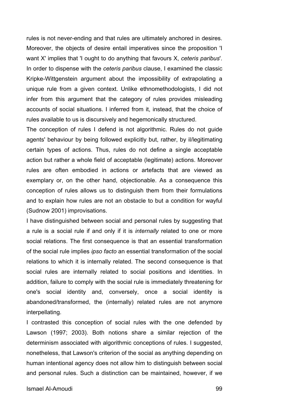rules is not never-ending and that rules are ultimately anchored in desires. Moreover, the objects of desire entail imperatives since the proposition 'I want X' implies that 'I ought to do anything that favours X, *ceteris paribus*'. In order to dispense with the *ceteris paribus* clause, I examined the classic Kripke-Wittgenstein argument about the impossibility of extrapolating a unique rule from a given context. Unlike ethnomethodologists, I did not infer from this argument that the category of rules provides misleading accounts of social situations. I inferred from it, instead, that the choice of rules available to us is discursively and hegemonically structured.

The conception of rules I defend is not algorithmic. Rules do not guide agents' behaviour by being followed explicitly but, rather, by il/legitimating certain types of actions. Thus, rules do not define a single acceptable action but rather a whole field of acceptable (legitimate) actions. Moreover rules are often embodied in actions or artefacts that are viewed as exemplary or, on the other hand, objectionable. As a consequence this conception of rules allows us to distinguish them from their formulations and to explain how rules are not an obstacle to but a condition for wayful (Sudnow 2001) improvisations.

I have distinguished between social and personal rules by suggesting that a rule is a social rule if and only if it is *internally* related to one or more social relations. The first consequence is that an essential transformation of the social rule implies *ipso facto* an essential transformation of the social relations to which it is internally related. The second consequence is that social rules are internally related to social positions and identities. In addition, failure to comply with the social rule is immediately threatening for one's social identity and, conversely, once a social identity is abandoned/transformed, the (internally) related rules are not anymore interpellating.

I contrasted this conception of social rules with the one defended by Lawson (1997; 2003). Both notions share a similar rejection of the determinism associated with algorithmic conceptions of rules. I suggested, nonetheless, that Lawson's criterion of the social as anything depending on human intentional agency does not allow him to distinguish between social and personal rules. Such a distinction can be maintained, however, if we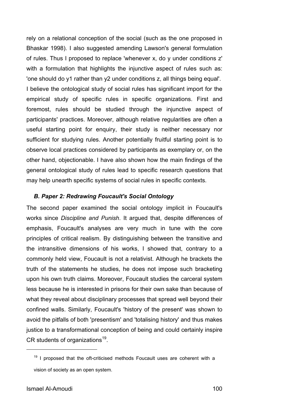rely on a relational conception of the social (such as the one proposed in Bhaskar 1998). I also suggested amending Lawson's general formulation of rules. Thus I proposed to replace 'whenever x, do y under conditions z' with a formulation that highlights the injunctive aspect of rules such as: 'one should do y1 rather than y2 under conditions z, all things being equal'. I believe the ontological study of social rules has significant import for the empirical study of specific rules in specific organizations. First and foremost, rules should be studied through the injunctive aspect of participants' practices. Moreover, although relative regularities are often a useful starting point for enquiry, their study is neither necessary nor sufficient for studying rules. Another potentially fruitful starting point is to observe local practices considered by participants as exemplary or, on the other hand, objectionable. I have also shown how the main findings of the general ontological study of rules lead to specific research questions that may help unearth specific systems of social rules in specific contexts.

#### *B. Paper 2: Redrawing Foucault's Social Ontology*

The second paper examined the social ontology implicit in Foucault's works since *Discipline and Punish*. It argued that, despite differences of emphasis, Foucault's analyses are very much in tune with the core principles of critical realism. By distinguishing between the transitive and the intransitive dimensions of his works, I showed that, contrary to a commonly held view, Foucault is not a relativist. Although he brackets the truth of the statements he studies, he does not impose such bracketing upon his own truth claims. Moreover, Foucault studies the carceral system less because he is interested in prisons for their own sake than because of what they reveal about disciplinary processes that spread well beyond their confined walls. Similarly, Foucault's 'history of the present' was shown to avoid the pitfalls of both 'presentism' and 'totalising history' and thus makes justice to a transformational conception of being and could certainly inspire CR students of organizations<sup>19</sup>.

1

 $19$  I proposed that the oft-criticised methods Foucault uses are coherent with a vision of society as an open system.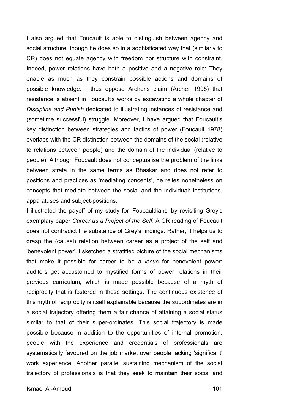I also argued that Foucault is able to distinguish between agency and social structure, though he does so in a sophisticated way that (similarly to CR) does not equate agency with freedom nor structure with constraint. Indeed, power relations have both a positive and a negative role: They enable as much as they constrain possible actions and domains of possible knowledge. I thus oppose Archer's claim (Archer 1995) that resistance is absent in Foucault's works by excavating a whole chapter of *Discipline and Punish* dedicated to illustrating instances of resistance and (sometime successful) struggle. Moreover, I have argued that Foucault's key distinction between strategies and tactics of power (Foucault 1978) overlaps with the CR distinction between the domains of the social (relative to relations between people) and the domain of the individual (relative to people). Although Foucault does not conceptualise the problem of the links between strata in the same terms as Bhaskar and does not refer to positions and practices as 'mediating concepts', he relies nonetheless on concepts that mediate between the social and the individual: institutions, apparatuses and subject-positions.

I illustrated the payoff of my study for 'Foucauldians' by revisiting Grey's exemplary paper *Career as a Project of the Self*. A CR reading of Foucault does not contradict the substance of Grey's findings. Rather, it helps us to grasp the (causal) relation between career as a project of the self and 'benevolent power'. I sketched a stratified picture of the social mechanisms that make it possible for career to be a *locus* for benevolent power: auditors get accustomed to mystified forms of power relations in their previous curriculum, which is made possible because of a myth of reciprocity that is fostered in these settings. The continuous existence of this myth of reciprocity is itself explainable because the subordinates are in a social trajectory offering them a fair chance of attaining a social status similar to that of their super-ordinates. This social trajectory is made possible because in addition to the opportunities of internal promotion, people with the experience and credentials of professionals are systematically favoured on the job market over people lacking 'significant' work experience. Another parallel sustaining mechanism of the social trajectory of professionals is that they seek to maintain their social and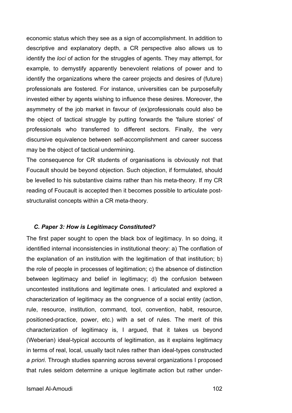economic status which they see as a sign of accomplishment. In addition to descriptive and explanatory depth, a CR perspective also allows us to identify the *loci* of action for the struggles of agents. They may attempt, for example, to demystify apparently benevolent relations of power and to identify the organizations where the career projects and desires of (future) professionals are fostered. For instance, universities can be purposefully invested either by agents wishing to influence these desires. Moreover, the asymmetry of the job market in favour of (ex)professionals could also be the object of tactical struggle by putting forwards the 'failure stories' of professionals who transferred to different sectors. Finally, the very discursive equivalence between self-accomplishment and career success may be the object of tactical undermining.

The consequence for CR students of organisations is obviously not that Foucault should be beyond objection. Such objection, if formulated, should be levelled to his substantive claims rather than his meta-theory. If my CR reading of Foucault is accepted then it becomes possible to articulate poststructuralist concepts within a CR meta-theory.

#### *C. Paper 3: How is Legitimacy Constituted?*

The first paper sought to open the black box of legitimacy. In so doing, it identified internal inconsistencies in institutional theory: a) The conflation of the explanation of an institution with the legitimation of that institution; b) the role of people in processes of legitimation; c) the absence of distinction between legitimacy and belief in legitimacy; d) the confusion between uncontested institutions and legitimate ones. I articulated and explored a characterization of legitimacy as the congruence of a social entity (action, rule, resource, institution, command, tool, convention, habit, resource, positioned-practice, power, etc.) with a set of rules. The merit of this characterization of legitimacy is, I argued, that it takes us beyond (Weberian) ideal-typical accounts of legitimation, as it explains legitimacy in terms of real, local, usually tacit rules rather than ideal-types constructed *a priori*. Through studies spanning across several organizations I proposed that rules seldom determine a unique legitimate action but rather under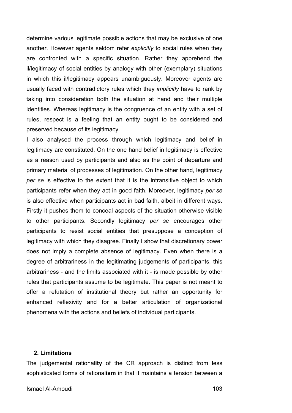determine various legitimate possible actions that may be exclusive of one another. However agents seldom refer *explicitly* to social rules when they are confronted with a specific situation. Rather they apprehend the il/legitimacy of social entities by analogy with other (exemplary) situations in which this il/legitimacy appears unambiguously. Moreover agents are usually faced with contradictory rules which they *implicitly* have to rank by taking into consideration both the situation at hand and their multiple identities. Whereas legitimacy is the congruence of an entity with a set of rules, respect is a feeling that an entity ought to be considered and preserved because of its legitimacy.

I also analysed the process through which legitimacy and belief in legitimacy are constituted. On the one hand belief in legitimacy is effective as a reason used by participants and also as the point of departure and primary material of processes of legitimation. On the other hand, legitimacy *per se* is effective to the extent that it is the intransitive object to which participants refer when they act in good faith. Moreover, legitimacy *per se* is also effective when participants act in bad faith, albeit in different ways. Firstly it pushes them to conceal aspects of the situation otherwise visible to other participants. Secondly legitimacy *per se* encourages other participants to resist social entities that presuppose a conception of legitimacy with which they disagree. Finally I show that discretionary power does not imply a complete absence of legitimacy. Even when there is a degree of arbitrariness in the legitimating judgements of participants, this arbitrariness - and the limits associated with it - is made possible by other rules that participants assume to be legitimate. This paper is not meant to offer a refutation of institutional theory but rather an opportunity for enhanced reflexivity and for a better articulation of organizational phenomena with the actions and beliefs of individual participants.

#### **2. Limitations**

The judgemental rational**ity** of the CR approach is distinct from less sophisticated forms of rational**ism** in that it maintains a tension between a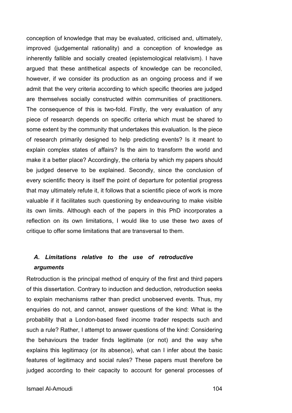conception of knowledge that may be evaluated, criticised and, ultimately, improved (judgemental rationality) and a conception of knowledge as inherently fallible and socially created (epistemological relativism). I have argued that these antithetical aspects of knowledge can be reconciled, however, if we consider its production as an ongoing process and if we admit that the very criteria according to which specific theories are judged are themselves socially constructed within communities of practitioners. The consequence of this is two-fold. Firstly, the very evaluation of any piece of research depends on specific criteria which must be shared to some extent by the community that undertakes this evaluation. Is the piece of research primarily designed to help predicting events? Is it meant to explain complex states of affairs? Is the aim to transform the world and make it a better place? Accordingly, the criteria by which my papers should be judged deserve to be explained. Secondly, since the conclusion of every scientific theory is itself the point of departure for potential progress that may ultimately refute it, it follows that a scientific piece of work is more valuable if it facilitates such questioning by endeavouring to make visible its own limits. Although each of the papers in this PhD incorporates a reflection on its own limitations, I would like to use these two axes of critique to offer some limitations that are transversal to them.

## *A. Limitations relative to the use of retroductive arguments*

Retroduction is the principal method of enquiry of the first and third papers of this dissertation. Contrary to induction and deduction, retroduction seeks to explain mechanisms rather than predict unobserved events. Thus, my enquiries do not, and cannot, answer questions of the kind: What is the probability that a London-based fixed income trader respects such and such a rule? Rather, I attempt to answer questions of the kind: Considering the behaviours the trader finds legitimate (or not) and the way s/he explains this legitimacy (or its absence), what can I infer about the basic features of legitimacy and social rules? These papers must therefore be judged according to their capacity to account for general processes of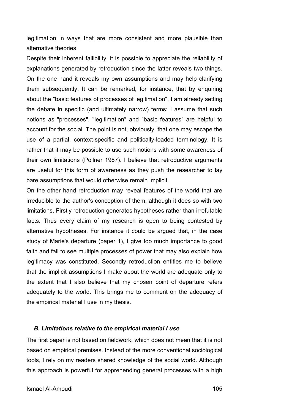legitimation in ways that are more consistent and more plausible than alternative theories.

Despite their inherent fallibility, it is possible to appreciate the reliability of explanations generated by retroduction since the latter reveals two things. On the one hand it reveals my own assumptions and may help clarifying them subsequently. It can be remarked, for instance, that by enquiring about the "basic features of processes of legitimation", I am already setting the debate in specific (and ultimately narrow) terms: I assume that such notions as "processes", "legitimation" and "basic features" are helpful to account for the social. The point is not, obviously, that one may escape the use of a partial, context-specific and politically-loaded terminology. It is rather that it may be possible to use such notions with some awareness of their own limitations (Pollner 1987). I believe that retroductive arguments are useful for this form of awareness as they push the researcher to lay bare assumptions that would otherwise remain implicit.

On the other hand retroduction may reveal features of the world that are irreducible to the author's conception of them, although it does so with two limitations. Firstly retroduction generates hypotheses rather than irrefutable facts. Thus every claim of my research is open to being contested by alternative hypotheses. For instance it could be argued that, in the case study of Marie's departure (paper 1), I give too much importance to good faith and fail to see multiple processes of power that may also explain how legitimacy was constituted. Secondly retroduction entitles me to believe that the implicit assumptions I make about the world are adequate only to the extent that I also believe that my chosen point of departure refers adequately to the world. This brings me to comment on the adequacy of the empirical material I use in my thesis.

#### *B. Limitations relative to the empirical material I use*

The first paper is not based on fieldwork, which does not mean that it is not based on empirical premises. Instead of the more conventional sociological tools, I rely on my readers shared knowledge of the social world. Although this approach is powerful for apprehending general processes with a high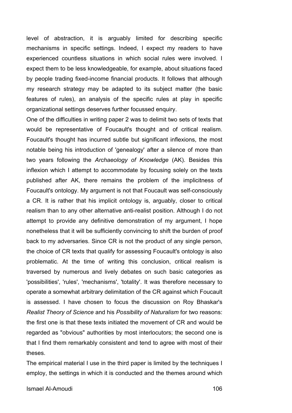level of abstraction, it is arguably limited for describing specific mechanisms in specific settings. Indeed, I expect my readers to have experienced countless situations in which social rules were involved. I expect them to be less knowledgeable, for example, about situations faced by people trading fixed-income financial products. It follows that although my research strategy may be adapted to its subject matter (the basic features of rules), an analysis of the specific rules at play in specific organizational settings deserves further focussed enquiry.

One of the difficulties in writing paper 2 was to delimit two sets of texts that would be representative of Foucault's thought and of critical realism. Foucault's thought has incurred subtle but significant inflexions, the most notable being his introduction of 'genealogy' after a silence of more than two years following the *Archaeology of Knowledge* (AK). Besides this inflexion which I attempt to accommodate by focusing solely on the texts published after AK, there remains the problem of the implicitness of Foucault's ontology. My argument is not that Foucault was self-consciously a CR. It is rather that his implicit ontology is, arguably, closer to critical realism than to any other alternative anti-realist position. Although I do not attempt to provide any definitive demonstration of my argument, I hope nonetheless that it will be sufficiently convincing to shift the burden of proof back to my adversaries. Since CR is not the product of any single person, the choice of CR texts that qualify for assessing Foucault's ontology is also problematic. At the time of writing this conclusion, critical realism is traversed by numerous and lively debates on such basic categories as 'possibilities', 'rules', 'mechanisms', 'totality'. It was therefore necessary to operate a somewhat arbitrary delimitation of the CR against which Foucault is assessed. I have chosen to focus the discussion on Roy Bhaskar's *Realist Theory of Science* and his *Possibility of Naturalism* for two reasons: the first one is that these texts initiated the movement of CR and would be regarded as "obvious" authorities by most interlocutors; the second one is that I find them remarkably consistent and tend to agree with most of their theses.

The empirical material I use in the third paper is limited by the techniques I employ, the settings in which it is conducted and the themes around which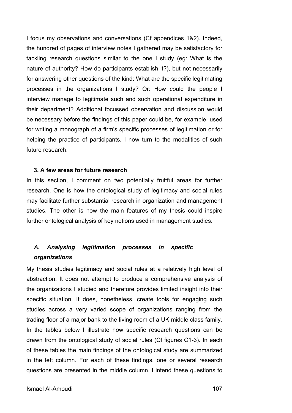I focus my observations and conversations (Cf appendices 1&2). Indeed, the hundred of pages of interview notes I gathered may be satisfactory for tackling research questions similar to the one I study (eg: What is the nature of authority? How do participants establish it?), but not necessarily for answering other questions of the kind: What are the specific legitimating processes in the organizations I study? Or: How could the people I interview manage to legitimate such and such operational expenditure in their department? Additional focussed observation and discussion would be necessary before the findings of this paper could be, for example, used for writing a monograph of a firm's specific processes of legitimation or for helping the practice of participants. I now turn to the modalities of such future research.

#### **3. A few areas for future research**

In this section, I comment on two potentially fruitful areas for further research. One is how the ontological study of legitimacy and social rules may facilitate further substantial research in organization and management studies. The other is how the main features of my thesis could inspire further ontological analysis of key notions used in management studies.

# *A. Analysing legitimation processes in specific organizations*

My thesis studies legitimacy and social rules at a relatively high level of abstraction. It does not attempt to produce a comprehensive analysis of the organizations I studied and therefore provides limited insight into their specific situation. It does, nonetheless, create tools for engaging such studies across a very varied scope of organizations ranging from the trading floor of a major bank to the living room of a UK middle class family. In the tables below I illustrate how specific research questions can be drawn from the ontological study of social rules (Cf figures C1-3). In each of these tables the main findings of the ontological study are summarized in the left column. For each of these findings, one or several research questions are presented in the middle column. I intend these questions to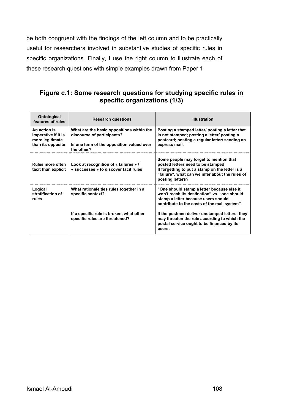be both congruent with the findings of the left column and to be practically useful for researchers involved in substantive studies of specific rules in specific organizations. Finally, I use the right column to illustrate each of these research questions with simple examples drawn from Paper 1.

## **Figure c.1: Some research questions for studying specific rules in specific organizations (1/3)**

| <b>Ontological</b><br>features of rules                                     | <b>Research questions</b>                                                                                                          | <b>Illustration</b>                                                                                                                                                                                   |
|-----------------------------------------------------------------------------|------------------------------------------------------------------------------------------------------------------------------------|-------------------------------------------------------------------------------------------------------------------------------------------------------------------------------------------------------|
| An action is<br>imperative if it is<br>more legitimate<br>than its opposite | What are the basic oppositions within the<br>discourse of participants?<br>Is one term of the opposition valued over<br>the other? | Posting a stamped letter/ posting a letter that<br>is not stamped; posting a letter/ posting a<br>postcard; posting a regular letter/ sending an<br>express mail.                                     |
| Rules more often<br>tacit than explicit                                     | Look at recognition of « failures » /<br>« successes » to discover tacit rules                                                     | Some people may forget to mention that<br>posted letters need to be stamped<br>If forgetting to put a stamp on the letter is a<br>"failure", what can we infer about the rules of<br>posting letters? |
| Logical<br>stratification of<br>rules                                       | What rationale ties rules together in a<br>specific context?                                                                       | "One should stamp a letter because else it<br>won't reach its destination" vs. "one should<br>stamp a letter because users should<br>contribute to the costs of the mail system"                      |
|                                                                             | If a specific rule is broken, what other<br>specific rules are threatened?                                                         | If the postmen deliver unstamped letters, they<br>may threaten the rule according to which the<br>postal service ought to be financed by its<br>users.                                                |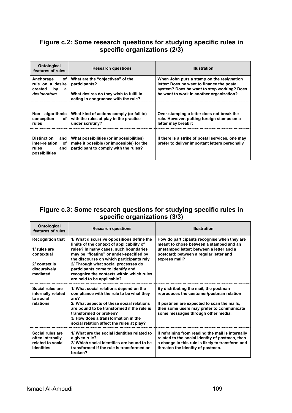### **Figure c.2: Some research questions for studying specific rules in specific organizations (2/3)**

| <b>Ontological</b><br>features of rules                                            | <b>Research questions</b>                                                                                                          | <b>Illustration</b>                                                                                                                                                               |
|------------------------------------------------------------------------------------|------------------------------------------------------------------------------------------------------------------------------------|-----------------------------------------------------------------------------------------------------------------------------------------------------------------------------------|
| Anchorage<br>оf<br>rule on a desire<br>by<br>created<br>a<br>desideratum           | What are the "objectives" of the<br>participants?<br>What desires do they wish to fulfil in<br>acting in congruence with the rule? | When John puts a stamp on the resignation<br>letter: Does he want to finance the postal<br>system? Does he want to stop working? Does<br>he want to work in another organization? |
| algorithmic<br>Non<br>conception<br>of<br>rules                                    | What kind of actions comply (or fail to)<br>with the rules at play in the practice<br>under scrutiny?                              | Over-stamping a letter does not break the<br>rule. However, putting foreign stamps on a<br>letter may break it                                                                    |
| <b>Distinction</b><br>and<br>inter-relation<br>оf<br>rules<br>and<br>possibilities | What possibilities (or impossibilities)<br>make it possible (or impossible) for the<br>participant to comply with the rules?       | If there is a strike of postal services, one may<br>prefer to deliver important letters personally                                                                                |

### **Figure c.3: Some research questions for studying specific rules in specific organizations (3/3)**

| <b>Ontological</b><br>features of rules                                                            | <b>Research questions</b>                                                                                                                                                                                                                                                                                                                                                     | <b>Illustration</b>                                                                                                                                                                                                |
|----------------------------------------------------------------------------------------------------|-------------------------------------------------------------------------------------------------------------------------------------------------------------------------------------------------------------------------------------------------------------------------------------------------------------------------------------------------------------------------------|--------------------------------------------------------------------------------------------------------------------------------------------------------------------------------------------------------------------|
| <b>Recognition that</b><br>1/ rules are<br>contextual<br>2/ context is<br>discursively<br>mediated | 1/ What discursive oppositions define the<br>limits of the context of applicability of<br>rules? In many cases, such boundaries<br>may be "floating" or under-specified by<br>the discourse on which participants rely<br>2/ Through what social processes do<br>participants come to identify and<br>recognize the contexts within which rules<br>are held to be applicable? | How do participants recognise when they are<br>meant to chose between a stamped and an<br>unstamped letter; between a letter and a<br>postcard; between a regular letter and<br>express mail?                      |
| Social rules are<br>internally related<br>to social<br>relations                                   | 1/ What social relations depend on the<br>compliance with the rule to be what they<br>are?<br>2/ What aspects of these social relations<br>are bound to be transformed if the rule is<br>transformed or broken?<br>3/ How does a transformation in the<br>social relation affect the rules at play?                                                                           | By distributing the mail, the postman<br>reproduces the customer/postman relation<br>If postmen are expected to scan the mails,<br>then some users may prefer to communicate<br>some messages through other media. |
| Social rules are<br>often internally<br>related to social<br>identities                            | 1/ What are the social identities related to<br>a given rule?<br>2/ Which social identities are bound to be<br>transformed if the rule is transformed or<br>broken?                                                                                                                                                                                                           | If refraining from reading the mail is internally<br>related to the social identity of postmen, then<br>a change in this rule is likely to transform and<br>threaten the identity of postmen.                      |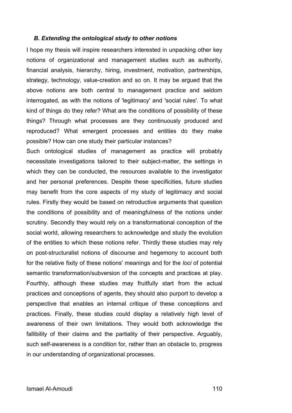#### *B. Extending the ontological study to other notions*

I hope my thesis will inspire researchers interested in unpacking other key notions of organizational and management studies such as authority, financial analysis, hierarchy, hiring, investment, motivation, partnerships, strategy, technology, value-creation and so on. It may be argued that the above notions are both central to management practice and seldom interrogated, as with the notions of 'legitimacy' and 'social rules'. To what kind of things do they refer? What are the conditions of possibility of these things? Through what processes are they continuously produced and reproduced? What emergent processes and entities do they make possible? How can one study their particular instances?

Such ontological studies of management as practice will probably necessitate investigations tailored to their subject-matter, the settings in which they can be conducted, the resources available to the investigator and her personal preferences. Despite these specificities, future studies may benefit from the core aspects of my study of legitimacy and social rules. Firstly they would be based on retroductive arguments that question the conditions of possibility and of meaningfulness of the notions under scrutiny. Secondly they would rely on a transformational conception of the social world, allowing researchers to acknowledge and study the evolution of the entities to which these notions refer. Thirdly these studies may rely on post-structuralist notions of discourse and hegemony to account both for the relative fixity of these notions' meanings and for the *loci* of potential semantic transformation/subversion of the concepts and practices at play. Fourthly, although these studies may fruitfully start from the actual practices and conceptions of agents, they should also purport to develop a perspective that enables an internal critique of these conceptions and practices. Finally, these studies could display a relatively high level of awareness of their own limitations. They would both acknowledge the fallibility of their claims and the partiality of their perspective. Arguably, such self-awareness is a condition for, rather than an obstacle to, progress in our understanding of organizational processes.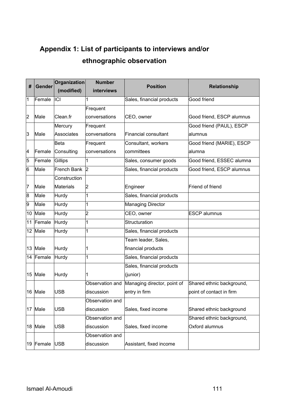# **Appendix 1: List of participants to interviews and/or ethnographic observation**

| #               | Gender  | Organization       | <b>Number</b>   | <b>Position</b>             | <b>Relationship</b>       |
|-----------------|---------|--------------------|-----------------|-----------------------------|---------------------------|
|                 |         | (modified)         | interviews      |                             |                           |
| 1               | Female  | ICI                | 1               | Sales, financial products   | Good friend               |
|                 |         |                    | Frequent        |                             |                           |
| $\overline{2}$  | Male    | Clean.fr           | conversations   | CEO, owner                  | Good friend, ESCP alumnus |
|                 |         | Mercury            | Frequent        |                             | Good friend (PAUL), ESCP  |
| 3               | Male    | Associates         | conversations   | Financial consultant        | alumnus                   |
|                 |         | <b>Beta</b>        | Frequent        | Consultant, workers         | Good friend (MARIE), ESCP |
| 4               | Female  | Consulting         | conversations   | committees                  | alumna                    |
| 5               | Female  | Gillips            | 1               | Sales, consumer goods       | Good friend, ESSEC alumna |
| 6               | Male    | <b>French Bank</b> | $\overline{2}$  | Sales, financial products   | Good friend, ESCP alumnus |
|                 |         | Construction       |                 |                             |                           |
| $\overline{7}$  | Male    | Materials          | $\overline{2}$  | Engineer                    | Friend of friend          |
| 8               | Male    | Hurdy              | 1               | Sales, financial products   |                           |
| 9               | Male    | <b>Hurdy</b>       | 1               | <b>Managing Director</b>    |                           |
| 10 <sup>1</sup> | Male    | Hurdy              | $\overline{2}$  | CEO, owner                  | <b>ESCP</b> alumnus       |
| 11              | Female  | Hurdy              | 1               | Structuration               |                           |
|                 | 12 Male | Hurdy              | 1               | Sales, financial products   |                           |
|                 |         |                    |                 | Team leader, Sales,         |                           |
|                 | 13 Male | Hurdy              | 1               | financial products          |                           |
| 14              | Female  | Hurdy              | 1               | Sales, financial products   |                           |
|                 |         |                    |                 | Sales, financial products   |                           |
| 15              | Male    | Hurdy              | 1               | (junior)                    |                           |
|                 |         |                    | Observation and | Managing director, point of | Shared ethnic background, |
| 16              | Male    | <b>USB</b>         | discussion      | entry in firm               | point of contact in firm  |
|                 |         |                    | Observation and |                             |                           |
|                 | 17 Male | <b>USB</b>         | discussion      | Sales, fixed income         | Shared ethnic background  |
|                 |         |                    | Observation and |                             | Shared ethnic background, |
|                 | 18 Male | <b>USB</b>         | discussion      | Sales, fixed income         | Oxford alumnus            |
|                 |         |                    | Observation and |                             |                           |
| 19              | Female  | <b>USB</b>         | discussion      | Assistant, fixed income     |                           |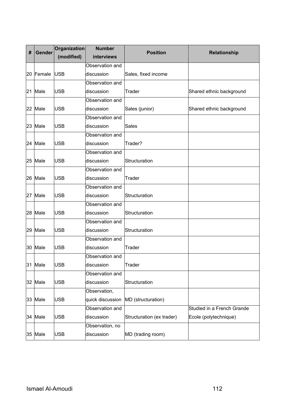| #  | Gender  | <b>Organization</b> | <b>Number</b>    | <b>Position</b>           |                            |  |
|----|---------|---------------------|------------------|---------------------------|----------------------------|--|
|    |         | (modified)          | interviews       |                           | Relationship               |  |
|    |         |                     | Observation and  |                           |                            |  |
| 20 | Female  | <b>USB</b>          | discussion       | Sales, fixed income       |                            |  |
|    |         |                     | Observation and  |                           |                            |  |
| 21 | Male    | <b>USB</b>          | discussion       | Trader                    | Shared ethnic background   |  |
|    |         |                     | Observation and  |                           |                            |  |
|    | 22 Male | <b>USB</b>          | discussion       | Sales (junior)            | Shared ethnic background   |  |
|    |         |                     | Observation and  |                           |                            |  |
|    | 23 Male | <b>USB</b>          | discussion       | Sales                     |                            |  |
|    |         |                     | Observation and  |                           |                            |  |
|    | 24 Male | <b>USB</b>          | discussion       | Trader?                   |                            |  |
|    |         |                     | Observation and  |                           |                            |  |
| 25 | Male    | <b>USB</b>          | discussion       | Structuration             |                            |  |
|    |         |                     | Observation and  |                           |                            |  |
| 26 | Male    | <b>USB</b>          | discussion       | Trader                    |                            |  |
|    |         |                     | Observation and  |                           |                            |  |
| 27 | Male    | <b>USB</b>          | discussion       | Structuration             |                            |  |
|    |         |                     | Observation and  |                           |                            |  |
| 28 | Male    | <b>USB</b>          | discussion       | Structuration             |                            |  |
|    |         |                     | Observation and  |                           |                            |  |
| 29 | Male    | <b>USB</b>          | discussion       | Structuration             |                            |  |
|    |         |                     | Observation and  |                           |                            |  |
| 30 | Male    | <b>USB</b>          | discussion       | Trader                    |                            |  |
|    |         |                     | Observation and  |                           |                            |  |
|    | 31 Male | <b>USB</b>          | discussion       | Trader                    |                            |  |
|    |         |                     | Observation and  |                           |                            |  |
|    | 32 Male | <b>USB</b>          | discussion       | Structuration             |                            |  |
|    |         |                     | Observation,     |                           |                            |  |
|    | 33 Male | <b>USB</b>          | quick discussion | MD (structuration)        |                            |  |
|    |         |                     | Observation and  |                           | Studied in a French Grande |  |
|    | 34 Male | <b>USB</b>          | discussion       | Structuration (ex trader) | Ecole (polytechnique)      |  |
|    |         |                     | Observation, no  |                           |                            |  |
|    | 35 Male | <b>USB</b>          | discussion       | MD (trading room)         |                            |  |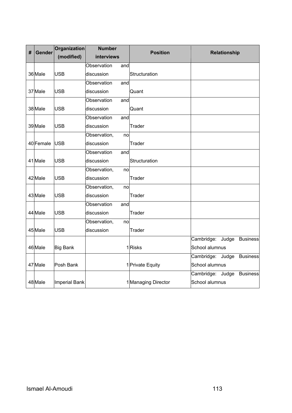| # | Gender    | Organization<br><b>Number</b> |              |     | <b>Position</b>     | Relationship        |                 |
|---|-----------|-------------------------------|--------------|-----|---------------------|---------------------|-----------------|
|   |           | (modified)                    | interviews   |     |                     |                     |                 |
|   |           |                               | Observation  | and |                     |                     |                 |
|   | 36 Male   | <b>USB</b>                    | discussion   |     | Structuration       |                     |                 |
|   |           |                               | Observation  | and |                     |                     |                 |
|   | 37 Male   | <b>USB</b>                    | discussion   |     | Quant               |                     |                 |
|   |           |                               | Observation  | and |                     |                     |                 |
|   | 38 Male   | <b>USB</b>                    | discussion   |     | Quant               |                     |                 |
|   |           |                               | Observation  | and |                     |                     |                 |
|   | 39 Male   | <b>USB</b>                    | discussion   |     | Trader              |                     |                 |
|   |           |                               | Observation, | no  |                     |                     |                 |
|   | 40 Female | <b>USB</b>                    | discussion   |     | Trader              |                     |                 |
|   |           |                               | Observation  | and |                     |                     |                 |
|   | 41 Male   | <b>USB</b>                    | discussion   |     | Structuration       |                     |                 |
|   |           |                               | Observation, | no  |                     |                     |                 |
|   | 42 Male   | <b>USB</b>                    | discussion   |     | Trader              |                     |                 |
|   |           |                               | Observation, | no  |                     |                     |                 |
|   | 43 Male   | <b>USB</b>                    | discussion   |     | Trader              |                     |                 |
|   |           |                               | Observation  | and |                     |                     |                 |
|   | 44 Male   | <b>USB</b>                    | discussion   |     | <b>Trader</b>       |                     |                 |
|   |           |                               | Observation, | no  |                     |                     |                 |
|   | 45 Male   | <b>USB</b>                    | discussion   |     | Trader              |                     |                 |
|   |           |                               |              |     |                     | Cambridge:<br>Judge | <b>Business</b> |
|   | 46 Male   | Big Bank                      |              |     | 1Risks              | School alumnus      |                 |
|   |           |                               |              |     |                     | Cambridge: Judge    | <b>Business</b> |
|   | 47 Male   | Posh Bank                     |              |     | 1 Private Equity    | School alumnus      |                 |
|   |           |                               |              |     |                     | Cambridge: Judge    | <b>Business</b> |
|   | 48 Male   | Imperial Bank                 |              |     | 1 Managing Director | School alumnus      |                 |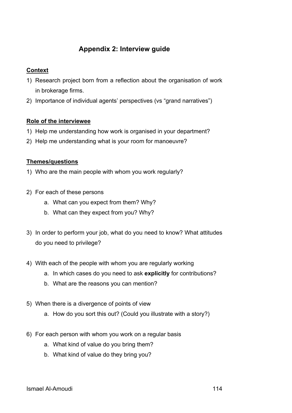## **Appendix 2: Interview guide**

### **Context**

- 1) Research project born from a reflection about the organisation of work in brokerage firms.
- 2) Importance of individual agents' perspectives (vs "grand narratives")

### **Role of the interviewee**

- 1) Help me understanding how work is organised in your department?
- 2) Help me understanding what is your room for manoeuvre?

### **Themes/questions**

- 1) Who are the main people with whom you work regularly?
- 2) For each of these persons
	- a. What can you expect from them? Why?
	- b. What can they expect from you? Why?
- 3) In order to perform your job, what do you need to know? What attitudes do you need to privilege?
- 4) With each of the people with whom you are regularly working
	- a. In which cases do you need to ask **explicitly** for contributions?
	- b. What are the reasons you can mention?
- 5) When there is a divergence of points of view
	- a. How do you sort this out? (Could you illustrate with a story?)
- 6) For each person with whom you work on a regular basis
	- a. What kind of value do you bring them?
	- b. What kind of value do they bring you?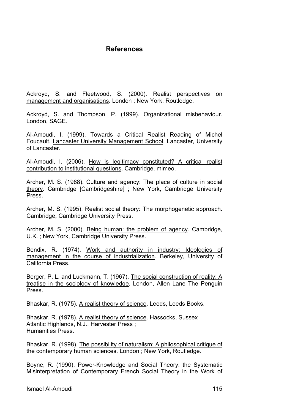### **References**

Ackroyd, S. and Fleetwood, S. (2000). Realist perspectives on management and organisations. London ; New York, Routledge.

Ackroyd, S. and Thompson, P. (1999). Organizational misbehaviour. London, SAGE.

Al-Amoudi, I. (1999). Towards a Critical Realist Reading of Michel Foucault. Lancaster University Management School. Lancaster, University of Lancaster.

Al-Amoudi, I. (2006). How is legitimacy constituted? A critical realist contribution to institutional questions. Cambridge, mimeo.

Archer, M. S. (1988). Culture and agency: The place of culture in social theory. Cambridge [Cambridgeshire] ; New York, Cambridge University Press.

Archer, M. S. (1995). Realist social theory: The morphogenetic approach. Cambridge, Cambridge University Press.

Archer, M. S. (2000). Being human: the problem of agency. Cambridge, U.K. ; New York, Cambridge University Press.

Bendix, R. (1974). Work and authority in industry: Ideologies of management in the course of industrialization. Berkeley, University of California Press.

Berger, P. L. and Luckmann, T. (1967). The social construction of reality: A treatise in the sociology of knowledge. London, Allen Lane The Penguin Press.

Bhaskar, R. (1975). A realist theory of science. Leeds, Leeds Books.

Bhaskar, R. (1978). A realist theory of science. Hassocks, Sussex Atlantic Highlands, N.J., Harvester Press ; Humanities Press.

Bhaskar, R. (1998). The possibility of naturalism: A philosophical critique of the contemporary human sciences. London ; New York, Routledge.

Boyne, R. (1990). Power-Knowledge and Social Theory: the Systematic Misinterpretation of Contemporary French Social Theory in the Work of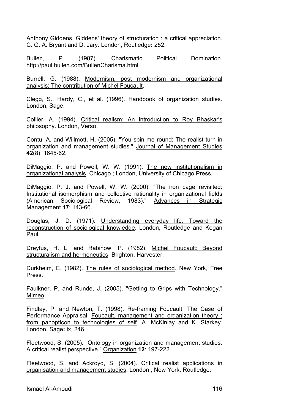Anthony Giddens. Giddens' theory of structuration : a critical appreciation. C. G. A. Bryant and D. Jary. London, Routledge**:** 252.

Bullen, P. (1987). Charismatic Political Domination. http://paul.bullen.com/BullenCharisma.html.

Burrell, G. (1988). Modernism, post modernism and organizational analysis: The contribution of Michel Foucault.

Clegg, S., Hardy, C., et al. (1996). Handbook of organization studies. London, Sage.

Collier, A. (1994). Critical realism: An introduction to Roy Bhaskar's philosophy. London, Verso.

Contu, A. and Willmott, H. (2005). "You spin me round: The realist turn in organization and management studies." Journal of Management Studies **42**(8): 1645-62.

DiMaggio, P. and Powell, W. W. (1991). The new institutionalism in organizational analysis. Chicago ; London, University of Chicago Press.

DiMaggio, P. J. and Powell, W. W. (2000). "The iron cage revisited: Institutional isomorphism and collective rationality in organizational fields (American Sociological Review, 1983)." Advances in Strategic Management **17**: 143-66.

Douglas, J. D. (1971). Understanding everyday life: Toward the reconstruction of sociological knowledge. London, Routledge and Kegan Paul.

Dreyfus, H. L. and Rabinow, P. (1982). Michel Foucault: Beyond structuralism and hermeneutics. Brighton, Harvester.

Durkheim, E. (1982). The rules of sociological method. New York, Free Press.

Faulkner, P. and Runde, J. (2005). "Getting to Grips with Technology." Mimeo.

Findlay, P. and Newton, T. (1998). Re-framing Foucault: The Case of Performance Appraisal. Foucault, management and organization theory : from panopticon to technologies of self. A. McKinlay and K. Starkey. London, Sage**:** ix, 246.

Fleetwood, S. (2005). "Ontology in organization and management studies: A critical realist perspective." Organization **12**: 197-222.

Fleetwood, S. and Ackroyd, S. (2004). Critical realist applications in organisation and management studies. London ; New York, Routledge.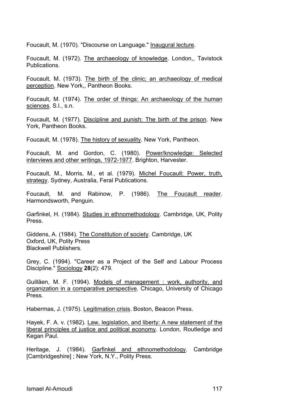Foucault, M. (1970). "Discourse on Language." Inaugural lecture.

Foucault, M. (1972). The archaeology of knowledge. London,, Tavistock Publications.

Foucault, M. (1973). The birth of the clinic; an archaeology of medical perception. New York,, Pantheon Books.

Foucault, M. (1974). The order of things: An archaeology of the human sciences. S.l., s.n.

Foucault, M. (1977). Discipline and punish: The birth of the prison. New York, Pantheon Books.

Foucault, M. (1978). The history of sexuality. New York, Pantheon.

Foucault, M. and Gordon, C. (1980). Power/knowledge: Selected interviews and other writings, 1972-1977. Brighton, Harvester.

Foucault, M., Morris, M., et al. (1979). Michel Foucault: Power, truth, strategy. Sydney, Australia, Feral Publications.

Foucault, M. and Rabinow, P. (1986). The Foucault reader. Harmondsworth, Penguin.

Garfinkel, H. (1984). Studies in ethnomethodology. Cambridge, UK, Polity Press.

Giddens, A. (1984). The Constitution of society. Cambridge, UK Oxford, UK, Polity Press Blackwell Publishers.

Grey, C. (1994). "Career as a Project of the Self and Labour Process Discipline." Sociology **28**(2): 479.

Guillâen, M. F. (1994). Models of management : work, authority, and organization in a comparative perspective. Chicago, University of Chicago Press.

Habermas, J. (1975). Legitimation crisis. Boston, Beacon Press.

Hayek, F. A. v. (1982). Law, legislation, and liberty: A new statement of the liberal principles of justice and political economy. London, Routledge and Kegan Paul.

Heritage, J. (1984). Garfinkel and ethnomethodology. Cambridge [Cambridgeshire] ; New York, N.Y., Polity Press.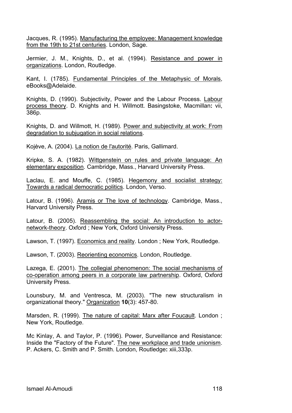Jacques, R. (1995). Manufacturing the employee: Management knowledge from the 19th to 21st centuries. London, Sage.

Jermier, J. M., Knights, D., et al. (1994). Resistance and power in organizations. London, Routledge.

Kant, I. (1785). Fundamental Principles of the Metaphysic of Morals, eBooks@Adelaide.

Knights, D. (1990). Subjectivity, Power and the Labour Process. Labour process theory. D. Knights and H. Willmott. Basingstoke, Macmillan**:** vii, 386p.

Knights, D. and Willmott, H. (1989). Power and subjectivity at work: From degradation to subjugation in social relations.

Kojève, A. (2004). La notion de l'autorité. Paris, Gallimard.

Kripke, S. A. (1982). Wittgenstein on rules and private language: An elementary exposition. Cambridge, Mass., Harvard University Press.

Laclau, E. and Mouffe, C. (1985). Hegemony and socialist strategy: Towards a radical democratic politics. London, Verso.

Latour, B. (1996). Aramis or The love of technology. Cambridge, Mass., Harvard University Press.

Latour, B. (2005). Reassembling the social: An introduction to actornetwork-theory. Oxford ; New York, Oxford University Press.

Lawson, T. (1997). Economics and reality. London ; New York, Routledge.

Lawson, T. (2003). Reorienting economics. London, Routledge.

Lazega, E. (2001). The collegial phenomenon: The social mechanisms of co-operation among peers in a corporate law partnership. Oxford, Oxford University Press.

Lounsbury, M. and Ventresca, M. (2003). "The new structuralism in organizational theory." Organization **10**(3): 457-80.

Marsden, R. (1999). The nature of capital: Marx after Foucault. London ; New York, Routledge.

Mc Kinlay, A. and Taylor, P. (1996). Power, Surveillance and Resistance: Inside the "Factory of the Future". The new workplace and trade unionism. P. Ackers, C. Smith and P. Smith. London, Routledge**:** xiii,333p.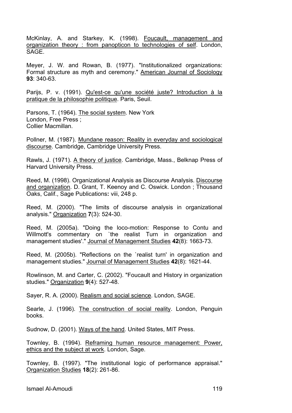McKinlay, A. and Starkey, K. (1998). Foucault, management and organization theory : from panopticon to technologies of self. London, SAGE.

Meyer, J. W. and Rowan, B. (1977). "Institutionalized organizations: Formal structure as myth and ceremony." American Journal of Sociology **93**: 340-63.

Parijs, P. v. (1991). Qu'est-ce qu'une société juste? Introduction à la pratique de la philosophie politique. Paris, Seuil.

Parsons, T. (1964). The social system. New York London, Free Press ; Collier Macmillan.

Pollner, M. (1987). Mundane reason: Reality in everyday and sociological discourse. Cambridge, Cambridge University Press.

Rawls, J. (1971). A theory of justice. Cambridge, Mass., Belknap Press of Harvard University Press.

Reed, M. (1998). Organizational Analysis as Discourse Analysis. Discourse and organization. D. Grant, T. Keenoy and C. Oswick. London ; Thousand Oaks, Calif., Sage Publications**:** viii, 248 p.

Reed, M. (2000). "The limits of discourse analysis in organizational analysis." Organization **7**(3): 524-30.

Reed, M. (2005a). "Doing the loco-motion: Response to Contu and Willmott's commentary on `the realist Turn in organization and management studies'." Journal of Management Studies **42**(8): 1663-73.

Reed, M. (2005b). "Reflections on the `realist turn' in organization and management studies." Journal of Management Studies **42**(8): 1621-44.

Rowlinson, M. and Carter, C. (2002). "Foucault and History in organization studies." Organization **9**(4): 527-48.

Sayer, R. A. (2000). Realism and social science. London, SAGE.

Searle, J. (1996). The construction of social reality. London, Penguin books.

Sudnow, D. (2001). Ways of the hand. United States, MIT Press.

Townley, B. (1994). Reframing human resource management: Power, ethics and the subject at work. London, Sage.

Townley, B. (1997). "The institutional logic of performance appraisal." Organization Studies **18**(2): 261-86.